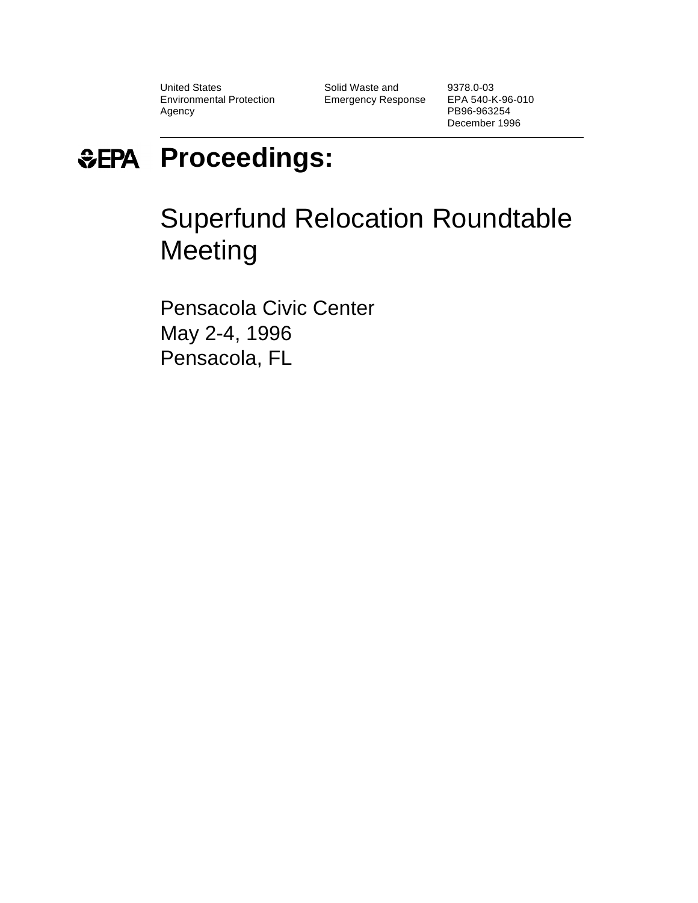United States **Solid Waste and** 9378.0-03<br>
Environmental Protection Emergency Response EPA 540-K-96-010 Environmental Protection Agency **PB96-963254** 

December 1996

# *&EPA Proceedings:*

# Superfund Relocation Roundtable **Meeting**

Pensacola Civic Center May 2-4, 1996 Pensacola, FL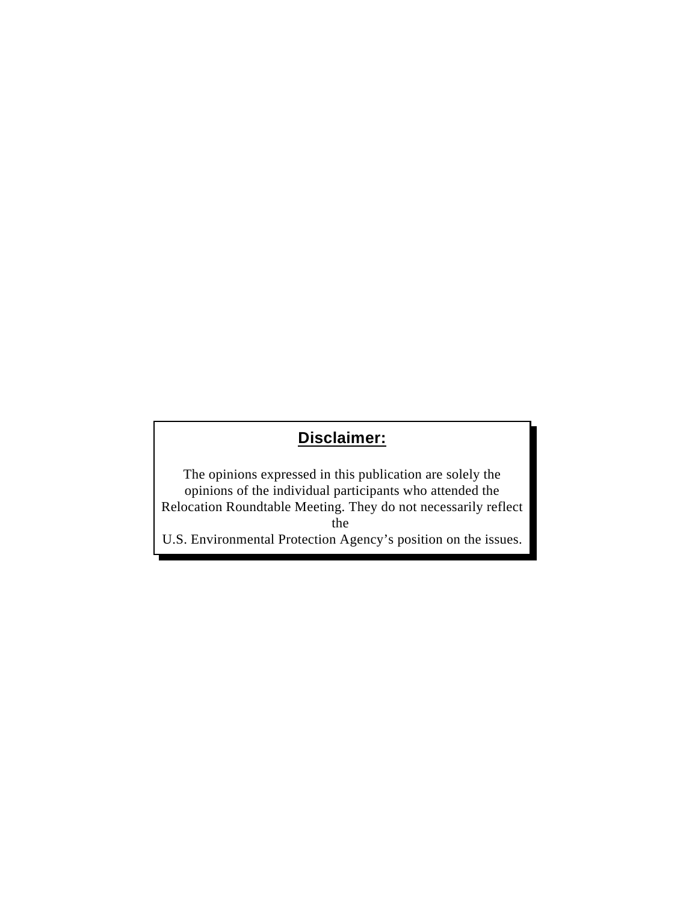# **Disclaimer:**

The opinions expressed in this publication are solely the opinions of the individual participants who attended the Relocation Roundtable Meeting. They do not necessarily reflect the

U.S. Environmental Protection Agency's position on the issues.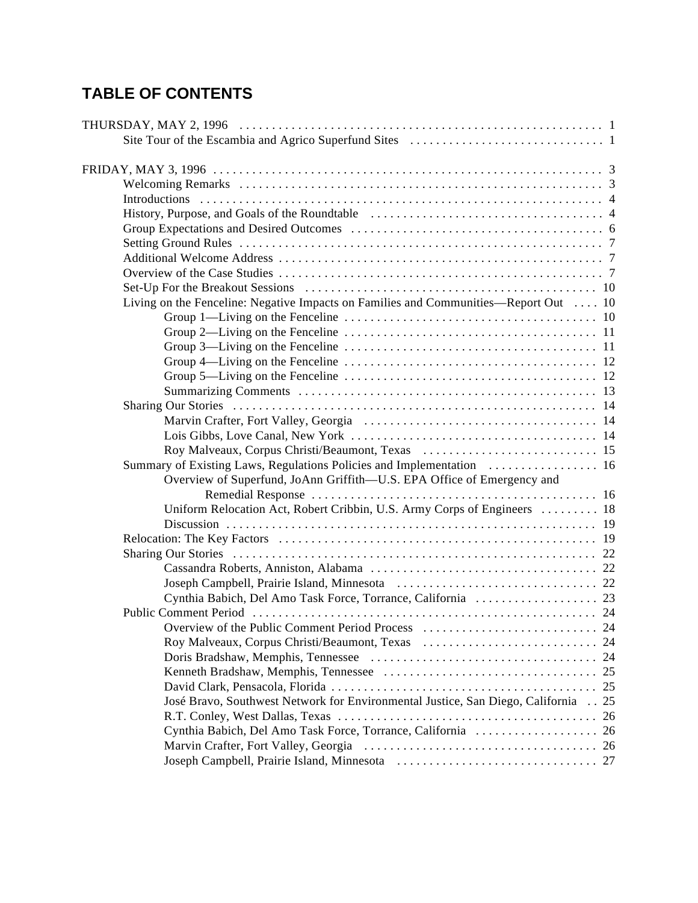# **TABLE OF CONTENTS**

| Living on the Fenceline: Negative Impacts on Families and Communities—Report Out  10 |  |
|--------------------------------------------------------------------------------------|--|
|                                                                                      |  |
|                                                                                      |  |
|                                                                                      |  |
|                                                                                      |  |
|                                                                                      |  |
|                                                                                      |  |
|                                                                                      |  |
|                                                                                      |  |
|                                                                                      |  |
|                                                                                      |  |
| Summary of Existing Laws, Regulations Policies and Implementation  16                |  |
| Overview of Superfund, JoAnn Griffith-U.S. EPA Office of Emergency and               |  |
|                                                                                      |  |
| Uniform Relocation Act, Robert Cribbin, U.S. Army Corps of Engineers  18             |  |
|                                                                                      |  |
|                                                                                      |  |
|                                                                                      |  |
|                                                                                      |  |
|                                                                                      |  |
|                                                                                      |  |
|                                                                                      |  |
|                                                                                      |  |
|                                                                                      |  |
|                                                                                      |  |
|                                                                                      |  |
|                                                                                      |  |
| José Bravo, Southwest Network for Environmental Justice, San Diego, California  25   |  |
|                                                                                      |  |
|                                                                                      |  |
|                                                                                      |  |
|                                                                                      |  |
|                                                                                      |  |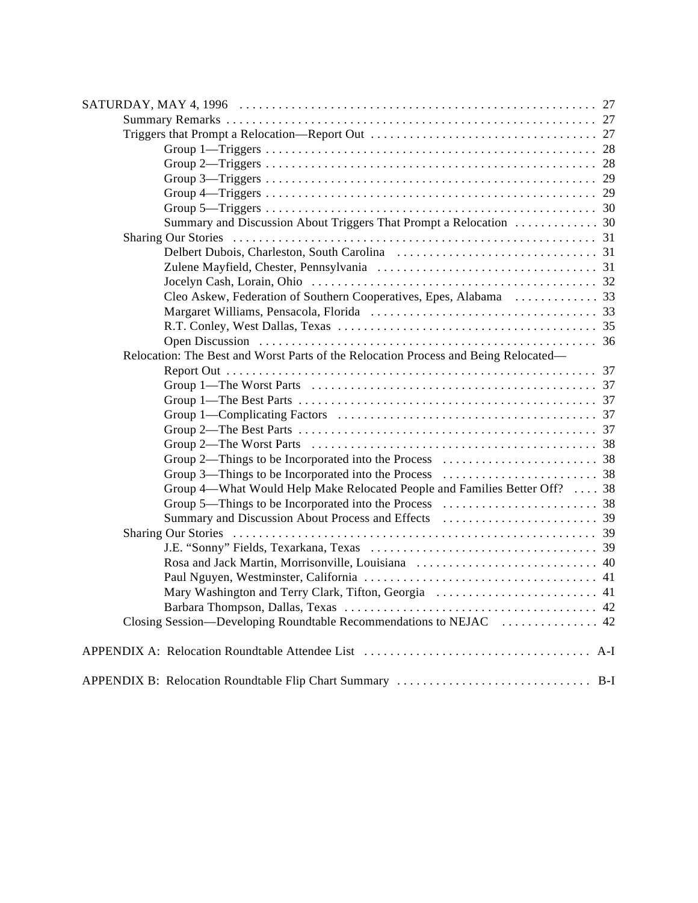| Summary and Discussion About Triggers That Prompt a Relocation  30                  |  |
|-------------------------------------------------------------------------------------|--|
|                                                                                     |  |
|                                                                                     |  |
|                                                                                     |  |
|                                                                                     |  |
|                                                                                     |  |
|                                                                                     |  |
|                                                                                     |  |
|                                                                                     |  |
| Relocation: The Best and Worst Parts of the Relocation Process and Being Relocated— |  |
|                                                                                     |  |
|                                                                                     |  |
|                                                                                     |  |
|                                                                                     |  |
|                                                                                     |  |
|                                                                                     |  |
|                                                                                     |  |
|                                                                                     |  |
| Group 4—What Would Help Make Relocated People and Families Better Off?  38          |  |
|                                                                                     |  |
|                                                                                     |  |
|                                                                                     |  |
|                                                                                     |  |
|                                                                                     |  |
|                                                                                     |  |
| Mary Washington and Terry Clark, Tifton, Georgia  41                                |  |
|                                                                                     |  |
|                                                                                     |  |
|                                                                                     |  |
|                                                                                     |  |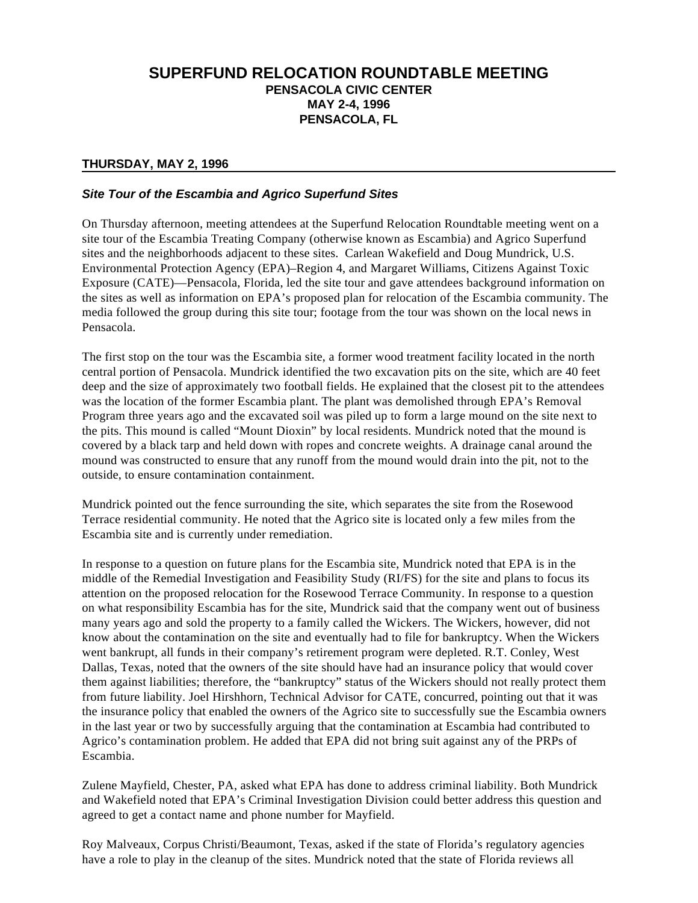### **SUPERFUND RELOCATION ROUNDTABLE MEETING PENSACOLA CIVIC CENTER MAY 2-4, 1996 PENSACOLA, FL**

#### **THURSDAY, MAY 2, 1996**

#### **Site Tour of the Escambia and Agrico Superfund Sites**

On Thursday afternoon, meeting attendees at the Superfund Relocation Roundtable meeting went on a site tour of the Escambia Treating Company (otherwise known as Escambia) and Agrico Superfund sites and the neighborhoods adjacent to these sites. Carlean Wakefield and Doug Mundrick, U.S. Environmental Protection Agency (EPA)–Region 4, and Margaret Williams, Citizens Against Toxic Exposure (CATE)—Pensacola, Florida, led the site tour and gave attendees background information on the sites as well as information on EPA's proposed plan for relocation of the Escambia community. The media followed the group during this site tour; footage from the tour was shown on the local news in Pensacola.

The first stop on the tour was the Escambia site, a former wood treatment facility located in the north central portion of Pensacola. Mundrick identified the two excavation pits on the site, which are 40 feet deep and the size of approximately two football fields. He explained that the closest pit to the attendees was the location of the former Escambia plant. The plant was demolished through EPA's Removal Program three years ago and the excavated soil was piled up to form a large mound on the site next to the pits. This mound is called "Mount Dioxin" by local residents. Mundrick noted that the mound is covered by a black tarp and held down with ropes and concrete weights. A drainage canal around the mound was constructed to ensure that any runoff from the mound would drain into the pit, not to the outside, to ensure contamination containment.

Mundrick pointed out the fence surrounding the site, which separates the site from the Rosewood Terrace residential community. He noted that the Agrico site is located only a few miles from the Escambia site and is currently under remediation.

In response to a question on future plans for the Escambia site, Mundrick noted that EPA is in the middle of the Remedial Investigation and Feasibility Study (RI/FS) for the site and plans to focus its attention on the proposed relocation for the Rosewood Terrace Community. In response to a question on what responsibility Escambia has for the site, Mundrick said that the company went out of business many years ago and sold the property to a family called the Wickers. The Wickers, however, did not know about the contamination on the site and eventually had to file for bankruptcy. When the Wickers went bankrupt, all funds in their company's retirement program were depleted. R.T. Conley, West Dallas, Texas, noted that the owners of the site should have had an insurance policy that would cover them against liabilities; therefore, the "bankruptcy" status of the Wickers should not really protect them from future liability. Joel Hirshhorn, Technical Advisor for CATE, concurred, pointing out that it was the insurance policy that enabled the owners of the Agrico site to successfully sue the Escambia owners in the last year or two by successfully arguing that the contamination at Escambia had contributed to Agrico's contamination problem. He added that EPA did not bring suit against any of the PRPs of Escambia.

Zulene Mayfield, Chester, PA, asked what EPA has done to address criminal liability. Both Mundrick and Wakefield noted that EPA's Criminal Investigation Division could better address this question and agreed to get a contact name and phone number for Mayfield.

Roy Malveaux, Corpus Christi/Beaumont, Texas, asked if the state of Florida's regulatory agencies have a role to play in the cleanup of the sites. Mundrick noted that the state of Florida reviews all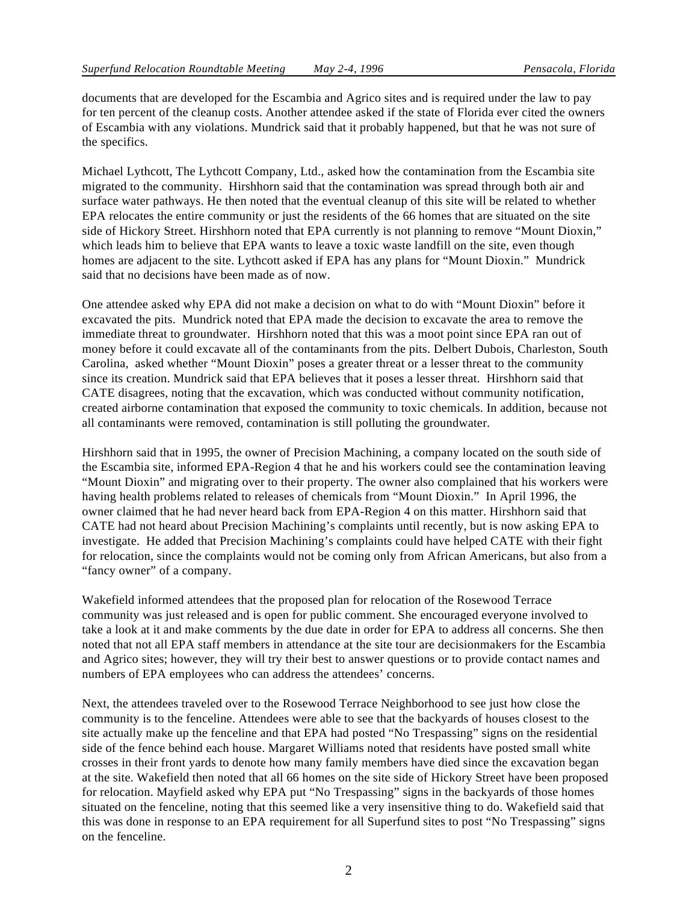documents that are developed for the Escambia and Agrico sites and is required under the law to pay for ten percent of the cleanup costs. Another attendee asked if the state of Florida ever cited the owners of Escambia with any violations. Mundrick said that it probably happened, but that he was not sure of the specifics.

Michael Lythcott, The Lythcott Company, Ltd., asked how the contamination from the Escambia site migrated to the community. Hirshhorn said that the contamination was spread through both air and surface water pathways. He then noted that the eventual cleanup of this site will be related to whether EPA relocates the entire community or just the residents of the 66 homes that are situated on the site side of Hickory Street. Hirshhorn noted that EPA currently is not planning to remove "Mount Dioxin," which leads him to believe that EPA wants to leave a toxic waste landfill on the site, even though homes are adjacent to the site. Lythcott asked if EPA has any plans for "Mount Dioxin." Mundrick said that no decisions have been made as of now.

One attendee asked why EPA did not make a decision on what to do with "Mount Dioxin" before it excavated the pits. Mundrick noted that EPA made the decision to excavate the area to remove the immediate threat to groundwater. Hirshhorn noted that this was a moot point since EPA ran out of money before it could excavate all of the contaminants from the pits. Delbert Dubois, Charleston, South Carolina, asked whether "Mount Dioxin" poses a greater threat or a lesser threat to the community since its creation. Mundrick said that EPA believes that it poses a lesser threat. Hirshhorn said that CATE disagrees, noting that the excavation, which was conducted without community notification, created airborne contamination that exposed the community to toxic chemicals. In addition, because not all contaminants were removed, contamination is still polluting the groundwater.

Hirshhorn said that in 1995, the owner of Precision Machining, a company located on the south side of the Escambia site, informed EPA-Region 4 that he and his workers could see the contamination leaving "Mount Dioxin" and migrating over to their property. The owner also complained that his workers were having health problems related to releases of chemicals from "Mount Dioxin." In April 1996, the owner claimed that he had never heard back from EPA-Region 4 on this matter. Hirshhorn said that CATE had not heard about Precision Machining's complaints until recently, but is now asking EPA to investigate. He added that Precision Machining's complaints could have helped CATE with their fight for relocation, since the complaints would not be coming only from African Americans, but also from a "fancy owner" of a company.

Wakefield informed attendees that the proposed plan for relocation of the Rosewood Terrace community was just released and is open for public comment. She encouraged everyone involved to take a look at it and make comments by the due date in order for EPA to address all concerns. She then noted that not all EPA staff members in attendance at the site tour are decisionmakers for the Escambia and Agrico sites; however, they will try their best to answer questions or to provide contact names and numbers of EPA employees who can address the attendees' concerns.

Next, the attendees traveled over to the Rosewood Terrace Neighborhood to see just how close the community is to the fenceline. Attendees were able to see that the backyards of houses closest to the site actually make up the fenceline and that EPA had posted "No Trespassing" signs on the residential side of the fence behind each house. Margaret Williams noted that residents have posted small white crosses in their front yards to denote how many family members have died since the excavation began at the site. Wakefield then noted that all 66 homes on the site side of Hickory Street have been proposed for relocation. Mayfield asked why EPA put "No Trespassing" signs in the backyards of those homes situated on the fenceline, noting that this seemed like a very insensitive thing to do. Wakefield said that this was done in response to an EPA requirement for all Superfund sites to post "No Trespassing" signs on the fenceline.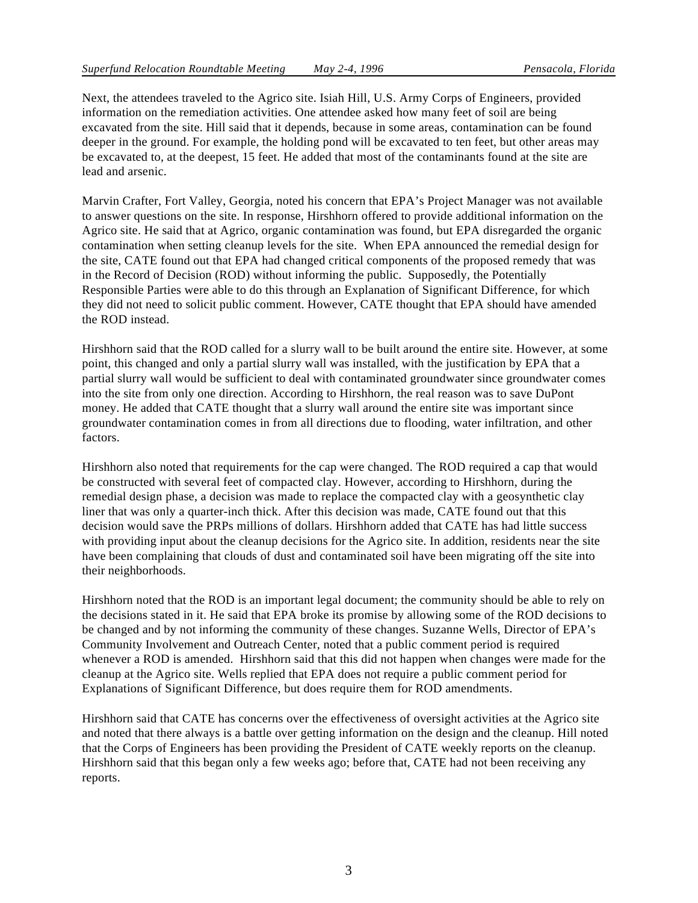Next, the attendees traveled to the Agrico site. Isiah Hill, U.S. Army Corps of Engineers, provided information on the remediation activities. One attendee asked how many feet of soil are being excavated from the site. Hill said that it depends, because in some areas, contamination can be found deeper in the ground. For example, the holding pond will be excavated to ten feet, but other areas may be excavated to, at the deepest, 15 feet. He added that most of the contaminants found at the site are lead and arsenic.

Marvin Crafter, Fort Valley, Georgia, noted his concern that EPA's Project Manager was not available to answer questions on the site. In response, Hirshhorn offered to provide additional information on the Agrico site. He said that at Agrico, organic contamination was found, but EPA disregarded the organic contamination when setting cleanup levels for the site. When EPA announced the remedial design for the site, CATE found out that EPA had changed critical components of the proposed remedy that was in the Record of Decision (ROD) without informing the public. Supposedly, the Potentially Responsible Parties were able to do this through an Explanation of Significant Difference, for which they did not need to solicit public comment. However, CATE thought that EPA should have amended the ROD instead.

Hirshhorn said that the ROD called for a slurry wall to be built around the entire site. However, at some point, this changed and only a partial slurry wall was installed, with the justification by EPA that a partial slurry wall would be sufficient to deal with contaminated groundwater since groundwater comes into the site from only one direction. According to Hirshhorn, the real reason was to save DuPont money. He added that CATE thought that a slurry wall around the entire site was important since groundwater contamination comes in from all directions due to flooding, water infiltration, and other factors.

Hirshhorn also noted that requirements for the cap were changed. The ROD required a cap that would be constructed with several feet of compacted clay. However, according to Hirshhorn, during the remedial design phase, a decision was made to replace the compacted clay with a geosynthetic clay liner that was only a quarter-inch thick. After this decision was made, CATE found out that this decision would save the PRPs millions of dollars. Hirshhorn added that CATE has had little success with providing input about the cleanup decisions for the Agrico site. In addition, residents near the site have been complaining that clouds of dust and contaminated soil have been migrating off the site into their neighborhoods.

Hirshhorn noted that the ROD is an important legal document; the community should be able to rely on the decisions stated in it. He said that EPA broke its promise by allowing some of the ROD decisions to be changed and by not informing the community of these changes. Suzanne Wells, Director of EPA's Community Involvement and Outreach Center, noted that a public comment period is required whenever a ROD is amended. Hirshhorn said that this did not happen when changes were made for the cleanup at the Agrico site. Wells replied that EPA does not require a public comment period for Explanations of Significant Difference, but does require them for ROD amendments.

Hirshhorn said that CATE has concerns over the effectiveness of oversight activities at the Agrico site and noted that there always is a battle over getting information on the design and the cleanup. Hill noted that the Corps of Engineers has been providing the President of CATE weekly reports on the cleanup. Hirshhorn said that this began only a few weeks ago; before that, CATE had not been receiving any reports.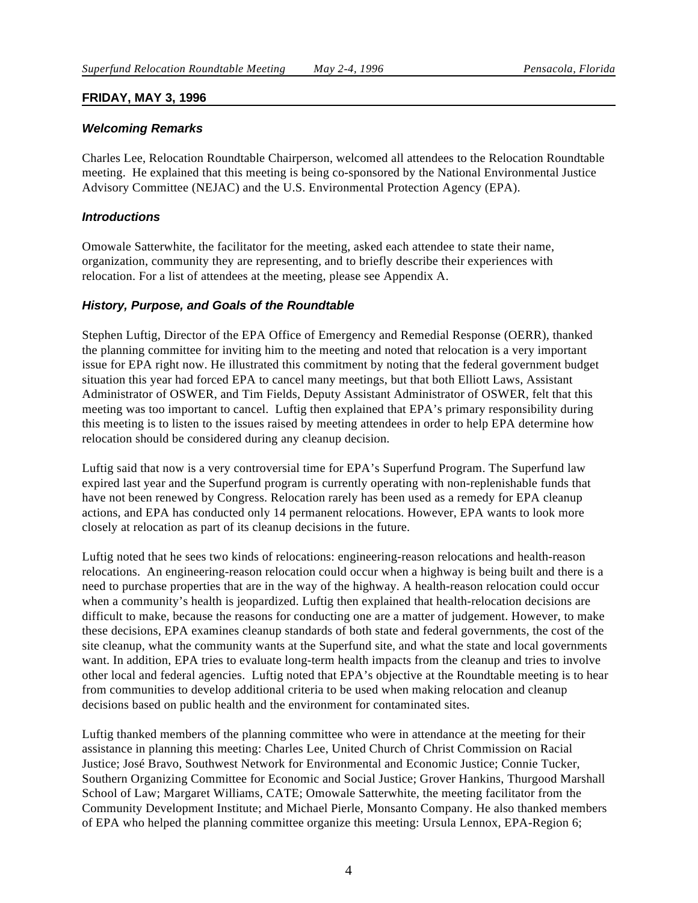#### **FRIDAY, MAY 3, 1996**

#### **Welcoming Remarks**

Charles Lee, Relocation Roundtable Chairperson, welcomed all attendees to the Relocation Roundtable meeting. He explained that this meeting is being co-sponsored by the National Environmental Justice Advisory Committee (NEJAC) and the U.S. Environmental Protection Agency (EPA).

#### **Introductions**

Omowale Satterwhite, the facilitator for the meeting, asked each attendee to state their name, organization, community they are representing, and to briefly describe their experiences with relocation. For a list of attendees at the meeting, please see Appendix A.

#### **History, Purpose, and Goals of the Roundtable**

Stephen Luftig, Director of the EPA Office of Emergency and Remedial Response (OERR), thanked the planning committee for inviting him to the meeting and noted that relocation is a very important issue for EPA right now. He illustrated this commitment by noting that the federal government budget situation this year had forced EPA to cancel many meetings, but that both Elliott Laws, Assistant Administrator of OSWER, and Tim Fields, Deputy Assistant Administrator of OSWER, felt that this meeting was too important to cancel. Luftig then explained that EPA's primary responsibility during this meeting is to listen to the issues raised by meeting attendees in order to help EPA determine how relocation should be considered during any cleanup decision.

Luftig said that now is a very controversial time for EPA's Superfund Program. The Superfund law expired last year and the Superfund program is currently operating with non-replenishable funds that have not been renewed by Congress. Relocation rarely has been used as a remedy for EPA cleanup actions, and EPA has conducted only 14 permanent relocations. However, EPA wants to look more closely at relocation as part of its cleanup decisions in the future.

Luftig noted that he sees two kinds of relocations: engineering-reason relocations and health-reason relocations. An engineering-reason relocation could occur when a highway is being built and there is a need to purchase properties that are in the way of the highway. A health-reason relocation could occur when a community's health is jeopardized. Luftig then explained that health-relocation decisions are difficult to make, because the reasons for conducting one are a matter of judgement. However, to make these decisions, EPA examines cleanup standards of both state and federal governments, the cost of the site cleanup, what the community wants at the Superfund site, and what the state and local governments want. In addition, EPA tries to evaluate long-term health impacts from the cleanup and tries to involve other local and federal agencies. Luftig noted that EPA's objective at the Roundtable meeting is to hear from communities to develop additional criteria to be used when making relocation and cleanup decisions based on public health and the environment for contaminated sites.

Luftig thanked members of the planning committee who were in attendance at the meeting for their assistance in planning this meeting: Charles Lee, United Church of Christ Commission on Racial Justice; José Bravo, Southwest Network for Environmental and Economic Justice; Connie Tucker, Southern Organizing Committee for Economic and Social Justice; Grover Hankins, Thurgood Marshall School of Law; Margaret Williams, CATE; Omowale Satterwhite, the meeting facilitator from the Community Development Institute; and Michael Pierle, Monsanto Company. He also thanked members of EPA who helped the planning committee organize this meeting: Ursula Lennox, EPA-Region 6;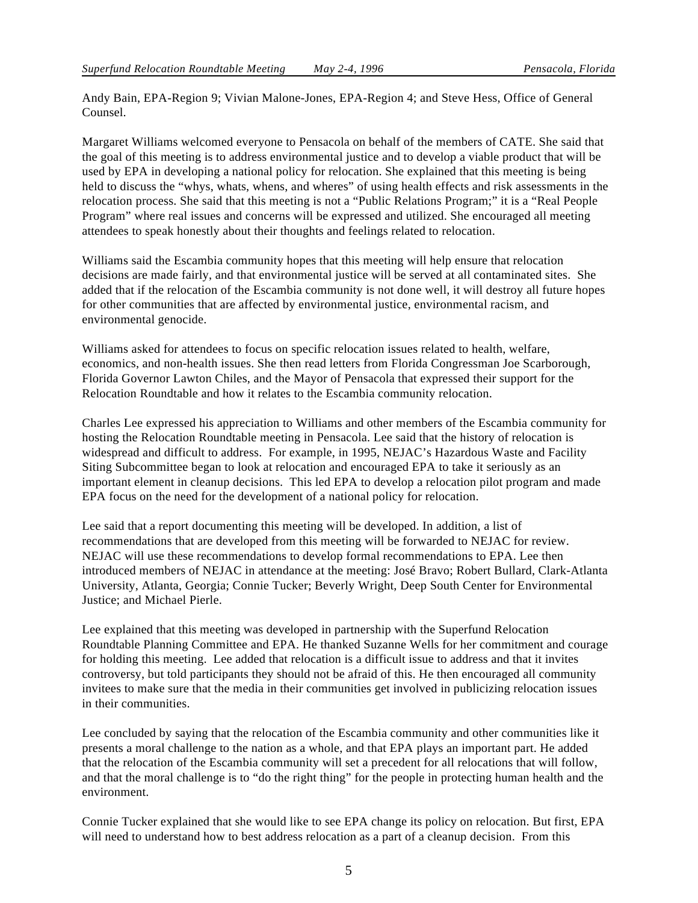Andy Bain, EPA-Region 9; Vivian Malone-Jones, EPA-Region 4; and Steve Hess, Office of General Counsel.

Margaret Williams welcomed everyone to Pensacola on behalf of the members of CATE. She said that the goal of this meeting is to address environmental justice and to develop a viable product that will be used by EPA in developing a national policy for relocation. She explained that this meeting is being held to discuss the "whys, whats, whens, and wheres" of using health effects and risk assessments in the relocation process. She said that this meeting is not a "Public Relations Program;" it is a "Real People Program" where real issues and concerns will be expressed and utilized. She encouraged all meeting attendees to speak honestly about their thoughts and feelings related to relocation.

Williams said the Escambia community hopes that this meeting will help ensure that relocation decisions are made fairly, and that environmental justice will be served at all contaminated sites. She added that if the relocation of the Escambia community is not done well, it will destroy all future hopes for other communities that are affected by environmental justice, environmental racism, and environmental genocide.

Williams asked for attendees to focus on specific relocation issues related to health, welfare, economics, and non-health issues. She then read letters from Florida Congressman Joe Scarborough, Florida Governor Lawton Chiles, and the Mayor of Pensacola that expressed their support for the Relocation Roundtable and how it relates to the Escambia community relocation.

Charles Lee expressed his appreciation to Williams and other members of the Escambia community for hosting the Relocation Roundtable meeting in Pensacola. Lee said that the history of relocation is widespread and difficult to address. For example, in 1995, NEJAC's Hazardous Waste and Facility Siting Subcommittee began to look at relocation and encouraged EPA to take it seriously as an important element in cleanup decisions. This led EPA to develop a relocation pilot program and made EPA focus on the need for the development of a national policy for relocation.

Lee said that a report documenting this meeting will be developed. In addition, a list of recommendations that are developed from this meeting will be forwarded to NEJAC for review. NEJAC will use these recommendations to develop formal recommendations to EPA. Lee then introduced members of NEJAC in attendance at the meeting: José Bravo; Robert Bullard, Clark-Atlanta University, Atlanta, Georgia; Connie Tucker; Beverly Wright, Deep South Center for Environmental Justice; and Michael Pierle.

Lee explained that this meeting was developed in partnership with the Superfund Relocation Roundtable Planning Committee and EPA. He thanked Suzanne Wells for her commitment and courage for holding this meeting. Lee added that relocation is a difficult issue to address and that it invites controversy, but told participants they should not be afraid of this. He then encouraged all community invitees to make sure that the media in their communities get involved in publicizing relocation issues in their communities.

Lee concluded by saying that the relocation of the Escambia community and other communities like it presents a moral challenge to the nation as a whole, and that EPA plays an important part. He added that the relocation of the Escambia community will set a precedent for all relocations that will follow, and that the moral challenge is to "do the right thing" for the people in protecting human health and the environment.

Connie Tucker explained that she would like to see EPA change its policy on relocation. But first, EPA will need to understand how to best address relocation as a part of a cleanup decision. From this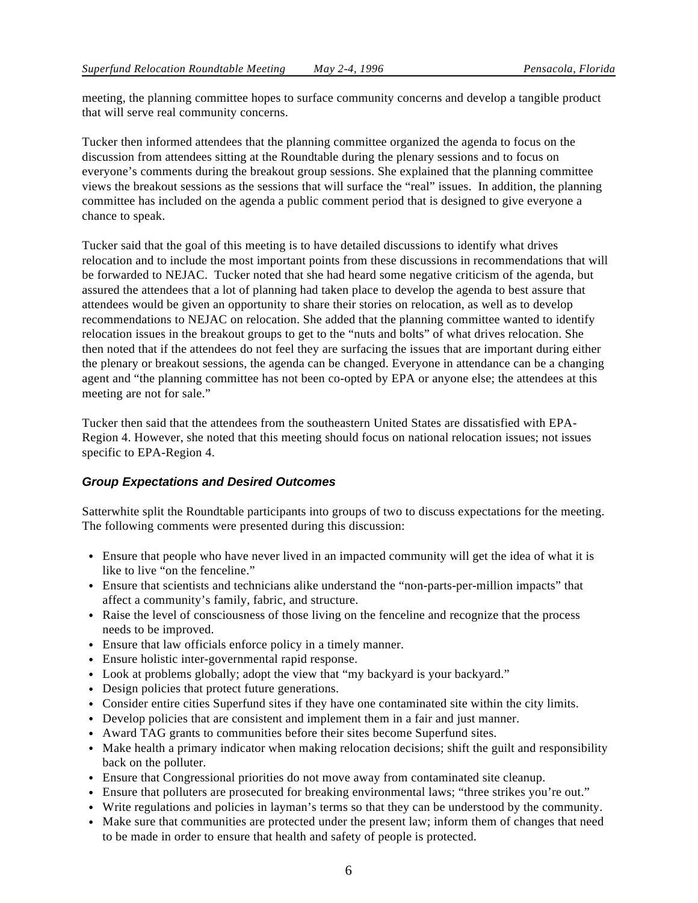meeting, the planning committee hopes to surface community concerns and develop a tangible product that will serve real community concerns.

Tucker then informed attendees that the planning committee organized the agenda to focus on the discussion from attendees sitting at the Roundtable during the plenary sessions and to focus on everyone's comments during the breakout group sessions. She explained that the planning committee views the breakout sessions as the sessions that will surface the "real" issues. In addition, the planning committee has included on the agenda a public comment period that is designed to give everyone a chance to speak.

Tucker said that the goal of this meeting is to have detailed discussions to identify what drives relocation and to include the most important points from these discussions in recommendations that will be forwarded to NEJAC. Tucker noted that she had heard some negative criticism of the agenda, but assured the attendees that a lot of planning had taken place to develop the agenda to best assure that attendees would be given an opportunity to share their stories on relocation, as well as to develop recommendations to NEJAC on relocation. She added that the planning committee wanted to identify relocation issues in the breakout groups to get to the "nuts and bolts" of what drives relocation. She then noted that if the attendees do not feel they are surfacing the issues that are important during either the plenary or breakout sessions, the agenda can be changed. Everyone in attendance can be a changing agent and "the planning committee has not been co-opted by EPA or anyone else; the attendees at this meeting are not for sale."

Tucker then said that the attendees from the southeastern United States are dissatisfied with EPA-Region 4. However, she noted that this meeting should focus on national relocation issues; not issues specific to EPA-Region 4.

#### **Group Expectations and Desired Outcomes**

Satterwhite split the Roundtable participants into groups of two to discuss expectations for the meeting. The following comments were presented during this discussion:

- Ensure that people who have never lived in an impacted community will get the idea of what it is like to live "on the fenceline."
- Ensure that scientists and technicians alike understand the "non-parts-per-million impacts" that affect a community's family, fabric, and structure.
- Raise the level of consciousness of those living on the fenceline and recognize that the process needs to be improved.
- Ensure that law officials enforce policy in a timely manner.
- Ensure holistic inter-governmental rapid response.
- Look at problems globally; adopt the view that "my backyard is your backyard."
- Design policies that protect future generations.
- Consider entire cities Superfund sites if they have one contaminated site within the city limits.
- Develop policies that are consistent and implement them in a fair and just manner.
- Award TAG grants to communities before their sites become Superfund sites.
- Make health a primary indicator when making relocation decisions; shift the guilt and responsibility back on the polluter.
- Ensure that Congressional priorities do not move away from contaminated site cleanup.
- Ensure that polluters are prosecuted for breaking environmental laws; "three strikes you're out."
- Write regulations and policies in layman's terms so that they can be understood by the community.
- Make sure that communities are protected under the present law; inform them of changes that need to be made in order to ensure that health and safety of people is protected.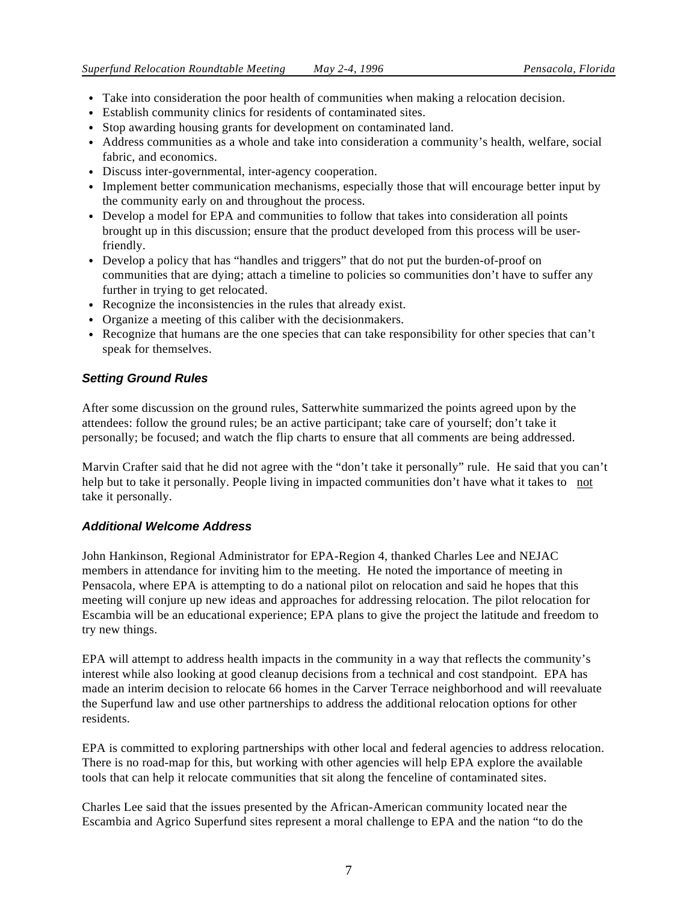- Take into consideration the poor health of communities when making a relocation decision.
- Establish community clinics for residents of contaminated sites.
- Stop awarding housing grants for development on contaminated land.
- Address communities as a whole and take into consideration a community's health, welfare, social fabric, and economics.
- Discuss inter-governmental, inter-agency cooperation.
- Implement better communication mechanisms, especially those that will encourage better input by the community early on and throughout the process.
- Develop a model for EPA and communities to follow that takes into consideration all points brought up in this discussion; ensure that the product developed from this process will be userfriendly.
- Develop a policy that has "handles and triggers" that do not put the burden-of-proof on communities that are dying; attach a timeline to policies so communities don't have to suffer any further in trying to get relocated.
- Recognize the inconsistencies in the rules that already exist.
- Organize a meeting of this caliber with the decisionmakers.
- Recognize that humans are the one species that can take responsibility for other species that can't speak for themselves.

#### **Setting Ground Rules**

After some discussion on the ground rules, Satterwhite summarized the points agreed upon by the attendees: follow the ground rules; be an active participant; take care of yourself; don't take it personally; be focused; and watch the flip charts to ensure that all comments are being addressed.

Marvin Crafter said that he did not agree with the "don't take it personally" rule. He said that you can't help but to take it personally. People living in impacted communities don't have what it takes to not take it personally.

#### **Additional Welcome Address**

John Hankinson, Regional Administrator for EPA-Region 4, thanked Charles Lee and NEJAC members in attendance for inviting him to the meeting. He noted the importance of meeting in Pensacola, where EPA is attempting to do a national pilot on relocation and said he hopes that this meeting will conjure up new ideas and approaches for addressing relocation. The pilot relocation for Escambia will be an educational experience; EPA plans to give the project the latitude and freedom to try new things.

EPA will attempt to address health impacts in the community in a way that reflects the community's interest while also looking at good cleanup decisions from a technical and cost standpoint. EPA has made an interim decision to relocate 66 homes in the Carver Terrace neighborhood and will reevaluate the Superfund law and use other partnerships to address the additional relocation options for other residents.

EPA is committed to exploring partnerships with other local and federal agencies to address relocation. There is no road-map for this, but working with other agencies will help EPA explore the available tools that can help it relocate communities that sit along the fenceline of contaminated sites.

Charles Lee said that the issues presented by the African-American community located near the Escambia and Agrico Superfund sites represent a moral challenge to EPA and the nation "to do the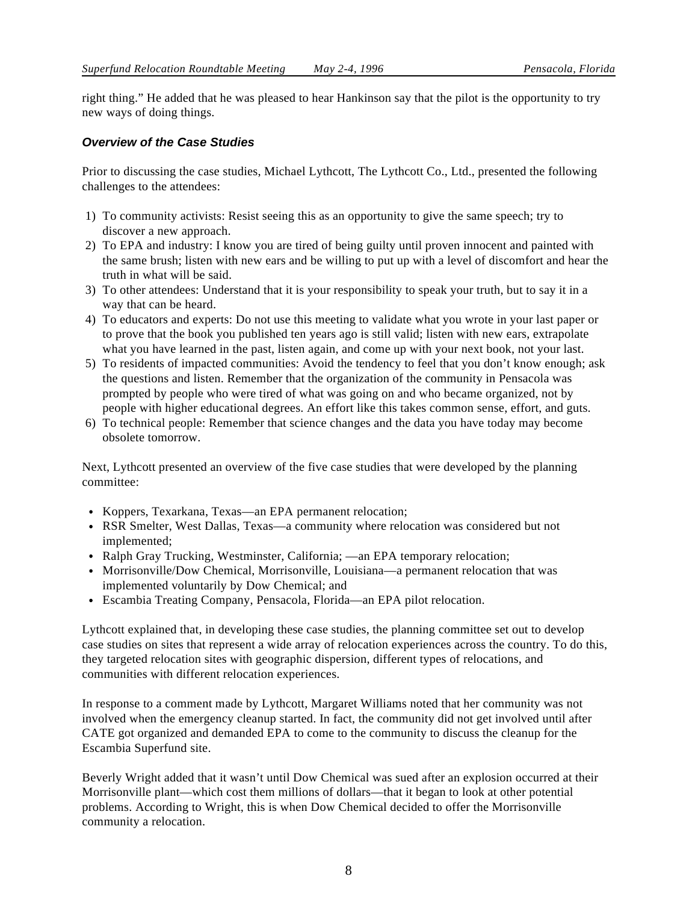right thing." He added that he was pleased to hear Hankinson say that the pilot is the opportunity to try new ways of doing things.

#### **Overview of the Case Studies**

Prior to discussing the case studies, Michael Lythcott, The Lythcott Co., Ltd., presented the following challenges to the attendees:

- 1) To community activists: Resist seeing this as an opportunity to give the same speech; try to discover a new approach.
- 2) To EPA and industry: I know you are tired of being guilty until proven innocent and painted with the same brush; listen with new ears and be willing to put up with a level of discomfort and hear the truth in what will be said.
- 3) To other attendees: Understand that it is your responsibility to speak your truth, but to say it in a way that can be heard.
- 4) To educators and experts: Do not use this meeting to validate what you wrote in your last paper or to prove that the book you published ten years ago is still valid; listen with new ears, extrapolate what you have learned in the past, listen again, and come up with your next book, not your last.
- 5) To residents of impacted communities: Avoid the tendency to feel that you don't know enough; ask the questions and listen. Remember that the organization of the community in Pensacola was prompted by people who were tired of what was going on and who became organized, not by people with higher educational degrees. An effort like this takes common sense, effort, and guts.
- 6) To technical people: Remember that science changes and the data you have today may become obsolete tomorrow.

Next, Lythcott presented an overview of the five case studies that were developed by the planning committee:

- Koppers, Texarkana, Texas—an EPA permanent relocation;
- RSR Smelter, West Dallas, Texas—a community where relocation was considered but not implemented;
- Ralph Gray Trucking, Westminster, California; —an EPA temporary relocation;
- Morrisonville/Dow Chemical, Morrisonville, Louisiana—a permanent relocation that was implemented voluntarily by Dow Chemical; and
- Escambia Treating Company, Pensacola, Florida—an EPA pilot relocation.

Lythcott explained that, in developing these case studies, the planning committee set out to develop case studies on sites that represent a wide array of relocation experiences across the country. To do this, they targeted relocation sites with geographic dispersion, different types of relocations, and communities with different relocation experiences.

In response to a comment made by Lythcott, Margaret Williams noted that her community was not involved when the emergency cleanup started. In fact, the community did not get involved until after CATE got organized and demanded EPA to come to the community to discuss the cleanup for the Escambia Superfund site.

Beverly Wright added that it wasn't until Dow Chemical was sued after an explosion occurred at their Morrisonville plant—which cost them millions of dollars—that it began to look at other potential problems. According to Wright, this is when Dow Chemical decided to offer the Morrisonville community a relocation.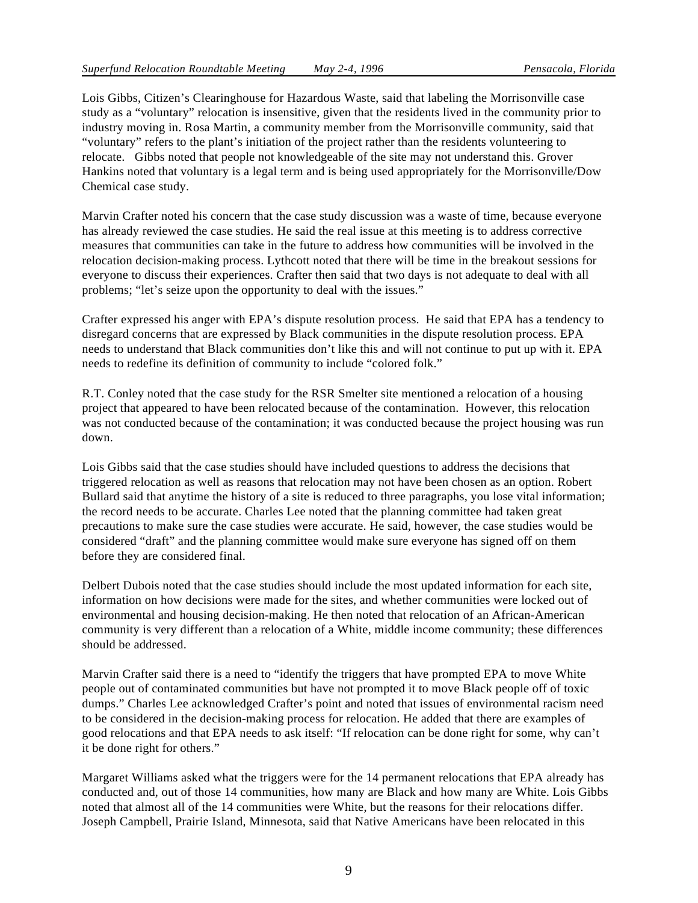Lois Gibbs, Citizen's Clearinghouse for Hazardous Waste, said that labeling the Morrisonville case study as a "voluntary" relocation is insensitive, given that the residents lived in the community prior to industry moving in. Rosa Martin, a community member from the Morrisonville community, said that "voluntary" refers to the plant's initiation of the project rather than the residents volunteering to relocate. Gibbs noted that people not knowledgeable of the site may not understand this. Grover Hankins noted that voluntary is a legal term and is being used appropriately for the Morrisonville/Dow Chemical case study.

Marvin Crafter noted his concern that the case study discussion was a waste of time, because everyone has already reviewed the case studies. He said the real issue at this meeting is to address corrective measures that communities can take in the future to address how communities will be involved in the relocation decision-making process. Lythcott noted that there will be time in the breakout sessions for everyone to discuss their experiences. Crafter then said that two days is not adequate to deal with all problems; "let's seize upon the opportunity to deal with the issues."

Crafter expressed his anger with EPA's dispute resolution process. He said that EPA has a tendency to disregard concerns that are expressed by Black communities in the dispute resolution process. EPA needs to understand that Black communities don't like this and will not continue to put up with it. EPA needs to redefine its definition of community to include "colored folk."

R.T. Conley noted that the case study for the RSR Smelter site mentioned a relocation of a housing project that appeared to have been relocated because of the contamination. However, this relocation was not conducted because of the contamination; it was conducted because the project housing was run down.

Lois Gibbs said that the case studies should have included questions to address the decisions that triggered relocation as well as reasons that relocation may not have been chosen as an option. Robert Bullard said that anytime the history of a site is reduced to three paragraphs, you lose vital information; the record needs to be accurate. Charles Lee noted that the planning committee had taken great precautions to make sure the case studies were accurate. He said, however, the case studies would be considered "draft" and the planning committee would make sure everyone has signed off on them before they are considered final.

Delbert Dubois noted that the case studies should include the most updated information for each site, information on how decisions were made for the sites, and whether communities were locked out of environmental and housing decision-making. He then noted that relocation of an African-American community is very different than a relocation of a White, middle income community; these differences should be addressed.

Marvin Crafter said there is a need to "identify the triggers that have prompted EPA to move White people out of contaminated communities but have not prompted it to move Black people off of toxic dumps." Charles Lee acknowledged Crafter's point and noted that issues of environmental racism need to be considered in the decision-making process for relocation. He added that there are examples of good relocations and that EPA needs to ask itself: "If relocation can be done right for some, why can't it be done right for others."

Margaret Williams asked what the triggers were for the 14 permanent relocations that EPA already has conducted and, out of those 14 communities, how many are Black and how many are White. Lois Gibbs noted that almost all of the 14 communities were White, but the reasons for their relocations differ. Joseph Campbell, Prairie Island, Minnesota, said that Native Americans have been relocated in this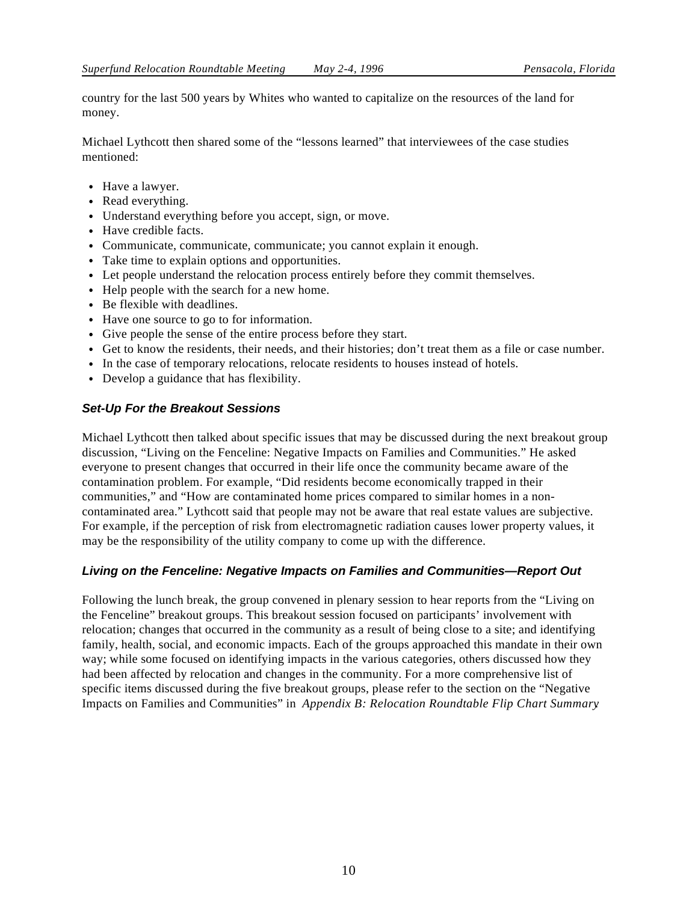country for the last 500 years by Whites who wanted to capitalize on the resources of the land for money.

Michael Lythcott then shared some of the "lessons learned" that interviewees of the case studies mentioned:

- Have a lawyer.
- Read everything.
- Understand everything before you accept, sign, or move.
- Have credible facts.
- Communicate, communicate, communicate; you cannot explain it enough.
- Take time to explain options and opportunities.
- Let people understand the relocation process entirely before they commit themselves.
- Help people with the search for a new home.
- Be flexible with deadlines.
- Have one source to go to for information.
- Give people the sense of the entire process before they start.
- Get to know the residents, their needs, and their histories; don't treat them as a file or case number.
- In the case of temporary relocations, relocate residents to houses instead of hotels.
- Develop a guidance that has flexibility.

#### **Set-Up For the Breakout Sessions**

Michael Lythcott then talked about specific issues that may be discussed during the next breakout group discussion, "Living on the Fenceline: Negative Impacts on Families and Communities." He asked everyone to present changes that occurred in their life once the community became aware of the contamination problem. For example, "Did residents become economically trapped in their communities," and "How are contaminated home prices compared to similar homes in a noncontaminated area." Lythcott said that people may not be aware that real estate values are subjective. For example, if the perception of risk from electromagnetic radiation causes lower property values, it may be the responsibility of the utility company to come up with the difference.

#### **Living on the Fenceline: Negative Impacts on Families and Communities—Report Out**

Following the lunch break, the group convened in plenary session to hear reports from the "Living on the Fenceline" breakout groups. This breakout session focused on participants' involvement with relocation; changes that occurred in the community as a result of being close to a site; and identifying family, health, social, and economic impacts. Each of the groups approached this mandate in their own way; while some focused on identifying impacts in the various categories, others discussed how they had been affected by relocation and changes in the community. For a more comprehensive list of specific items discussed during the five breakout groups, please refer to the section on the "Negative Impacts on Families and Communities" in *Appendix B: Relocation Roundtable Flip Chart Summary*.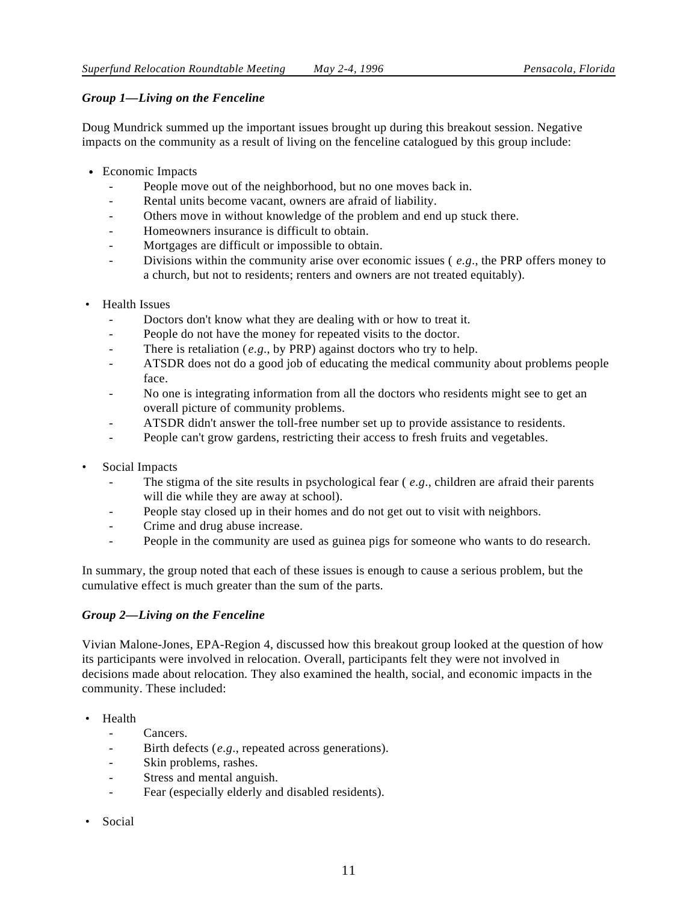#### *Group 1—Living on the Fenceline*

Doug Mundrick summed up the important issues brought up during this breakout session. Negative impacts on the community as a result of living on the fenceline catalogued by this group include:

- Economic Impacts
	- People move out of the neighborhood, but no one moves back in.
	- Rental units become vacant, owners are afraid of liability.
	- Others move in without knowledge of the problem and end up stuck there.
	- Homeowners insurance is difficult to obtain.
	- Mortgages are difficult or impossible to obtain.
	- Divisions within the community arise over economic issues (*e.g.*, the PRP offers money to a church, but not to residents; renters and owners are not treated equitably).
- Health Issues
	- Doctors don't know what they are dealing with or how to treat it.
	- People do not have the money for repeated visits to the doctor.
	- There is retaliation (*e.g.*, by PRP) against doctors who try to help.
	- ATSDR does not do a good job of educating the medical community about problems people face.
	- No one is integrating information from all the doctors who residents might see to get an overall picture of community problems.
	- ATSDR didn't answer the toll-free number set up to provide assistance to residents.
	- People can't grow gardens, restricting their access to fresh fruits and vegetables.
- Social Impacts
	- The stigma of the site results in psychological fear (*e.g.*, children are afraid their parents will die while they are away at school).
	- People stay closed up in their homes and do not get out to visit with neighbors.
	- Crime and drug abuse increase.
	- People in the community are used as guinea pigs for someone who wants to do research.

In summary, the group noted that each of these issues is enough to cause a serious problem, but the cumulative effect is much greater than the sum of the parts.

#### *Group 2—Living on the Fenceline*

Vivian Malone-Jones, EPA-Region 4, discussed how this breakout group looked at the question of how its participants were involved in relocation. Overall, participants felt they were not involved in decisions made about relocation. They also examined the health, social, and economic impacts in the community. These included:

- Health
	- Cancers.
	- Birth defects (*e.g.*, repeated across generations).
	- Skin problems, rashes.
	- Stress and mental anguish.
	- Fear (especially elderly and disabled residents).
- Social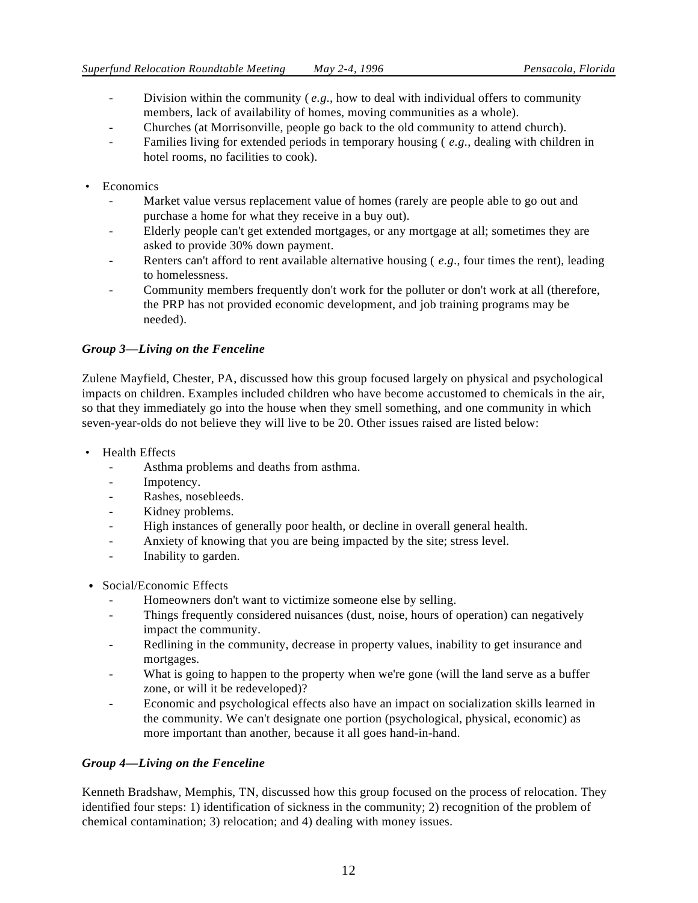- Division within the community ( *e.g.*, how to deal with individual offers to community members, lack of availability of homes, moving communities as a whole).
- Churches (at Morrisonville, people go back to the old community to attend church).
- Families living for extended periods in temporary housing (*e.g.*, dealing with children in hotel rooms, no facilities to cook).
- Economics
	- Market value versus replacement value of homes (rarely are people able to go out and purchase a home for what they receive in a buy out).
	- Elderly people can't get extended mortgages, or any mortgage at all; sometimes they are asked to provide 30% down payment.
	- Renters can't afford to rent available alternative housing (*e.g.*, four times the rent), leading to homelessness.
	- Community members frequently don't work for the polluter or don't work at all (therefore, the PRP has not provided economic development, and job training programs may be needed).

#### *Group 3—Living on the Fenceline*

Zulene Mayfield, Chester, PA, discussed how this group focused largely on physical and psychological impacts on children. Examples included children who have become accustomed to chemicals in the air, so that they immediately go into the house when they smell something, and one community in which seven-year-olds do not believe they will live to be 20. Other issues raised are listed below:

- Health Effects
	- Asthma problems and deaths from asthma.
	- Impotency.
	- Rashes, nosebleeds.
	- Kidney problems.
	- High instances of generally poor health, or decline in overall general health.
	- Anxiety of knowing that you are being impacted by the site; stress level.
	- Inability to garden.
- Social/Economic Effects
	- Homeowners don't want to victimize someone else by selling.
	- Things frequently considered nuisances (dust, noise, hours of operation) can negatively impact the community.
	- Redlining in the community, decrease in property values, inability to get insurance and mortgages.
	- What is going to happen to the property when we're gone (will the land serve as a buffer zone, or will it be redeveloped)?
	- Economic and psychological effects also have an impact on socialization skills learned in the community. We can't designate one portion (psychological, physical, economic) as more important than another, because it all goes hand-in-hand.

#### *Group 4—Living on the Fenceline*

Kenneth Bradshaw, Memphis, TN, discussed how this group focused on the process of relocation. They identified four steps: 1) identification of sickness in the community; 2) recognition of the problem of chemical contamination; 3) relocation; and 4) dealing with money issues.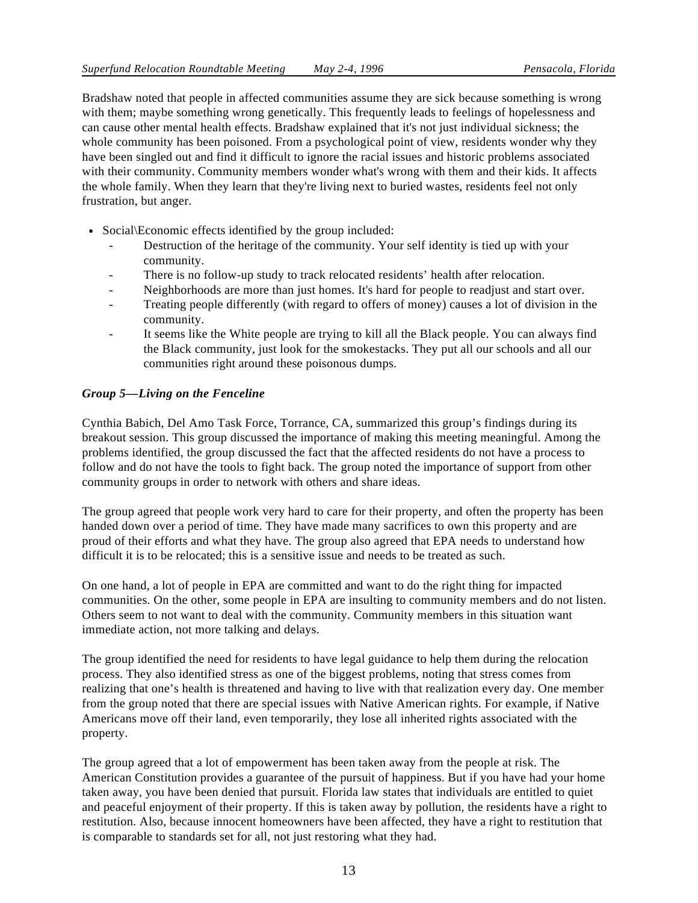Bradshaw noted that people in affected communities assume they are sick because something is wrong with them; maybe something wrong genetically. This frequently leads to feelings of hopelessness and can cause other mental health effects. Bradshaw explained that it's not just individual sickness; the whole community has been poisoned. From a psychological point of view, residents wonder why they have been singled out and find it difficult to ignore the racial issues and historic problems associated with their community. Community members wonder what's wrong with them and their kids. It affects the whole family. When they learn that they're living next to buried wastes, residents feel not only frustration, but anger.

- Social\Economic effects identified by the group included:
	- Destruction of the heritage of the community. Your self identity is tied up with your community.
	- There is no follow-up study to track relocated residents' health after relocation.
	- Neighborhoods are more than just homes. It's hard for people to readjust and start over.
	- Treating people differently (with regard to offers of money) causes a lot of division in the community.
	- It seems like the White people are trying to kill all the Black people. You can always find the Black community, just look for the smokestacks. They put all our schools and all our communities right around these poisonous dumps.

#### *Group 5—Living on the Fenceline*

Cynthia Babich, Del Amo Task Force, Torrance, CA, summarized this group's findings during its breakout session. This group discussed the importance of making this meeting meaningful. Among the problems identified, the group discussed the fact that the affected residents do not have a process to follow and do not have the tools to fight back. The group noted the importance of support from other community groups in order to network with others and share ideas.

The group agreed that people work very hard to care for their property, and often the property has been handed down over a period of time. They have made many sacrifices to own this property and are proud of their efforts and what they have. The group also agreed that EPA needs to understand how difficult it is to be relocated; this is a sensitive issue and needs to be treated as such.

On one hand, a lot of people in EPA are committed and want to do the right thing for impacted communities. On the other, some people in EPA are insulting to community members and do not listen. Others seem to not want to deal with the community. Community members in this situation want immediate action, not more talking and delays.

The group identified the need for residents to have legal guidance to help them during the relocation process. They also identified stress as one of the biggest problems, noting that stress comes from realizing that one's health is threatened and having to live with that realization every day. One member from the group noted that there are special issues with Native American rights. For example, if Native Americans move off their land, even temporarily, they lose all inherited rights associated with the property.

The group agreed that a lot of empowerment has been taken away from the people at risk. The American Constitution provides a guarantee of the pursuit of happiness. But if you have had your home taken away, you have been denied that pursuit. Florida law states that individuals are entitled to quiet and peaceful enjoyment of their property. If this is taken away by pollution, the residents have a right to restitution. Also, because innocent homeowners have been affected, they have a right to restitution that is comparable to standards set for all, not just restoring what they had.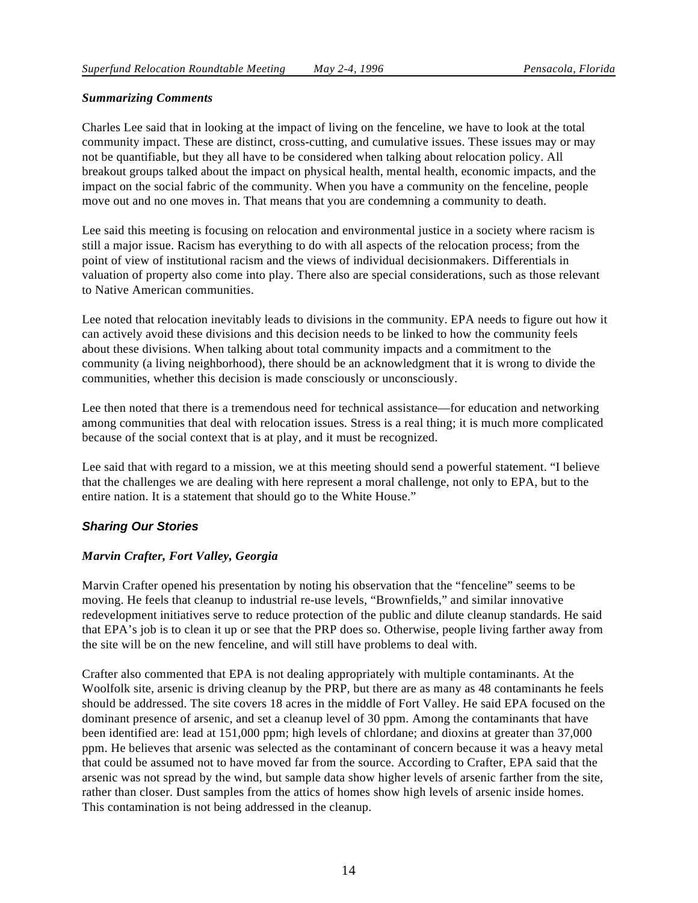#### *Summarizing Comments*

Charles Lee said that in looking at the impact of living on the fenceline, we have to look at the total community impact. These are distinct, cross-cutting, and cumulative issues. These issues may or may not be quantifiable, but they all have to be considered when talking about relocation policy. All breakout groups talked about the impact on physical health, mental health, economic impacts, and the impact on the social fabric of the community. When you have a community on the fenceline, people move out and no one moves in. That means that you are condemning a community to death.

Lee said this meeting is focusing on relocation and environmental justice in a society where racism is still a major issue. Racism has everything to do with all aspects of the relocation process; from the point of view of institutional racism and the views of individual decisionmakers. Differentials in valuation of property also come into play. There also are special considerations, such as those relevant to Native American communities.

Lee noted that relocation inevitably leads to divisions in the community. EPA needs to figure out how it can actively avoid these divisions and this decision needs to be linked to how the community feels about these divisions. When talking about total community impacts and a commitment to the community (a living neighborhood), there should be an acknowledgment that it is wrong to divide the communities, whether this decision is made consciously or unconsciously.

Lee then noted that there is a tremendous need for technical assistance—for education and networking among communities that deal with relocation issues. Stress is a real thing; it is much more complicated because of the social context that is at play, and it must be recognized.

Lee said that with regard to a mission, we at this meeting should send a powerful statement. "I believe that the challenges we are dealing with here represent a moral challenge, not only to EPA, but to the entire nation. It is a statement that should go to the White House."

#### **Sharing Our Stories**

#### *Marvin Crafter, Fort Valley, Georgia*

Marvin Crafter opened his presentation by noting his observation that the "fenceline" seems to be moving. He feels that cleanup to industrial re-use levels, "Brownfields," and similar innovative redevelopment initiatives serve to reduce protection of the public and dilute cleanup standards. He said that EPA's job is to clean it up or see that the PRP does so. Otherwise, people living farther away from the site will be on the new fenceline, and will still have problems to deal with.

Crafter also commented that EPA is not dealing appropriately with multiple contaminants. At the Woolfolk site, arsenic is driving cleanup by the PRP, but there are as many as 48 contaminants he feels should be addressed. The site covers 18 acres in the middle of Fort Valley. He said EPA focused on the dominant presence of arsenic, and set a cleanup level of 30 ppm. Among the contaminants that have been identified are: lead at 151,000 ppm; high levels of chlordane; and dioxins at greater than 37,000 ppm. He believes that arsenic was selected as the contaminant of concern because it was a heavy metal that could be assumed not to have moved far from the source. According to Crafter, EPA said that the arsenic was not spread by the wind, but sample data show higher levels of arsenic farther from the site, rather than closer. Dust samples from the attics of homes show high levels of arsenic inside homes. This contamination is not being addressed in the cleanup.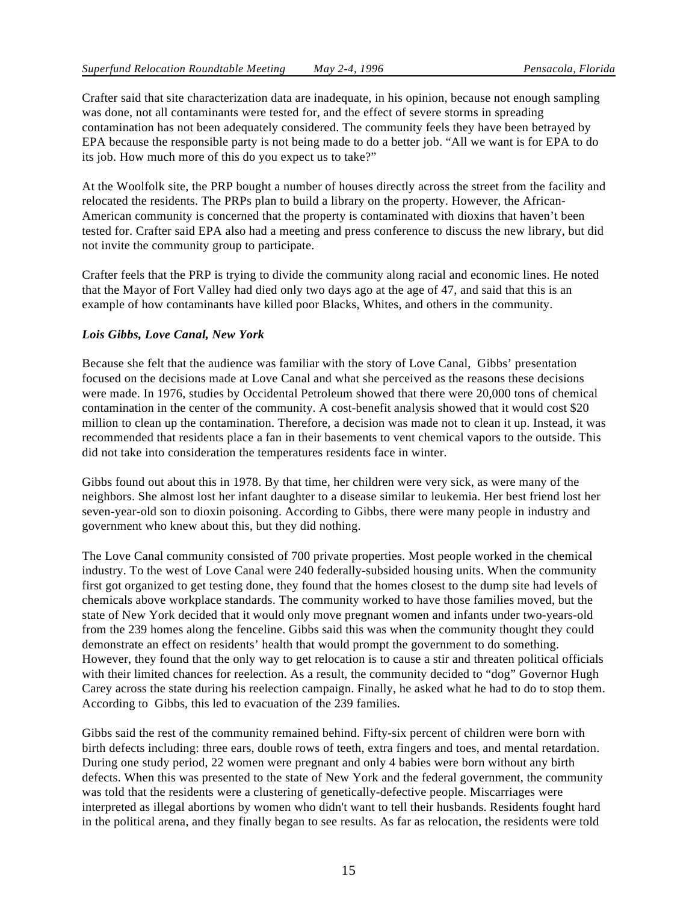Crafter said that site characterization data are inadequate, in his opinion, because not enough sampling was done, not all contaminants were tested for, and the effect of severe storms in spreading contamination has not been adequately considered. The community feels they have been betrayed by EPA because the responsible party is not being made to do a better job. "All we want is for EPA to do its job. How much more of this do you expect us to take?"

At the Woolfolk site, the PRP bought a number of houses directly across the street from the facility and relocated the residents. The PRPs plan to build a library on the property. However, the African-American community is concerned that the property is contaminated with dioxins that haven't been tested for. Crafter said EPA also had a meeting and press conference to discuss the new library, but did not invite the community group to participate.

Crafter feels that the PRP is trying to divide the community along racial and economic lines. He noted that the Mayor of Fort Valley had died only two days ago at the age of 47, and said that this is an example of how contaminants have killed poor Blacks, Whites, and others in the community.

#### *Lois Gibbs, Love Canal, New York*

Because she felt that the audience was familiar with the story of Love Canal, Gibbs' presentation focused on the decisions made at Love Canal and what she perceived as the reasons these decisions were made. In 1976, studies by Occidental Petroleum showed that there were 20,000 tons of chemical contamination in the center of the community. A cost-benefit analysis showed that it would cost \$20 million to clean up the contamination. Therefore, a decision was made not to clean it up. Instead, it was recommended that residents place a fan in their basements to vent chemical vapors to the outside. This did not take into consideration the temperatures residents face in winter.

Gibbs found out about this in 1978. By that time, her children were very sick, as were many of the neighbors. She almost lost her infant daughter to a disease similar to leukemia. Her best friend lost her seven-year-old son to dioxin poisoning. According to Gibbs, there were many people in industry and government who knew about this, but they did nothing.

The Love Canal community consisted of 700 private properties. Most people worked in the chemical industry. To the west of Love Canal were 240 federally-subsided housing units. When the community first got organized to get testing done, they found that the homes closest to the dump site had levels of chemicals above workplace standards. The community worked to have those families moved, but the state of New York decided that it would only move pregnant women and infants under two-years-old from the 239 homes along the fenceline. Gibbs said this was when the community thought they could demonstrate an effect on residents' health that would prompt the government to do something. However, they found that the only way to get relocation is to cause a stir and threaten political officials with their limited chances for reelection. As a result, the community decided to "dog" Governor Hugh Carey across the state during his reelection campaign. Finally, he asked what he had to do to stop them. According to Gibbs, this led to evacuation of the 239 families.

Gibbs said the rest of the community remained behind. Fifty-six percent of children were born with birth defects including: three ears, double rows of teeth, extra fingers and toes, and mental retardation. During one study period, 22 women were pregnant and only 4 babies were born without any birth defects. When this was presented to the state of New York and the federal government, the community was told that the residents were a clustering of genetically-defective people. Miscarriages were interpreted as illegal abortions by women who didn't want to tell their husbands. Residents fought hard in the political arena, and they finally began to see results. As far as relocation, the residents were told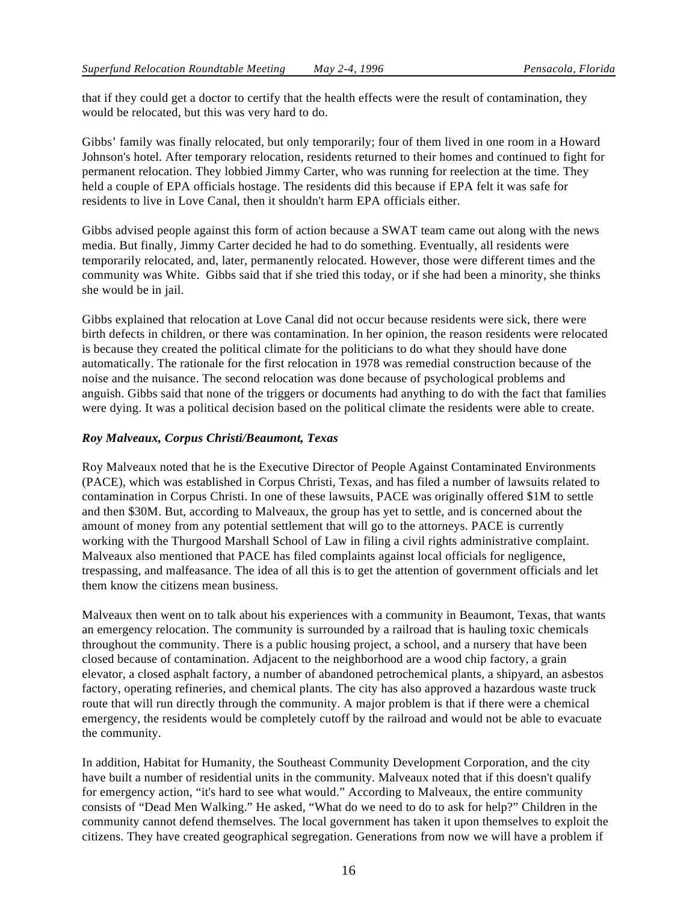that if they could get a doctor to certify that the health effects were the result of contamination, they would be relocated, but this was very hard to do.

Gibbs' family was finally relocated, but only temporarily; four of them lived in one room in a Howard Johnson's hotel. After temporary relocation, residents returned to their homes and continued to fight for permanent relocation. They lobbied Jimmy Carter, who was running for reelection at the time. They held a couple of EPA officials hostage. The residents did this because if EPA felt it was safe for residents to live in Love Canal, then it shouldn't harm EPA officials either.

Gibbs advised people against this form of action because a SWAT team came out along with the news media. But finally, Jimmy Carter decided he had to do something. Eventually, all residents were temporarily relocated, and, later, permanently relocated. However, those were different times and the community was White. Gibbs said that if she tried this today, or if she had been a minority, she thinks she would be in jail.

Gibbs explained that relocation at Love Canal did not occur because residents were sick, there were birth defects in children, or there was contamination. In her opinion, the reason residents were relocated is because they created the political climate for the politicians to do what they should have done automatically. The rationale for the first relocation in 1978 was remedial construction because of the noise and the nuisance. The second relocation was done because of psychological problems and anguish. Gibbs said that none of the triggers or documents had anything to do with the fact that families were dying. It was a political decision based on the political climate the residents were able to create.

#### *Roy Malveaux, Corpus Christi/Beaumont, Texas*

Roy Malveaux noted that he is the Executive Director of People Against Contaminated Environments (PACE), which was established in Corpus Christi, Texas, and has filed a number of lawsuits related to contamination in Corpus Christi. In one of these lawsuits, PACE was originally offered \$1M to settle and then \$30M. But, according to Malveaux, the group has yet to settle, and is concerned about the amount of money from any potential settlement that will go to the attorneys. PACE is currently working with the Thurgood Marshall School of Law in filing a civil rights administrative complaint. Malveaux also mentioned that PACE has filed complaints against local officials for negligence, trespassing, and malfeasance. The idea of all this is to get the attention of government officials and let them know the citizens mean business.

Malveaux then went on to talk about his experiences with a community in Beaumont, Texas, that wants an emergency relocation. The community is surrounded by a railroad that is hauling toxic chemicals throughout the community. There is a public housing project, a school, and a nursery that have been closed because of contamination. Adjacent to the neighborhood are a wood chip factory, a grain elevator, a closed asphalt factory, a number of abandoned petrochemical plants, a shipyard, an asbestos factory, operating refineries, and chemical plants. The city has also approved a hazardous waste truck route that will run directly through the community. A major problem is that if there were a chemical emergency, the residents would be completely cutoff by the railroad and would not be able to evacuate the community.

In addition, Habitat for Humanity, the Southeast Community Development Corporation, and the city have built a number of residential units in the community. Malveaux noted that if this doesn't qualify for emergency action, "it's hard to see what would." According to Malveaux, the entire community consists of "Dead Men Walking." He asked, "What do we need to do to ask for help?" Children in the community cannot defend themselves. The local government has taken it upon themselves to exploit the citizens. They have created geographical segregation. Generations from now we will have a problem if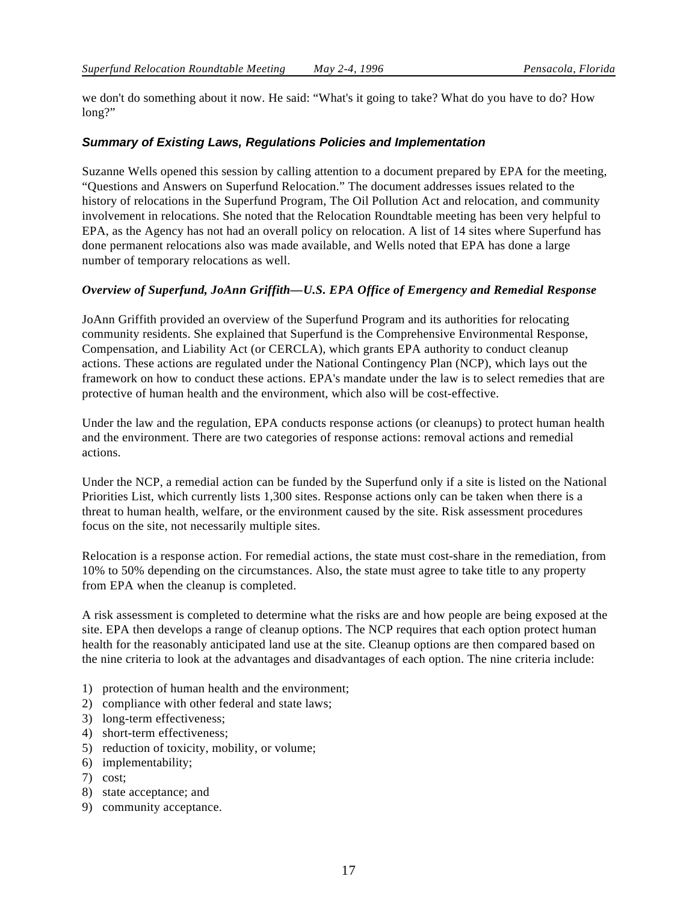we don't do something about it now. He said: "What's it going to take? What do you have to do? How long?"

#### **Summary of Existing Laws, Regulations Policies and Implementation**

Suzanne Wells opened this session by calling attention to a document prepared by EPA for the meeting, "Questions and Answers on Superfund Relocation." The document addresses issues related to the history of relocations in the Superfund Program, The Oil Pollution Act and relocation, and community involvement in relocations. She noted that the Relocation Roundtable meeting has been very helpful to EPA, as the Agency has not had an overall policy on relocation. A list of 14 sites where Superfund has done permanent relocations also was made available, and Wells noted that EPA has done a large number of temporary relocations as well.

#### *Overview of Superfund, JoAnn Griffith—U.S. EPA Office of Emergency and Remedial Response*

JoAnn Griffith provided an overview of the Superfund Program and its authorities for relocating community residents. She explained that Superfund is the Comprehensive Environmental Response, Compensation, and Liability Act (or CERCLA), which grants EPA authority to conduct cleanup actions. These actions are regulated under the National Contingency Plan (NCP), which lays out the framework on how to conduct these actions. EPA's mandate under the law is to select remedies that are protective of human health and the environment, which also will be cost-effective.

Under the law and the regulation, EPA conducts response actions (or cleanups) to protect human health and the environment. There are two categories of response actions: removal actions and remedial actions.

Under the NCP, a remedial action can be funded by the Superfund only if a site is listed on the National Priorities List, which currently lists 1,300 sites. Response actions only can be taken when there is a threat to human health, welfare, or the environment caused by the site. Risk assessment procedures focus on the site, not necessarily multiple sites.

Relocation is a response action. For remedial actions, the state must cost-share in the remediation, from 10% to 50% depending on the circumstances. Also, the state must agree to take title to any property from EPA when the cleanup is completed.

A risk assessment is completed to determine what the risks are and how people are being exposed at the site. EPA then develops a range of cleanup options. The NCP requires that each option protect human health for the reasonably anticipated land use at the site. Cleanup options are then compared based on the nine criteria to look at the advantages and disadvantages of each option. The nine criteria include:

- 1) protection of human health and the environment;
- 2) compliance with other federal and state laws;
- 3) long-term effectiveness;
- 4) short-term effectiveness;
- 5) reduction of toxicity, mobility, or volume;
- 6) implementability;
- 7) cost;
- 8) state acceptance; and
- 9) community acceptance.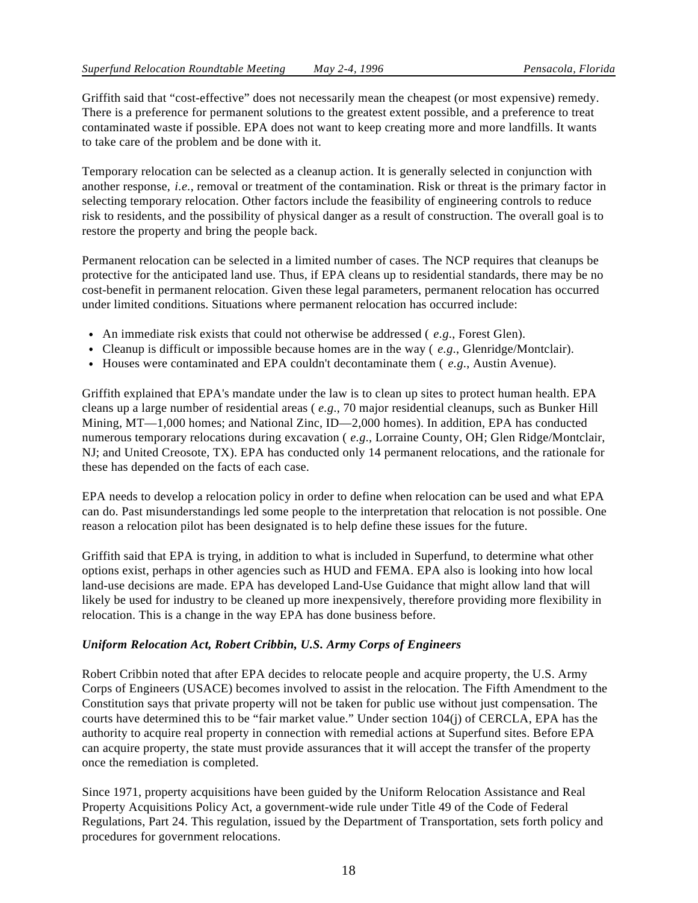Griffith said that "cost-effective" does not necessarily mean the cheapest (or most expensive) remedy. There is a preference for permanent solutions to the greatest extent possible, and a preference to treat contaminated waste if possible. EPA does not want to keep creating more and more landfills. It wants to take care of the problem and be done with it.

Temporary relocation can be selected as a cleanup action. It is generally selected in conjunction with another response, *i.e.*, removal or treatment of the contamination. Risk or threat is the primary factor in selecting temporary relocation. Other factors include the feasibility of engineering controls to reduce risk to residents, and the possibility of physical danger as a result of construction. The overall goal is to restore the property and bring the people back.

Permanent relocation can be selected in a limited number of cases. The NCP requires that cleanups be protective for the anticipated land use. Thus, if EPA cleans up to residential standards, there may be no cost-benefit in permanent relocation. Given these legal parameters, permanent relocation has occurred under limited conditions. Situations where permanent relocation has occurred include:

- An immediate risk exists that could not otherwise be addressed ( *e.g.*, Forest Glen).
- Cleanup is difficult or impossible because homes are in the way ( *e.g.*, Glenridge/Montclair).
- Houses were contaminated and EPA couldn't decontaminate them ( *e.g.*, Austin Avenue).

Griffith explained that EPA's mandate under the law is to clean up sites to protect human health. EPA cleans up a large number of residential areas ( *e.g.*, 70 major residential cleanups, such as Bunker Hill Mining, MT—1,000 homes; and National Zinc, ID—2,000 homes). In addition, EPA has conducted numerous temporary relocations during excavation ( *e.g.*, Lorraine County, OH; Glen Ridge/Montclair, NJ; and United Creosote, TX). EPA has conducted only 14 permanent relocations, and the rationale for these has depended on the facts of each case.

EPA needs to develop a relocation policy in order to define when relocation can be used and what EPA can do. Past misunderstandings led some people to the interpretation that relocation is not possible. One reason a relocation pilot has been designated is to help define these issues for the future.

Griffith said that EPA is trying, in addition to what is included in Superfund, to determine what other options exist, perhaps in other agencies such as HUD and FEMA. EPA also is looking into how local land-use decisions are made. EPA has developed Land-Use Guidance that might allow land that will likely be used for industry to be cleaned up more inexpensively, therefore providing more flexibility in relocation. This is a change in the way EPA has done business before.

#### *Uniform Relocation Act, Robert Cribbin, U.S. Army Corps of Engineers*

Robert Cribbin noted that after EPA decides to relocate people and acquire property, the U.S. Army Corps of Engineers (USACE) becomes involved to assist in the relocation. The Fifth Amendment to the Constitution says that private property will not be taken for public use without just compensation. The courts have determined this to be "fair market value." Under section 104(j) of CERCLA, EPA has the authority to acquire real property in connection with remedial actions at Superfund sites. Before EPA can acquire property, the state must provide assurances that it will accept the transfer of the property once the remediation is completed.

Since 1971, property acquisitions have been guided by the Uniform Relocation Assistance and Real Property Acquisitions Policy Act, a government-wide rule under Title 49 of the Code of Federal Regulations, Part 24. This regulation, issued by the Department of Transportation, sets forth policy and procedures for government relocations.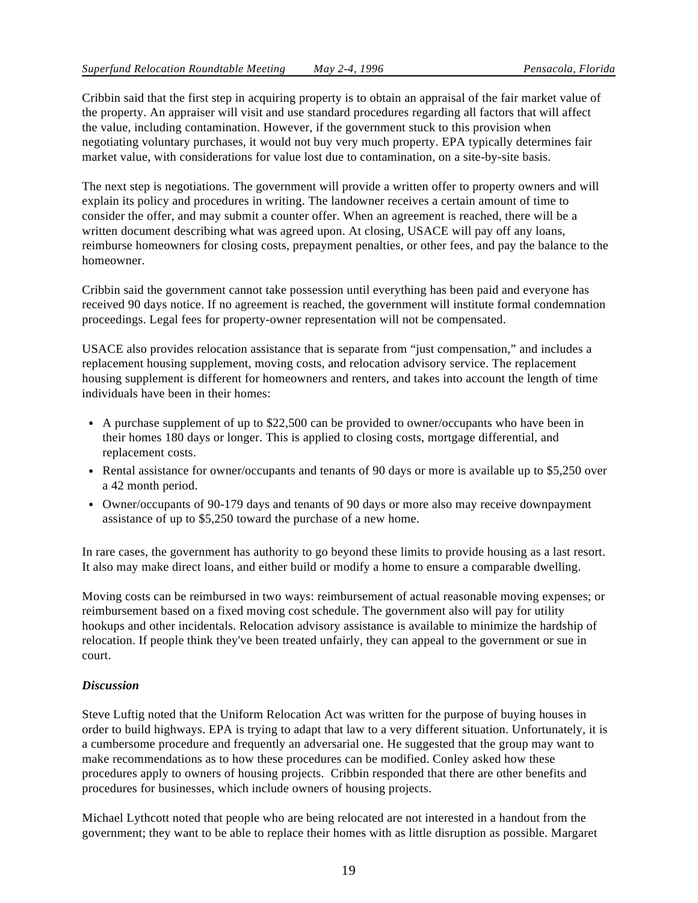Cribbin said that the first step in acquiring property is to obtain an appraisal of the fair market value of the property. An appraiser will visit and use standard procedures regarding all factors that will affect the value, including contamination. However, if the government stuck to this provision when negotiating voluntary purchases, it would not buy very much property. EPA typically determines fair market value, with considerations for value lost due to contamination, on a site-by-site basis.

The next step is negotiations. The government will provide a written offer to property owners and will explain its policy and procedures in writing. The landowner receives a certain amount of time to consider the offer, and may submit a counter offer. When an agreement is reached, there will be a written document describing what was agreed upon. At closing, USACE will pay off any loans, reimburse homeowners for closing costs, prepayment penalties, or other fees, and pay the balance to the homeowner.

Cribbin said the government cannot take possession until everything has been paid and everyone has received 90 days notice. If no agreement is reached, the government will institute formal condemnation proceedings. Legal fees for property-owner representation will not be compensated.

USACE also provides relocation assistance that is separate from "just compensation," and includes a replacement housing supplement, moving costs, and relocation advisory service. The replacement housing supplement is different for homeowners and renters, and takes into account the length of time individuals have been in their homes:

- A purchase supplement of up to \$22,500 can be provided to owner/occupants who have been in their homes 180 days or longer. This is applied to closing costs, mortgage differential, and replacement costs.
- Rental assistance for owner/occupants and tenants of 90 days or more is available up to \$5,250 over a 42 month period.
- Owner/occupants of 90-179 days and tenants of 90 days or more also may receive downpayment assistance of up to \$5,250 toward the purchase of a new home.

In rare cases, the government has authority to go beyond these limits to provide housing as a last resort. It also may make direct loans, and either build or modify a home to ensure a comparable dwelling.

Moving costs can be reimbursed in two ways: reimbursement of actual reasonable moving expenses; or reimbursement based on a fixed moving cost schedule. The government also will pay for utility hookups and other incidentals. Relocation advisory assistance is available to minimize the hardship of relocation. If people think they've been treated unfairly, they can appeal to the government or sue in court.

#### *Discussion*

Steve Luftig noted that the Uniform Relocation Act was written for the purpose of buying houses in order to build highways. EPA is trying to adapt that law to a very different situation. Unfortunately, it is a cumbersome procedure and frequently an adversarial one. He suggested that the group may want to make recommendations as to how these procedures can be modified. Conley asked how these procedures apply to owners of housing projects. Cribbin responded that there are other benefits and procedures for businesses, which include owners of housing projects.

Michael Lythcott noted that people who are being relocated are not interested in a handout from the government; they want to be able to replace their homes with as little disruption as possible. Margaret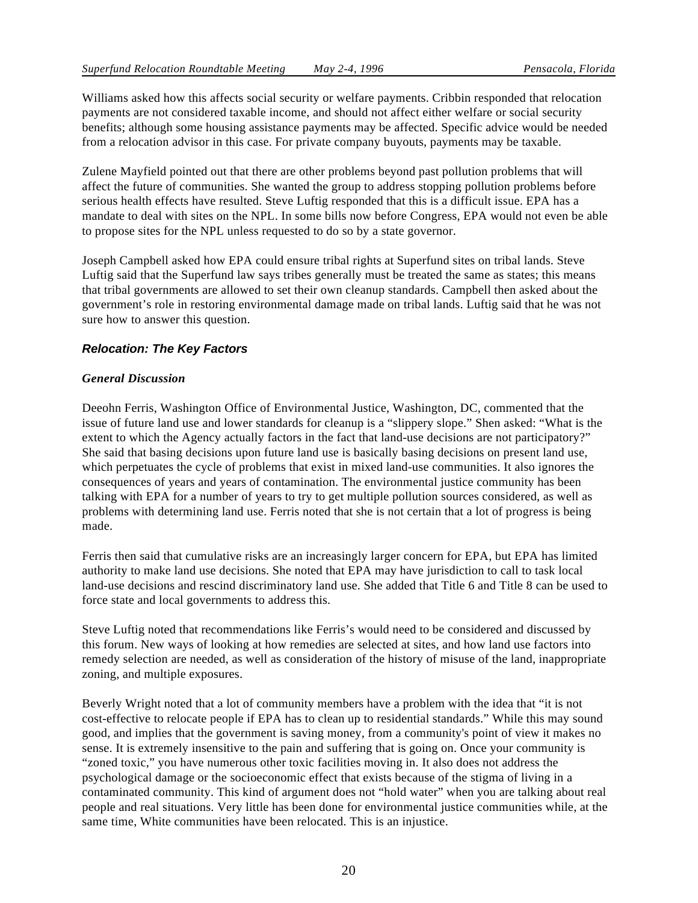Williams asked how this affects social security or welfare payments. Cribbin responded that relocation payments are not considered taxable income, and should not affect either welfare or social security benefits; although some housing assistance payments may be affected. Specific advice would be needed from a relocation advisor in this case. For private company buyouts, payments may be taxable.

Zulene Mayfield pointed out that there are other problems beyond past pollution problems that will affect the future of communities. She wanted the group to address stopping pollution problems before serious health effects have resulted. Steve Luftig responded that this is a difficult issue. EPA has a mandate to deal with sites on the NPL. In some bills now before Congress, EPA would not even be able to propose sites for the NPL unless requested to do so by a state governor.

Joseph Campbell asked how EPA could ensure tribal rights at Superfund sites on tribal lands. Steve Luftig said that the Superfund law says tribes generally must be treated the same as states; this means that tribal governments are allowed to set their own cleanup standards. Campbell then asked about the government's role in restoring environmental damage made on tribal lands. Luftig said that he was not sure how to answer this question.

#### **Relocation: The Key Factors**

#### *General Discussion*

Deeohn Ferris, Washington Office of Environmental Justice, Washington, DC, commented that the issue of future land use and lower standards for cleanup is a "slippery slope." Shen asked: "What is the extent to which the Agency actually factors in the fact that land-use decisions are not participatory?" She said that basing decisions upon future land use is basically basing decisions on present land use, which perpetuates the cycle of problems that exist in mixed land-use communities. It also ignores the consequences of years and years of contamination. The environmental justice community has been talking with EPA for a number of years to try to get multiple pollution sources considered, as well as problems with determining land use. Ferris noted that she is not certain that a lot of progress is being made.

Ferris then said that cumulative risks are an increasingly larger concern for EPA, but EPA has limited authority to make land use decisions. She noted that EPA may have jurisdiction to call to task local land-use decisions and rescind discriminatory land use. She added that Title 6 and Title 8 can be used to force state and local governments to address this.

Steve Luftig noted that recommendations like Ferris's would need to be considered and discussed by this forum. New ways of looking at how remedies are selected at sites, and how land use factors into remedy selection are needed, as well as consideration of the history of misuse of the land, inappropriate zoning, and multiple exposures.

Beverly Wright noted that a lot of community members have a problem with the idea that "it is not cost-effective to relocate people if EPA has to clean up to residential standards." While this may sound good, and implies that the government is saving money, from a community's point of view it makes no sense. It is extremely insensitive to the pain and suffering that is going on. Once your community is "zoned toxic," you have numerous other toxic facilities moving in. It also does not address the psychological damage or the socioeconomic effect that exists because of the stigma of living in a contaminated community. This kind of argument does not "hold water" when you are talking about real people and real situations. Very little has been done for environmental justice communities while, at the same time, White communities have been relocated. This is an injustice.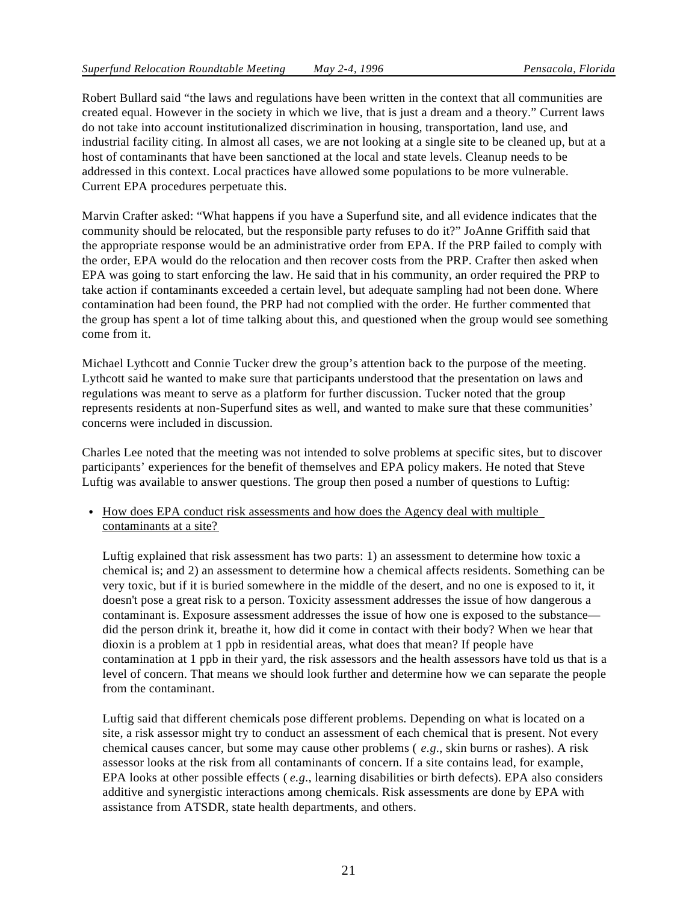Robert Bullard said "the laws and regulations have been written in the context that all communities are created equal. However in the society in which we live, that is just a dream and a theory." Current laws do not take into account institutionalized discrimination in housing, transportation, land use, and industrial facility citing. In almost all cases, we are not looking at a single site to be cleaned up, but at a host of contaminants that have been sanctioned at the local and state levels. Cleanup needs to be addressed in this context. Local practices have allowed some populations to be more vulnerable. Current EPA procedures perpetuate this.

Marvin Crafter asked: "What happens if you have a Superfund site, and all evidence indicates that the community should be relocated, but the responsible party refuses to do it?" JoAnne Griffith said that the appropriate response would be an administrative order from EPA. If the PRP failed to comply with the order, EPA would do the relocation and then recover costs from the PRP. Crafter then asked when EPA was going to start enforcing the law. He said that in his community, an order required the PRP to take action if contaminants exceeded a certain level, but adequate sampling had not been done. Where contamination had been found, the PRP had not complied with the order. He further commented that the group has spent a lot of time talking about this, and questioned when the group would see something come from it.

Michael Lythcott and Connie Tucker drew the group's attention back to the purpose of the meeting. Lythcott said he wanted to make sure that participants understood that the presentation on laws and regulations was meant to serve as a platform for further discussion. Tucker noted that the group represents residents at non-Superfund sites as well, and wanted to make sure that these communities' concerns were included in discussion.

Charles Lee noted that the meeting was not intended to solve problems at specific sites, but to discover participants' experiences for the benefit of themselves and EPA policy makers. He noted that Steve Luftig was available to answer questions. The group then posed a number of questions to Luftig:

How does EPA conduct risk assessments and how does the Agency deal with multiple contaminants at a site?

Luftig explained that risk assessment has two parts: 1) an assessment to determine how toxic a chemical is; and 2) an assessment to determine how a chemical affects residents. Something can be very toxic, but if it is buried somewhere in the middle of the desert, and no one is exposed to it, it doesn't pose a great risk to a person. Toxicity assessment addresses the issue of how dangerous a contaminant is. Exposure assessment addresses the issue of how one is exposed to the substance did the person drink it, breathe it, how did it come in contact with their body? When we hear that dioxin is a problem at 1 ppb in residential areas, what does that mean? If people have contamination at 1 ppb in their yard, the risk assessors and the health assessors have told us that is a level of concern. That means we should look further and determine how we can separate the people from the contaminant.

Luftig said that different chemicals pose different problems. Depending on what is located on a site, a risk assessor might try to conduct an assessment of each chemical that is present. Not every chemical causes cancer, but some may cause other problems ( *e.g.*, skin burns or rashes). A risk assessor looks at the risk from all contaminants of concern. If a site contains lead, for example, EPA looks at other possible effects ( *e.g.*, learning disabilities or birth defects). EPA also considers additive and synergistic interactions among chemicals. Risk assessments are done by EPA with assistance from ATSDR, state health departments, and others.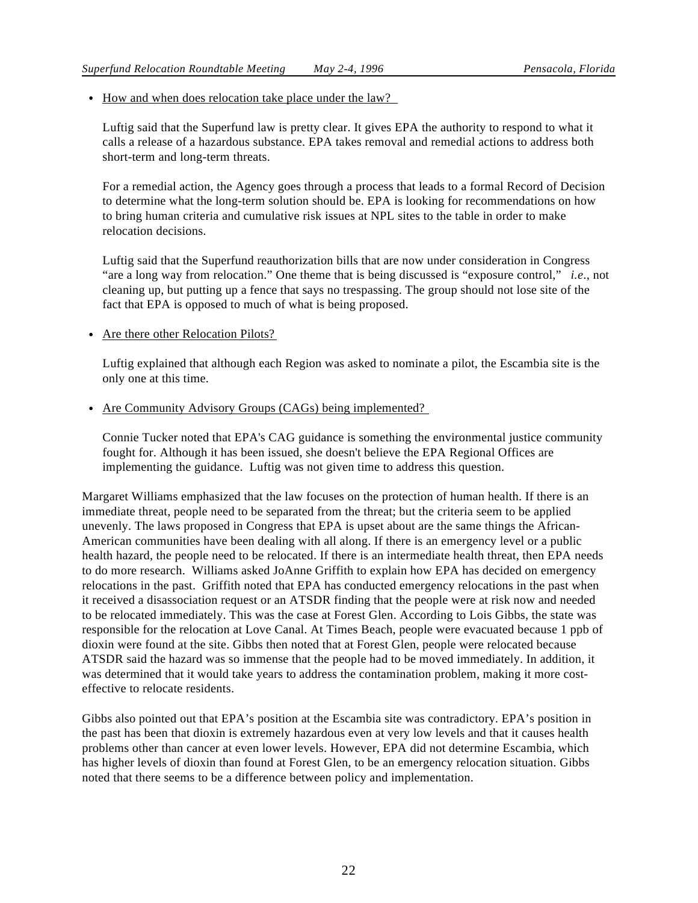• How and when does relocation take place under the law?

Luftig said that the Superfund law is pretty clear. It gives EPA the authority to respond to what it calls a release of a hazardous substance. EPA takes removal and remedial actions to address both short-term and long-term threats.

For a remedial action, the Agency goes through a process that leads to a formal Record of Decision to determine what the long-term solution should be. EPA is looking for recommendations on how to bring human criteria and cumulative risk issues at NPL sites to the table in order to make relocation decisions.

Luftig said that the Superfund reauthorization bills that are now under consideration in Congress "are a long way from relocation." One theme that is being discussed is "exposure control," *i.e.*, not cleaning up, but putting up a fence that says no trespassing. The group should not lose site of the fact that EPA is opposed to much of what is being proposed.

#### • Are there other Relocation Pilots?

Luftig explained that although each Region was asked to nominate a pilot, the Escambia site is the only one at this time.

• Are Community Advisory Groups (CAGs) being implemented?

Connie Tucker noted that EPA's CAG guidance is something the environmental justice community fought for. Although it has been issued, she doesn't believe the EPA Regional Offices are implementing the guidance. Luftig was not given time to address this question.

Margaret Williams emphasized that the law focuses on the protection of human health. If there is an immediate threat, people need to be separated from the threat; but the criteria seem to be applied unevenly. The laws proposed in Congress that EPA is upset about are the same things the African-American communities have been dealing with all along. If there is an emergency level or a public health hazard, the people need to be relocated. If there is an intermediate health threat, then EPA needs to do more research. Williams asked JoAnne Griffith to explain how EPA has decided on emergency relocations in the past. Griffith noted that EPA has conducted emergency relocations in the past when it received a disassociation request or an ATSDR finding that the people were at risk now and needed to be relocated immediately. This was the case at Forest Glen. According to Lois Gibbs, the state was responsible for the relocation at Love Canal. At Times Beach, people were evacuated because 1 ppb of dioxin were found at the site. Gibbs then noted that at Forest Glen, people were relocated because ATSDR said the hazard was so immense that the people had to be moved immediately. In addition, it was determined that it would take years to address the contamination problem, making it more costeffective to relocate residents.

Gibbs also pointed out that EPA's position at the Escambia site was contradictory. EPA's position in the past has been that dioxin is extremely hazardous even at very low levels and that it causes health problems other than cancer at even lower levels. However, EPA did not determine Escambia, which has higher levels of dioxin than found at Forest Glen, to be an emergency relocation situation. Gibbs noted that there seems to be a difference between policy and implementation.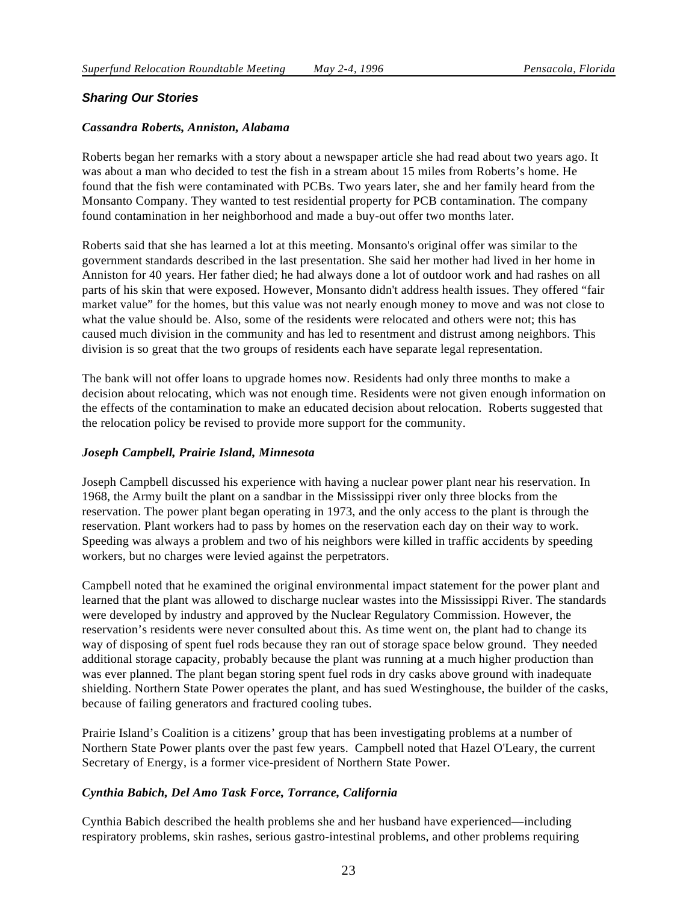#### **Sharing Our Stories**

#### *Cassandra Roberts, Anniston, Alabama*

Roberts began her remarks with a story about a newspaper article she had read about two years ago. It was about a man who decided to test the fish in a stream about 15 miles from Roberts's home. He found that the fish were contaminated with PCBs. Two years later, she and her family heard from the Monsanto Company. They wanted to test residential property for PCB contamination. The company found contamination in her neighborhood and made a buy-out offer two months later.

Roberts said that she has learned a lot at this meeting. Monsanto's original offer was similar to the government standards described in the last presentation. She said her mother had lived in her home in Anniston for 40 years. Her father died; he had always done a lot of outdoor work and had rashes on all parts of his skin that were exposed. However, Monsanto didn't address health issues. They offered "fair market value" for the homes, but this value was not nearly enough money to move and was not close to what the value should be. Also, some of the residents were relocated and others were not; this has caused much division in the community and has led to resentment and distrust among neighbors. This division is so great that the two groups of residents each have separate legal representation.

The bank will not offer loans to upgrade homes now. Residents had only three months to make a decision about relocating, which was not enough time. Residents were not given enough information on the effects of the contamination to make an educated decision about relocation. Roberts suggested that the relocation policy be revised to provide more support for the community.

#### *Joseph Campbell, Prairie Island, Minnesota*

Joseph Campbell discussed his experience with having a nuclear power plant near his reservation. In 1968, the Army built the plant on a sandbar in the Mississippi river only three blocks from the reservation. The power plant began operating in 1973, and the only access to the plant is through the reservation. Plant workers had to pass by homes on the reservation each day on their way to work. Speeding was always a problem and two of his neighbors were killed in traffic accidents by speeding workers, but no charges were levied against the perpetrators.

Campbell noted that he examined the original environmental impact statement for the power plant and learned that the plant was allowed to discharge nuclear wastes into the Mississippi River. The standards were developed by industry and approved by the Nuclear Regulatory Commission. However, the reservation's residents were never consulted about this. As time went on, the plant had to change its way of disposing of spent fuel rods because they ran out of storage space below ground. They needed additional storage capacity, probably because the plant was running at a much higher production than was ever planned. The plant began storing spent fuel rods in dry casks above ground with inadequate shielding. Northern State Power operates the plant, and has sued Westinghouse, the builder of the casks, because of failing generators and fractured cooling tubes.

Prairie Island's Coalition is a citizens' group that has been investigating problems at a number of Northern State Power plants over the past few years. Campbell noted that Hazel O'Leary, the current Secretary of Energy, is a former vice-president of Northern State Power.

#### *Cynthia Babich, Del Amo Task Force, Torrance, California*

Cynthia Babich described the health problems she and her husband have experienced—including respiratory problems, skin rashes, serious gastro-intestinal problems, and other problems requiring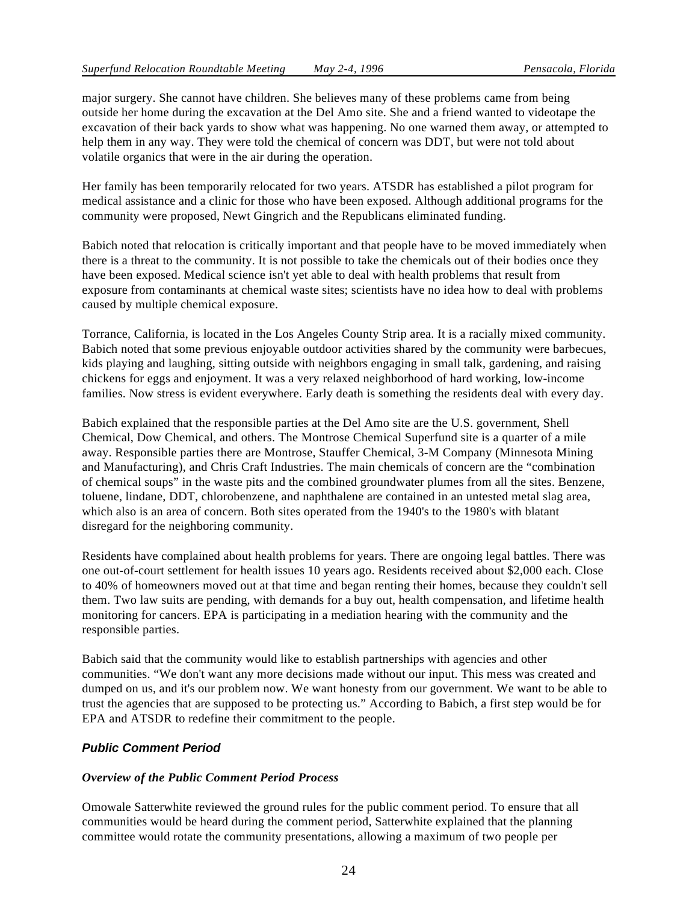major surgery. She cannot have children. She believes many of these problems came from being outside her home during the excavation at the Del Amo site. She and a friend wanted to videotape the excavation of their back yards to show what was happening. No one warned them away, or attempted to help them in any way. They were told the chemical of concern was DDT, but were not told about volatile organics that were in the air during the operation.

Her family has been temporarily relocated for two years. ATSDR has established a pilot program for medical assistance and a clinic for those who have been exposed. Although additional programs for the community were proposed, Newt Gingrich and the Republicans eliminated funding.

Babich noted that relocation is critically important and that people have to be moved immediately when there is a threat to the community. It is not possible to take the chemicals out of their bodies once they have been exposed. Medical science isn't yet able to deal with health problems that result from exposure from contaminants at chemical waste sites; scientists have no idea how to deal with problems caused by multiple chemical exposure.

Torrance, California, is located in the Los Angeles County Strip area. It is a racially mixed community. Babich noted that some previous enjoyable outdoor activities shared by the community were barbecues, kids playing and laughing, sitting outside with neighbors engaging in small talk, gardening, and raising chickens for eggs and enjoyment. It was a very relaxed neighborhood of hard working, low-income families. Now stress is evident everywhere. Early death is something the residents deal with every day.

Babich explained that the responsible parties at the Del Amo site are the U.S. government, Shell Chemical, Dow Chemical, and others. The Montrose Chemical Superfund site is a quarter of a mile away. Responsible parties there are Montrose, Stauffer Chemical, 3-M Company (Minnesota Mining and Manufacturing), and Chris Craft Industries. The main chemicals of concern are the "combination of chemical soups" in the waste pits and the combined groundwater plumes from all the sites. Benzene, toluene, lindane, DDT, chlorobenzene, and naphthalene are contained in an untested metal slag area, which also is an area of concern. Both sites operated from the 1940's to the 1980's with blatant disregard for the neighboring community.

Residents have complained about health problems for years. There are ongoing legal battles. There was one out-of-court settlement for health issues 10 years ago. Residents received about \$2,000 each. Close to 40% of homeowners moved out at that time and began renting their homes, because they couldn't sell them. Two law suits are pending, with demands for a buy out, health compensation, and lifetime health monitoring for cancers. EPA is participating in a mediation hearing with the community and the responsible parties.

Babich said that the community would like to establish partnerships with agencies and other communities. "We don't want any more decisions made without our input. This mess was created and dumped on us, and it's our problem now. We want honesty from our government. We want to be able to trust the agencies that are supposed to be protecting us." According to Babich, a first step would be for EPA and ATSDR to redefine their commitment to the people.

#### **Public Comment Period**

#### *Overview of the Public Comment Period Process*

Omowale Satterwhite reviewed the ground rules for the public comment period. To ensure that all communities would be heard during the comment period, Satterwhite explained that the planning committee would rotate the community presentations, allowing a maximum of two people per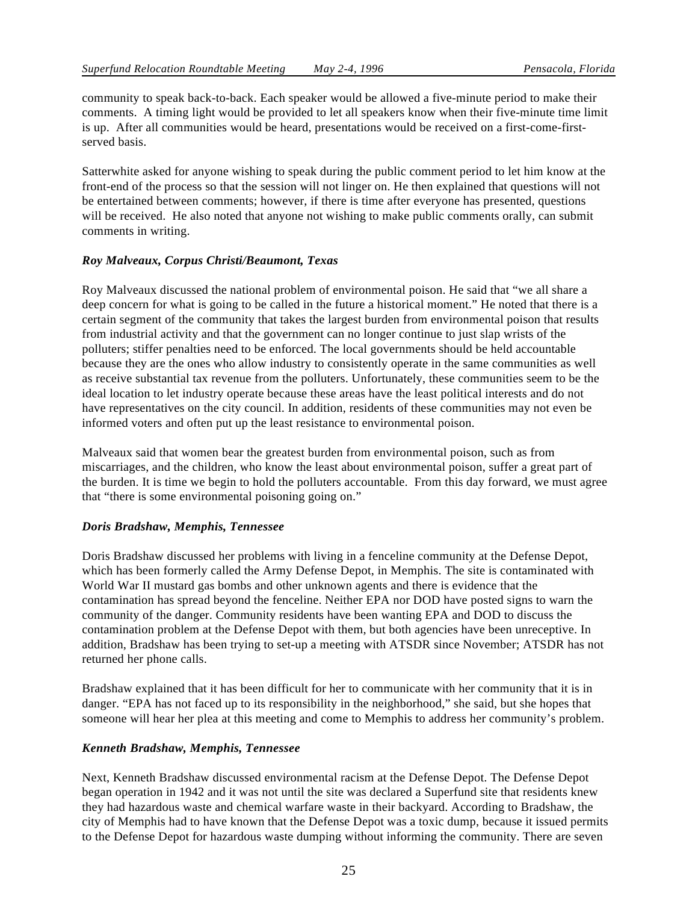community to speak back-to-back. Each speaker would be allowed a five-minute period to make their comments. A timing light would be provided to let all speakers know when their five-minute time limit is up. After all communities would be heard, presentations would be received on a first-come-firstserved basis.

Satterwhite asked for anyone wishing to speak during the public comment period to let him know at the front-end of the process so that the session will not linger on. He then explained that questions will not be entertained between comments; however, if there is time after everyone has presented, questions will be received. He also noted that anyone not wishing to make public comments orally, can submit comments in writing.

#### *Roy Malveaux, Corpus Christi/Beaumont, Texas*

Roy Malveaux discussed the national problem of environmental poison. He said that "we all share a deep concern for what is going to be called in the future a historical moment." He noted that there is a certain segment of the community that takes the largest burden from environmental poison that results from industrial activity and that the government can no longer continue to just slap wrists of the polluters; stiffer penalties need to be enforced. The local governments should be held accountable because they are the ones who allow industry to consistently operate in the same communities as well as receive substantial tax revenue from the polluters. Unfortunately, these communities seem to be the ideal location to let industry operate because these areas have the least political interests and do not have representatives on the city council. In addition, residents of these communities may not even be informed voters and often put up the least resistance to environmental poison.

Malveaux said that women bear the greatest burden from environmental poison, such as from miscarriages, and the children, who know the least about environmental poison, suffer a great part of the burden. It is time we begin to hold the polluters accountable. From this day forward, we must agree that "there is some environmental poisoning going on."

#### *Doris Bradshaw, Memphis, Tennessee*

Doris Bradshaw discussed her problems with living in a fenceline community at the Defense Depot, which has been formerly called the Army Defense Depot, in Memphis. The site is contaminated with World War II mustard gas bombs and other unknown agents and there is evidence that the contamination has spread beyond the fenceline. Neither EPA nor DOD have posted signs to warn the community of the danger. Community residents have been wanting EPA and DOD to discuss the contamination problem at the Defense Depot with them, but both agencies have been unreceptive. In addition, Bradshaw has been trying to set-up a meeting with ATSDR since November; ATSDR has not returned her phone calls.

Bradshaw explained that it has been difficult for her to communicate with her community that it is in danger. "EPA has not faced up to its responsibility in the neighborhood," she said, but she hopes that someone will hear her plea at this meeting and come to Memphis to address her community's problem.

#### *Kenneth Bradshaw, Memphis, Tennessee*

Next, Kenneth Bradshaw discussed environmental racism at the Defense Depot. The Defense Depot began operation in 1942 and it was not until the site was declared a Superfund site that residents knew they had hazardous waste and chemical warfare waste in their backyard. According to Bradshaw, the city of Memphis had to have known that the Defense Depot was a toxic dump, because it issued permits to the Defense Depot for hazardous waste dumping without informing the community. There are seven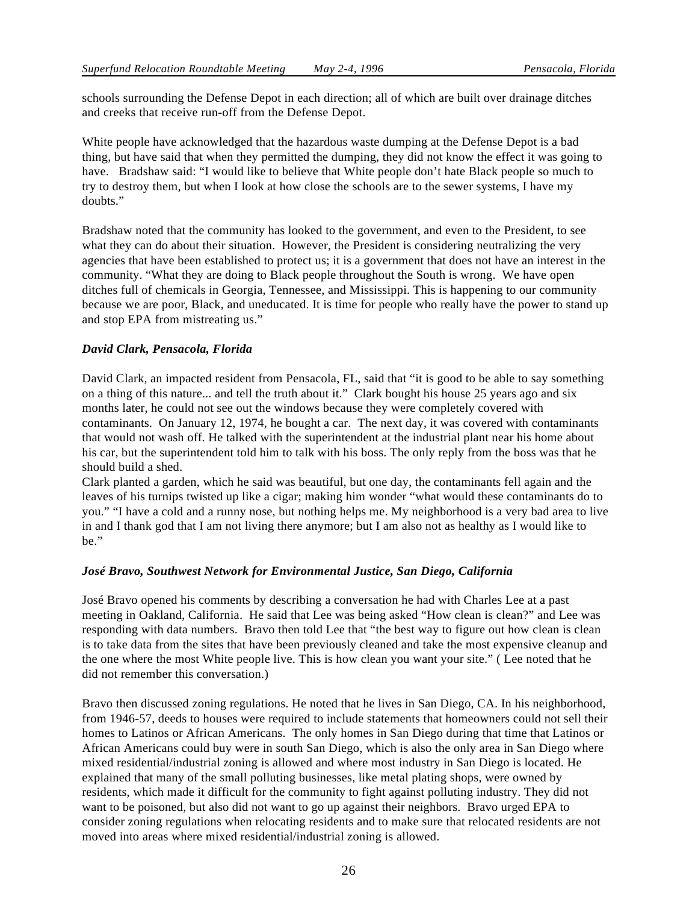schools surrounding the Defense Depot in each direction; all of which are built over drainage ditches and creeks that receive run-off from the Defense Depot.

White people have acknowledged that the hazardous waste dumping at the Defense Depot is a bad thing, but have said that when they permitted the dumping, they did not know the effect it was going to have. Bradshaw said: "I would like to believe that White people don't hate Black people so much to try to destroy them, but when I look at how close the schools are to the sewer systems, I have my doubts."

Bradshaw noted that the community has looked to the government, and even to the President, to see what they can do about their situation. However, the President is considering neutralizing the very agencies that have been established to protect us; it is a government that does not have an interest in the community. "What they are doing to Black people throughout the South is wrong. We have open ditches full of chemicals in Georgia, Tennessee, and Mississippi. This is happening to our community because we are poor, Black, and uneducated. It is time for people who really have the power to stand up and stop EPA from mistreating us."

#### *David Clark, Pensacola, Florida*

David Clark, an impacted resident from Pensacola, FL, said that "it is good to be able to say something on a thing of this nature... and tell the truth about it." Clark bought his house 25 years ago and six months later, he could not see out the windows because they were completely covered with contaminants. On January 12, 1974, he bought a car. The next day, it was covered with contaminants that would not wash off. He talked with the superintendent at the industrial plant near his home about his car, but the superintendent told him to talk with his boss. The only reply from the boss was that he should build a shed.

Clark planted a garden, which he said was beautiful, but one day, the contaminants fell again and the leaves of his turnips twisted up like a cigar; making him wonder "what would these contaminants do to you." "I have a cold and a runny nose, but nothing helps me. My neighborhood is a very bad area to live in and I thank god that I am not living there anymore; but I am also not as healthy as I would like to be."

#### *José Bravo, Southwest Network for Environmental Justice, San Diego, California*

José Bravo opened his comments by describing a conversation he had with Charles Lee at a past meeting in Oakland, California. He said that Lee was being asked "How clean is clean?" and Lee was responding with data numbers. Bravo then told Lee that "the best way to figure out how clean is clean is to take data from the sites that have been previously cleaned and take the most expensive cleanup and the one where the most White people live. This is how clean you want your site." ( Lee noted that he did not remember this conversation.)

Bravo then discussed zoning regulations. He noted that he lives in San Diego, CA. In his neighborhood, from 1946-57, deeds to houses were required to include statements that homeowners could not sell their homes to Latinos or African Americans. The only homes in San Diego during that time that Latinos or African Americans could buy were in south San Diego, which is also the only area in San Diego where mixed residential/industrial zoning is allowed and where most industry in San Diego is located. He explained that many of the small polluting businesses, like metal plating shops, were owned by residents, which made it difficult for the community to fight against polluting industry. They did not want to be poisoned, but also did not want to go up against their neighbors. Bravo urged EPA to consider zoning regulations when relocating residents and to make sure that relocated residents are not moved into areas where mixed residential/industrial zoning is allowed.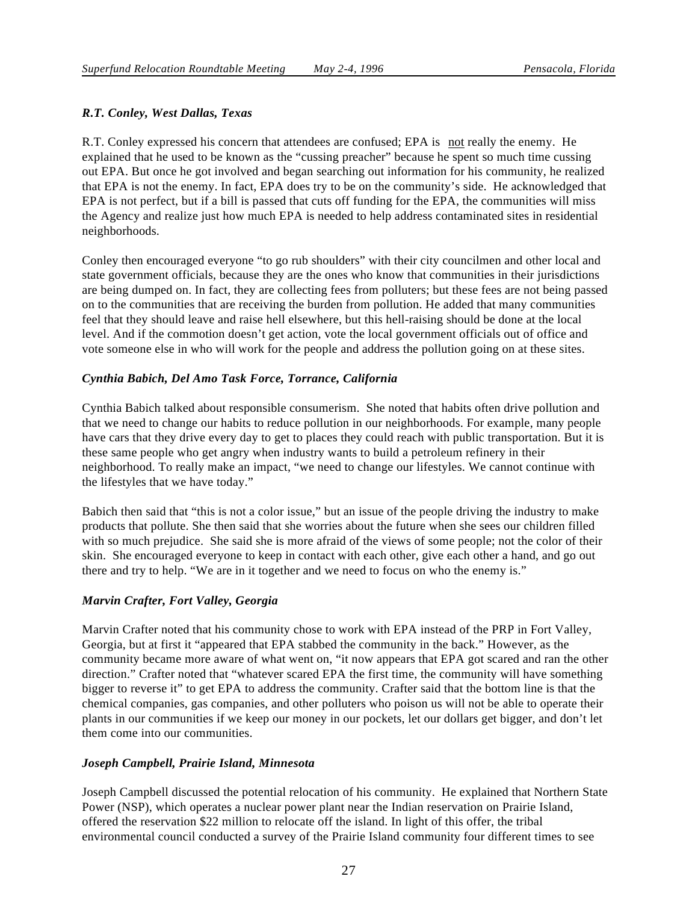#### *R.T. Conley, West Dallas, Texas*

R.T. Conley expressed his concern that attendees are confused; EPA is not really the enemy. He explained that he used to be known as the "cussing preacher" because he spent so much time cussing out EPA. But once he got involved and began searching out information for his community, he realized that EPA is not the enemy. In fact, EPA does try to be on the community's side. He acknowledged that EPA is not perfect, but if a bill is passed that cuts off funding for the EPA, the communities will miss the Agency and realize just how much EPA is needed to help address contaminated sites in residential neighborhoods.

Conley then encouraged everyone "to go rub shoulders" with their city councilmen and other local and state government officials, because they are the ones who know that communities in their jurisdictions are being dumped on. In fact, they are collecting fees from polluters; but these fees are not being passed on to the communities that are receiving the burden from pollution. He added that many communities feel that they should leave and raise hell elsewhere, but this hell-raising should be done at the local level. And if the commotion doesn't get action, vote the local government officials out of office and vote someone else in who will work for the people and address the pollution going on at these sites.

#### *Cynthia Babich, Del Amo Task Force, Torrance, California*

Cynthia Babich talked about responsible consumerism. She noted that habits often drive pollution and that we need to change our habits to reduce pollution in our neighborhoods. For example, many people have cars that they drive every day to get to places they could reach with public transportation. But it is these same people who get angry when industry wants to build a petroleum refinery in their neighborhood. To really make an impact, "we need to change our lifestyles. We cannot continue with the lifestyles that we have today."

Babich then said that "this is not a color issue," but an issue of the people driving the industry to make products that pollute. She then said that she worries about the future when she sees our children filled with so much prejudice. She said she is more afraid of the views of some people; not the color of their skin. She encouraged everyone to keep in contact with each other, give each other a hand, and go out there and try to help. "We are in it together and we need to focus on who the enemy is."

#### *Marvin Crafter, Fort Valley, Georgia*

Marvin Crafter noted that his community chose to work with EPA instead of the PRP in Fort Valley, Georgia, but at first it "appeared that EPA stabbed the community in the back." However, as the community became more aware of what went on, "it now appears that EPA got scared and ran the other direction." Crafter noted that "whatever scared EPA the first time, the community will have something bigger to reverse it" to get EPA to address the community. Crafter said that the bottom line is that the chemical companies, gas companies, and other polluters who poison us will not be able to operate their plants in our communities if we keep our money in our pockets, let our dollars get bigger, and don't let them come into our communities.

#### *Joseph Campbell, Prairie Island, Minnesota*

Joseph Campbell discussed the potential relocation of his community. He explained that Northern State Power (NSP), which operates a nuclear power plant near the Indian reservation on Prairie Island, offered the reservation \$22 million to relocate off the island. In light of this offer, the tribal environmental council conducted a survey of the Prairie Island community four different times to see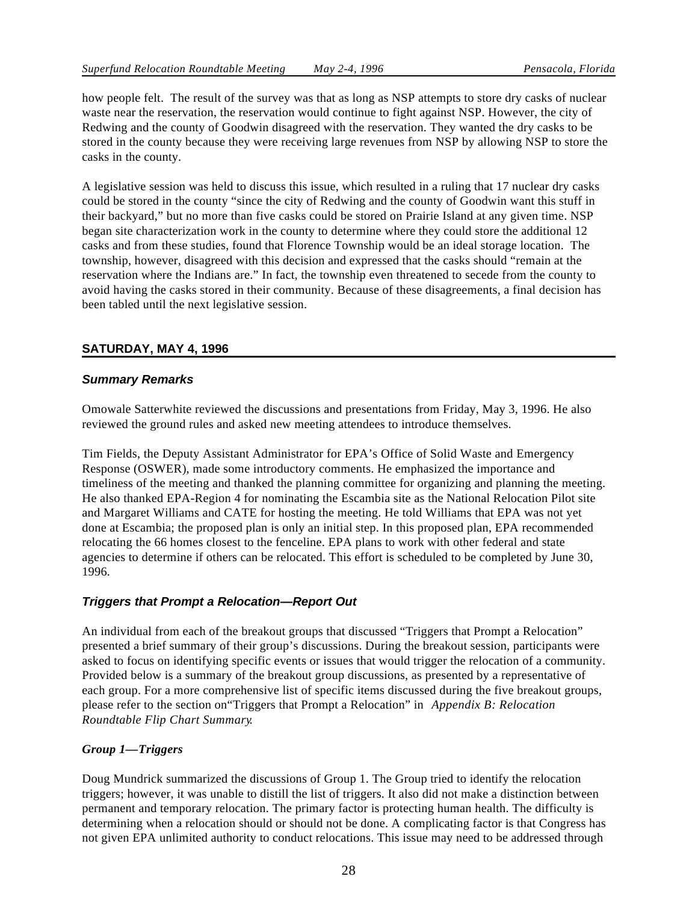how people felt. The result of the survey was that as long as NSP attempts to store dry casks of nuclear waste near the reservation, the reservation would continue to fight against NSP. However, the city of Redwing and the county of Goodwin disagreed with the reservation. They wanted the dry casks to be stored in the county because they were receiving large revenues from NSP by allowing NSP to store the casks in the county.

A legislative session was held to discuss this issue, which resulted in a ruling that 17 nuclear dry casks could be stored in the county "since the city of Redwing and the county of Goodwin want this stuff in their backyard," but no more than five casks could be stored on Prairie Island at any given time. NSP began site characterization work in the county to determine where they could store the additional 12 casks and from these studies, found that Florence Township would be an ideal storage location. The township, however, disagreed with this decision and expressed that the casks should "remain at the reservation where the Indians are." In fact, the township even threatened to secede from the county to avoid having the casks stored in their community. Because of these disagreements, a final decision has been tabled until the next legislative session.

#### **SATURDAY, MAY 4, 1996**

#### **Summary Remarks**

Omowale Satterwhite reviewed the discussions and presentations from Friday, May 3, 1996. He also reviewed the ground rules and asked new meeting attendees to introduce themselves.

Tim Fields, the Deputy Assistant Administrator for EPA's Office of Solid Waste and Emergency Response (OSWER), made some introductory comments. He emphasized the importance and timeliness of the meeting and thanked the planning committee for organizing and planning the meeting. He also thanked EPA-Region 4 for nominating the Escambia site as the National Relocation Pilot site and Margaret Williams and CATE for hosting the meeting. He told Williams that EPA was not yet done at Escambia; the proposed plan is only an initial step. In this proposed plan, EPA recommended relocating the 66 homes closest to the fenceline. EPA plans to work with other federal and state agencies to determine if others can be relocated. This effort is scheduled to be completed by June 30, 1996.

#### **Triggers that Prompt a Relocation—Report Out**

An individual from each of the breakout groups that discussed "Triggers that Prompt a Relocation" presented a brief summary of their group's discussions. During the breakout session, participants were asked to focus on identifying specific events or issues that would trigger the relocation of a community. Provided below is a summary of the breakout group discussions, as presented by a representative of each group. For a more comprehensive list of specific items discussed during the five breakout groups, please refer to the section on"Triggers that Prompt a Relocation" in *Appendix B: Relocation Roundtable Flip Chart Summary*.

#### *Group 1—Triggers*

Doug Mundrick summarized the discussions of Group 1. The Group tried to identify the relocation triggers; however, it was unable to distill the list of triggers. It also did not make a distinction between permanent and temporary relocation. The primary factor is protecting human health. The difficulty is determining when a relocation should or should not be done. A complicating factor is that Congress has not given EPA unlimited authority to conduct relocations. This issue may need to be addressed through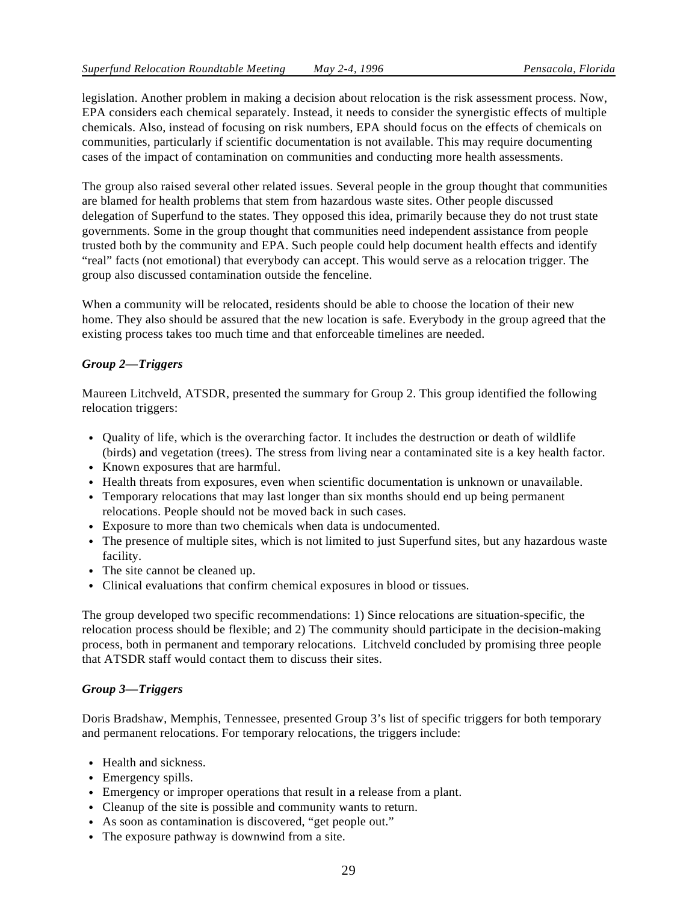legislation. Another problem in making a decision about relocation is the risk assessment process. Now, EPA considers each chemical separately. Instead, it needs to consider the synergistic effects of multiple chemicals. Also, instead of focusing on risk numbers, EPA should focus on the effects of chemicals on communities, particularly if scientific documentation is not available. This may require documenting cases of the impact of contamination on communities and conducting more health assessments.

The group also raised several other related issues. Several people in the group thought that communities are blamed for health problems that stem from hazardous waste sites. Other people discussed delegation of Superfund to the states. They opposed this idea, primarily because they do not trust state governments. Some in the group thought that communities need independent assistance from people trusted both by the community and EPA. Such people could help document health effects and identify "real" facts (not emotional) that everybody can accept. This would serve as a relocation trigger. The group also discussed contamination outside the fenceline.

When a community will be relocated, residents should be able to choose the location of their new home. They also should be assured that the new location is safe. Everybody in the group agreed that the existing process takes too much time and that enforceable timelines are needed.

#### *Group 2—Triggers*

Maureen Litchveld, ATSDR, presented the summary for Group 2. This group identified the following relocation triggers:

- Quality of life, which is the overarching factor. It includes the destruction or death of wildlife (birds) and vegetation (trees). The stress from living near a contaminated site is a key health factor.
- Known exposures that are harmful.
- Health threats from exposures, even when scientific documentation is unknown or unavailable.
- Temporary relocations that may last longer than six months should end up being permanent relocations. People should not be moved back in such cases.
- Exposure to more than two chemicals when data is undocumented.
- The presence of multiple sites, which is not limited to just Superfund sites, but any hazardous waste facility.
- The site cannot be cleaned up.
- Clinical evaluations that confirm chemical exposures in blood or tissues.

The group developed two specific recommendations: 1) Since relocations are situation-specific, the relocation process should be flexible; and 2) The community should participate in the decision-making process, both in permanent and temporary relocations. Litchveld concluded by promising three people that ATSDR staff would contact them to discuss their sites.

#### *Group 3—Triggers*

Doris Bradshaw, Memphis, Tennessee, presented Group 3's list of specific triggers for both temporary and permanent relocations. For temporary relocations, the triggers include:

- Health and sickness.
- Emergency spills.
- Emergency or improper operations that result in a release from a plant.
- Cleanup of the site is possible and community wants to return.
- As soon as contamination is discovered, "get people out."
- The exposure pathway is downwind from a site.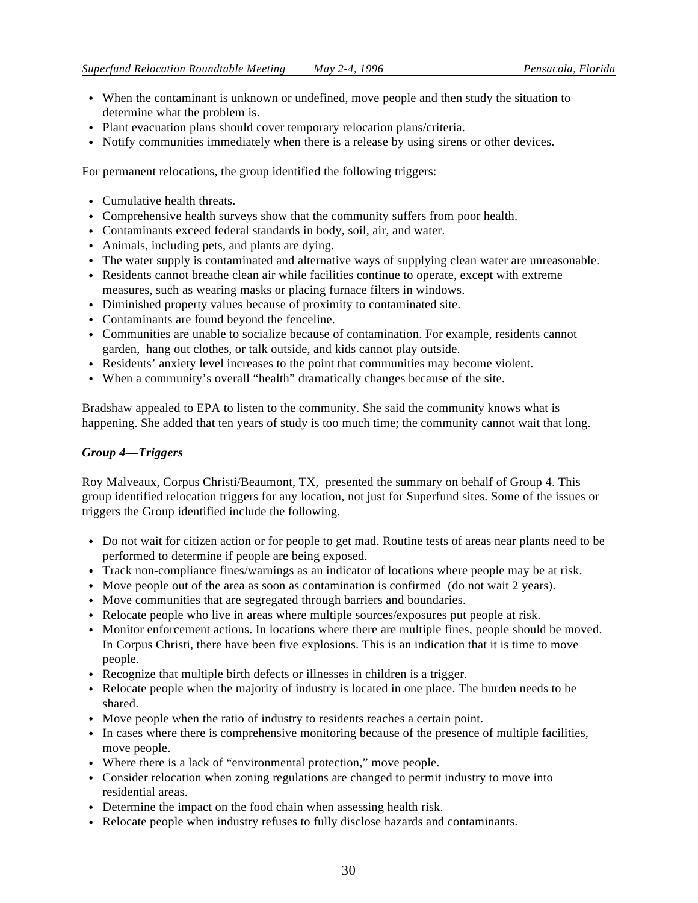- When the contaminant is unknown or undefined, move people and then study the situation to determine what the problem is.
- Plant evacuation plans should cover temporary relocation plans/criteria.
- Notify communities immediately when there is a release by using sirens or other devices.

For permanent relocations, the group identified the following triggers:

- Cumulative health threats.
- Comprehensive health surveys show that the community suffers from poor health.
- Contaminants exceed federal standards in body, soil, air, and water.
- Animals, including pets, and plants are dying.
- The water supply is contaminated and alternative ways of supplying clean water are unreasonable.
- Residents cannot breathe clean air while facilities continue to operate, except with extreme measures, such as wearing masks or placing furnace filters in windows.
- Diminished property values because of proximity to contaminated site.
- Contaminants are found beyond the fenceline.
- Communities are unable to socialize because of contamination. For example, residents cannot garden, hang out clothes, or talk outside, and kids cannot play outside.
- Residents' anxiety level increases to the point that communities may become violent.
- When a community's overall "health" dramatically changes because of the site.

Bradshaw appealed to EPA to listen to the community. She said the community knows what is happening. She added that ten years of study is too much time; the community cannot wait that long.

#### *Group 4—Triggers*

Roy Malveaux, Corpus Christi/Beaumont, TX, presented the summary on behalf of Group 4. This group identified relocation triggers for any location, not just for Superfund sites. Some of the issues or triggers the Group identified include the following.

- Do not wait for citizen action or for people to get mad. Routine tests of areas near plants need to be performed to determine if people are being exposed.
- Track non-compliance fines/warnings as an indicator of locations where people may be at risk.
- Move people out of the area as soon as contamination is confirmed (do not wait 2 years).
- Move communities that are segregated through barriers and boundaries.
- Relocate people who live in areas where multiple sources/exposures put people at risk.
- Monitor enforcement actions. In locations where there are multiple fines, people should be moved. In Corpus Christi, there have been five explosions. This is an indication that it is time to move people.
- Recognize that multiple birth defects or illnesses in children is a trigger.
- Relocate people when the majority of industry is located in one place. The burden needs to be shared.
- Move people when the ratio of industry to residents reaches a certain point.
- In cases where there is comprehensive monitoring because of the presence of multiple facilities, move people.
- Where there is a lack of "environmental protection," move people.
- Consider relocation when zoning regulations are changed to permit industry to move into residential areas.
- Determine the impact on the food chain when assessing health risk.
- Relocate people when industry refuses to fully disclose hazards and contaminants.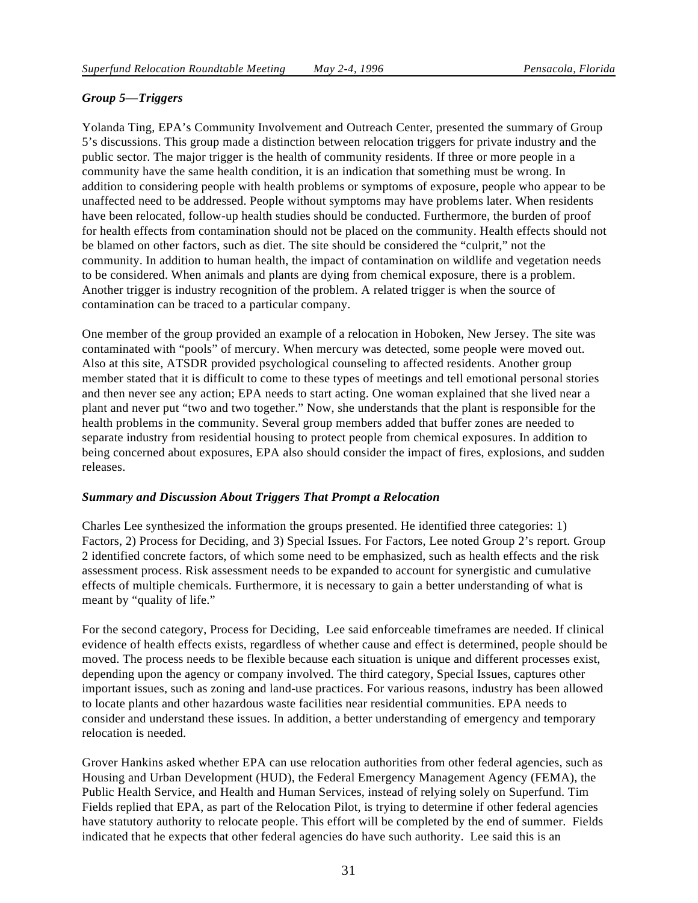#### *Group 5—Triggers*

Yolanda Ting, EPA's Community Involvement and Outreach Center, presented the summary of Group 5's discussions. This group made a distinction between relocation triggers for private industry and the public sector. The major trigger is the health of community residents. If three or more people in a community have the same health condition, it is an indication that something must be wrong. In addition to considering people with health problems or symptoms of exposure, people who appear to be unaffected need to be addressed. People without symptoms may have problems later. When residents have been relocated, follow-up health studies should be conducted. Furthermore, the burden of proof for health effects from contamination should not be placed on the community. Health effects should not be blamed on other factors, such as diet. The site should be considered the "culprit," not the community. In addition to human health, the impact of contamination on wildlife and vegetation needs to be considered. When animals and plants are dying from chemical exposure, there is a problem. Another trigger is industry recognition of the problem. A related trigger is when the source of contamination can be traced to a particular company.

One member of the group provided an example of a relocation in Hoboken, New Jersey. The site was contaminated with "pools" of mercury. When mercury was detected, some people were moved out. Also at this site, ATSDR provided psychological counseling to affected residents. Another group member stated that it is difficult to come to these types of meetings and tell emotional personal stories and then never see any action; EPA needs to start acting. One woman explained that she lived near a plant and never put "two and two together." Now, she understands that the plant is responsible for the health problems in the community. Several group members added that buffer zones are needed to separate industry from residential housing to protect people from chemical exposures. In addition to being concerned about exposures, EPA also should consider the impact of fires, explosions, and sudden releases.

#### *Summary and Discussion About Triggers That Prompt a Relocation*

Charles Lee synthesized the information the groups presented. He identified three categories: 1) Factors, 2) Process for Deciding, and 3) Special Issues. For Factors, Lee noted Group 2's report. Group 2 identified concrete factors, of which some need to be emphasized, such as health effects and the risk assessment process. Risk assessment needs to be expanded to account for synergistic and cumulative effects of multiple chemicals. Furthermore, it is necessary to gain a better understanding of what is meant by "quality of life."

For the second category, Process for Deciding, Lee said enforceable timeframes are needed. If clinical evidence of health effects exists, regardless of whether cause and effect is determined, people should be moved. The process needs to be flexible because each situation is unique and different processes exist, depending upon the agency or company involved. The third category, Special Issues, captures other important issues, such as zoning and land-use practices. For various reasons, industry has been allowed to locate plants and other hazardous waste facilities near residential communities. EPA needs to consider and understand these issues. In addition, a better understanding of emergency and temporary relocation is needed.

Grover Hankins asked whether EPA can use relocation authorities from other federal agencies, such as Housing and Urban Development (HUD), the Federal Emergency Management Agency (FEMA), the Public Health Service, and Health and Human Services, instead of relying solely on Superfund. Tim Fields replied that EPA, as part of the Relocation Pilot, is trying to determine if other federal agencies have statutory authority to relocate people. This effort will be completed by the end of summer. Fields indicated that he expects that other federal agencies do have such authority. Lee said this is an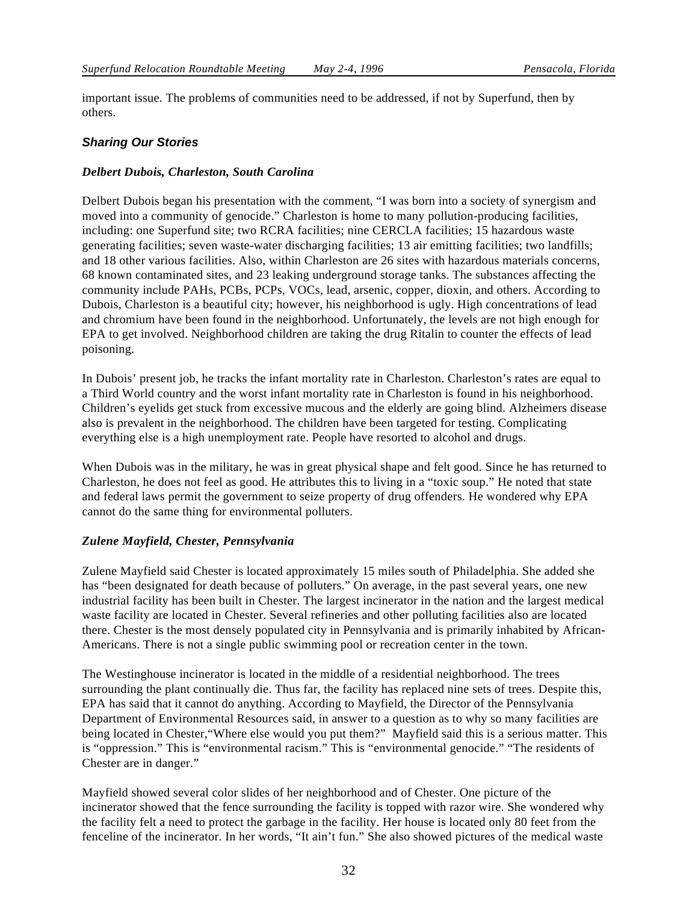important issue. The problems of communities need to be addressed, if not by Superfund, then by others.

#### **Sharing Our Stories**

#### *Delbert Dubois, Charleston, South Carolina*

Delbert Dubois began his presentation with the comment, "I was born into a society of synergism and moved into a community of genocide." Charleston is home to many pollution-producing facilities, including: one Superfund site; two RCRA facilities; nine CERCLA facilities; 15 hazardous waste generating facilities; seven waste-water discharging facilities; 13 air emitting facilities; two landfills; and 18 other various facilities. Also, within Charleston are 26 sites with hazardous materials concerns, 68 known contaminated sites, and 23 leaking underground storage tanks. The substances affecting the community include PAHs, PCBs, PCPs, VOCs, lead, arsenic, copper, dioxin, and others. According to Dubois, Charleston is a beautiful city; however, his neighborhood is ugly. High concentrations of lead and chromium have been found in the neighborhood. Unfortunately, the levels are not high enough for EPA to get involved. Neighborhood children are taking the drug Ritalin to counter the effects of lead poisoning.

In Dubois' present job, he tracks the infant mortality rate in Charleston. Charleston's rates are equal to a Third World country and the worst infant mortality rate in Charleston is found in his neighborhood. Children's eyelids get stuck from excessive mucous and the elderly are going blind. Alzheimers disease also is prevalent in the neighborhood. The children have been targeted for testing. Complicating everything else is a high unemployment rate. People have resorted to alcohol and drugs.

When Dubois was in the military, he was in great physical shape and felt good. Since he has returned to Charleston, he does not feel as good. He attributes this to living in a "toxic soup." He noted that state and federal laws permit the government to seize property of drug offenders. He wondered why EPA cannot do the same thing for environmental polluters.

#### *Zulene Mayfield, Chester, Pennsylvania*

Zulene Mayfield said Chester is located approximately 15 miles south of Philadelphia. She added she has "been designated for death because of polluters." On average, in the past several years, one new industrial facility has been built in Chester. The largest incinerator in the nation and the largest medical waste facility are located in Chester. Several refineries and other polluting facilities also are located there. Chester is the most densely populated city in Pennsylvania and is primarily inhabited by African-Americans. There is not a single public swimming pool or recreation center in the town.

The Westinghouse incinerator is located in the middle of a residential neighborhood. The trees surrounding the plant continually die. Thus far, the facility has replaced nine sets of trees. Despite this, EPA has said that it cannot do anything. According to Mayfield, the Director of the Pennsylvania Department of Environmental Resources said, in answer to a question as to why so many facilities are being located in Chester, "Where else would you put them?" Mayfield said this is a serious matter. This is "oppression." This is "environmental racism." This is "environmental genocide." "The residents of Chester are in danger."

Mayfield showed several color slides of her neighborhood and of Chester. One picture of the incinerator showed that the fence surrounding the facility is topped with razor wire. She wondered why the facility felt a need to protect the garbage in the facility. Her house is located only 80 feet from the fenceline of the incinerator. In her words, "It ain't fun." She also showed pictures of the medical waste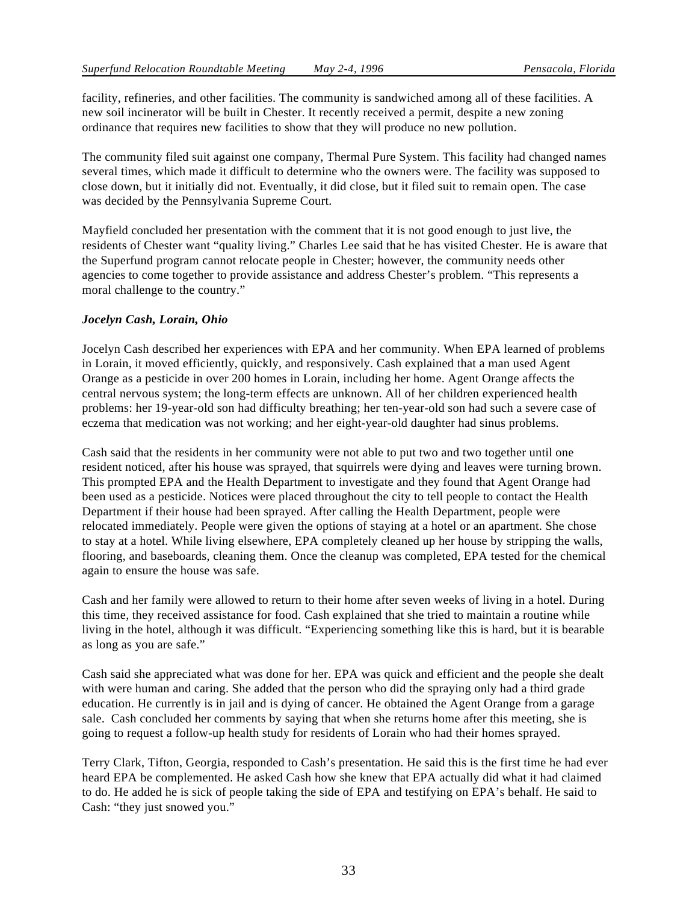facility, refineries, and other facilities. The community is sandwiched among all of these facilities. A new soil incinerator will be built in Chester. It recently received a permit, despite a new zoning ordinance that requires new facilities to show that they will produce no new pollution.

The community filed suit against one company, Thermal Pure System. This facility had changed names several times, which made it difficult to determine who the owners were. The facility was supposed to close down, but it initially did not. Eventually, it did close, but it filed suit to remain open. The case was decided by the Pennsylvania Supreme Court.

Mayfield concluded her presentation with the comment that it is not good enough to just live, the residents of Chester want "quality living." Charles Lee said that he has visited Chester. He is aware that the Superfund program cannot relocate people in Chester; however, the community needs other agencies to come together to provide assistance and address Chester's problem. "This represents a moral challenge to the country."

#### *Jocelyn Cash, Lorain, Ohio*

Jocelyn Cash described her experiences with EPA and her community. When EPA learned of problems in Lorain, it moved efficiently, quickly, and responsively. Cash explained that a man used Agent Orange as a pesticide in over 200 homes in Lorain, including her home. Agent Orange affects the central nervous system; the long-term effects are unknown. All of her children experienced health problems: her 19-year-old son had difficulty breathing; her ten-year-old son had such a severe case of eczema that medication was not working; and her eight-year-old daughter had sinus problems.

Cash said that the residents in her community were not able to put two and two together until one resident noticed, after his house was sprayed, that squirrels were dying and leaves were turning brown. This prompted EPA and the Health Department to investigate and they found that Agent Orange had been used as a pesticide. Notices were placed throughout the city to tell people to contact the Health Department if their house had been sprayed. After calling the Health Department, people were relocated immediately. People were given the options of staying at a hotel or an apartment. She chose to stay at a hotel. While living elsewhere, EPA completely cleaned up her house by stripping the walls, flooring, and baseboards, cleaning them. Once the cleanup was completed, EPA tested for the chemical again to ensure the house was safe.

Cash and her family were allowed to return to their home after seven weeks of living in a hotel. During this time, they received assistance for food. Cash explained that she tried to maintain a routine while living in the hotel, although it was difficult. "Experiencing something like this is hard, but it is bearable as long as you are safe."

Cash said she appreciated what was done for her. EPA was quick and efficient and the people she dealt with were human and caring. She added that the person who did the spraying only had a third grade education. He currently is in jail and is dying of cancer. He obtained the Agent Orange from a garage sale. Cash concluded her comments by saying that when she returns home after this meeting, she is going to request a follow-up health study for residents of Lorain who had their homes sprayed.

Terry Clark, Tifton, Georgia, responded to Cash's presentation. He said this is the first time he had ever heard EPA be complemented. He asked Cash how she knew that EPA actually did what it had claimed to do. He added he is sick of people taking the side of EPA and testifying on EPA's behalf. He said to Cash: "they just snowed you."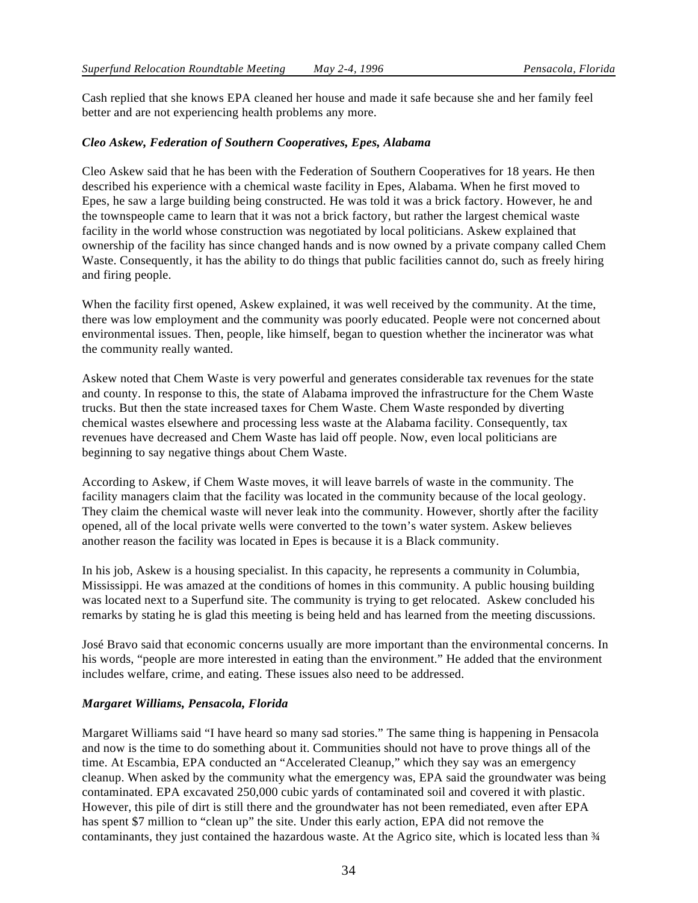Cash replied that she knows EPA cleaned her house and made it safe because she and her family feel better and are not experiencing health problems any more.

#### *Cleo Askew, Federation of Southern Cooperatives, Epes, Alabama*

Cleo Askew said that he has been with the Federation of Southern Cooperatives for 18 years. He then described his experience with a chemical waste facility in Epes, Alabama. When he first moved to Epes, he saw a large building being constructed. He was told it was a brick factory. However, he and the townspeople came to learn that it was not a brick factory, but rather the largest chemical waste facility in the world whose construction was negotiated by local politicians. Askew explained that ownership of the facility has since changed hands and is now owned by a private company called Chem Waste. Consequently, it has the ability to do things that public facilities cannot do, such as freely hiring and firing people.

When the facility first opened, Askew explained, it was well received by the community. At the time, there was low employment and the community was poorly educated. People were not concerned about environmental issues. Then, people, like himself, began to question whether the incinerator was what the community really wanted.

Askew noted that Chem Waste is very powerful and generates considerable tax revenues for the state and county. In response to this, the state of Alabama improved the infrastructure for the Chem Waste trucks. But then the state increased taxes for Chem Waste. Chem Waste responded by diverting chemical wastes elsewhere and processing less waste at the Alabama facility. Consequently, tax revenues have decreased and Chem Waste has laid off people. Now, even local politicians are beginning to say negative things about Chem Waste.

According to Askew, if Chem Waste moves, it will leave barrels of waste in the community. The facility managers claim that the facility was located in the community because of the local geology. They claim the chemical waste will never leak into the community. However, shortly after the facility opened, all of the local private wells were converted to the town's water system. Askew believes another reason the facility was located in Epes is because it is a Black community.

In his job, Askew is a housing specialist. In this capacity, he represents a community in Columbia, Mississippi. He was amazed at the conditions of homes in this community. A public housing building was located next to a Superfund site. The community is trying to get relocated. Askew concluded his remarks by stating he is glad this meeting is being held and has learned from the meeting discussions.

José Bravo said that economic concerns usually are more important than the environmental concerns. In his words, "people are more interested in eating than the environment." He added that the environment includes welfare, crime, and eating. These issues also need to be addressed.

#### *Margaret Williams, Pensacola, Florida*

Margaret Williams said "I have heard so many sad stories." The same thing is happening in Pensacola and now is the time to do something about it. Communities should not have to prove things all of the time. At Escambia, EPA conducted an "Accelerated Cleanup," which they say was an emergency cleanup. When asked by the community what the emergency was, EPA said the groundwater was being contaminated. EPA excavated 250,000 cubic yards of contaminated soil and covered it with plastic. However, this pile of dirt is still there and the groundwater has not been remediated, even after EPA has spent \$7 million to "clean up" the site. Under this early action, EPA did not remove the contaminants, they just contained the hazardous waste. At the Agrico site, which is located less than  $\frac{3}{4}$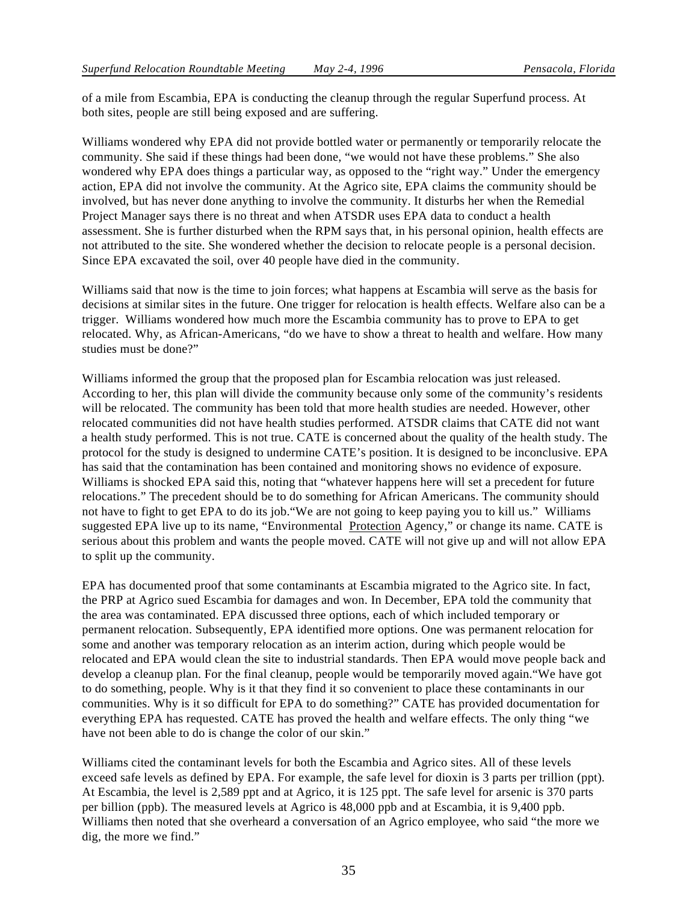of a mile from Escambia, EPA is conducting the cleanup through the regular Superfund process. At both sites, people are still being exposed and are suffering.

Williams wondered why EPA did not provide bottled water or permanently or temporarily relocate the community. She said if these things had been done, "we would not have these problems." She also wondered why EPA does things a particular way, as opposed to the "right way." Under the emergency action, EPA did not involve the community. At the Agrico site, EPA claims the community should be involved, but has never done anything to involve the community. It disturbs her when the Remedial Project Manager says there is no threat and when ATSDR uses EPA data to conduct a health assessment. She is further disturbed when the RPM says that, in his personal opinion, health effects are not attributed to the site. She wondered whether the decision to relocate people is a personal decision. Since EPA excavated the soil, over 40 people have died in the community.

Williams said that now is the time to join forces; what happens at Escambia will serve as the basis for decisions at similar sites in the future. One trigger for relocation is health effects. Welfare also can be a trigger. Williams wondered how much more the Escambia community has to prove to EPA to get relocated. Why, as African-Americans, "do we have to show a threat to health and welfare. How many studies must be done?"

Williams informed the group that the proposed plan for Escambia relocation was just released. According to her, this plan will divide the community because only some of the community's residents will be relocated. The community has been told that more health studies are needed. However, other relocated communities did not have health studies performed. ATSDR claims that CATE did not want a health study performed. This is not true. CATE is concerned about the quality of the health study. The protocol for the study is designed to undermine CATE's position. It is designed to be inconclusive. EPA has said that the contamination has been contained and monitoring shows no evidence of exposure. Williams is shocked EPA said this, noting that "whatever happens here will set a precedent for future relocations." The precedent should be to do something for African Americans. The community should not have to fight to get EPA to do its job."We are not going to keep paying you to kill us." Williams suggested EPA live up to its name, "Environmental Protection Agency," or change its name. CATE is serious about this problem and wants the people moved. CATE will not give up and will not allow EPA to split up the community.

EPA has documented proof that some contaminants at Escambia migrated to the Agrico site. In fact, the PRP at Agrico sued Escambia for damages and won. In December, EPA told the community that the area was contaminated. EPA discussed three options, each of which included temporary or permanent relocation. Subsequently, EPA identified more options. One was permanent relocation for some and another was temporary relocation as an interim action, during which people would be relocated and EPA would clean the site to industrial standards. Then EPA would move people back and develop a cleanup plan. For the final cleanup, people would be temporarily moved again."We have got to do something, people. Why is it that they find it so convenient to place these contaminants in our communities. Why is it so difficult for EPA to do something?" CATE has provided documentation for everything EPA has requested. CATE has proved the health and welfare effects. The only thing "we have not been able to do is change the color of our skin."

Williams cited the contaminant levels for both the Escambia and Agrico sites. All of these levels exceed safe levels as defined by EPA. For example, the safe level for dioxin is 3 parts per trillion (ppt). At Escambia, the level is 2,589 ppt and at Agrico, it is 125 ppt. The safe level for arsenic is 370 parts per billion (ppb). The measured levels at Agrico is 48,000 ppb and at Escambia, it is 9,400 ppb. Williams then noted that she overheard a conversation of an Agrico employee, who said "the more we dig, the more we find."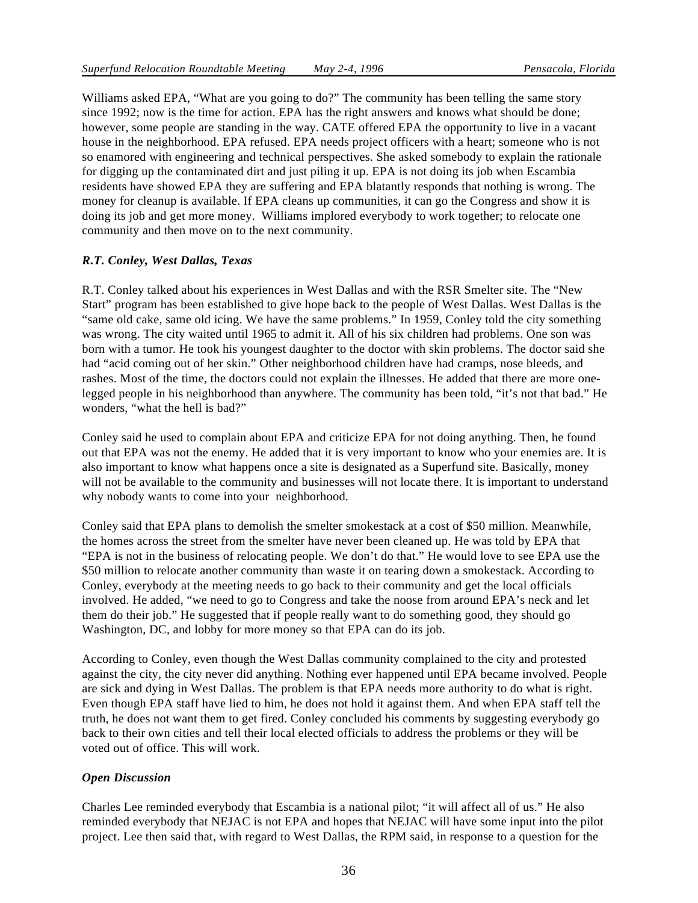Williams asked EPA, "What are you going to do?" The community has been telling the same story since 1992; now is the time for action. EPA has the right answers and knows what should be done; however, some people are standing in the way. CATE offered EPA the opportunity to live in a vacant house in the neighborhood. EPA refused. EPA needs project officers with a heart; someone who is not so enamored with engineering and technical perspectives. She asked somebody to explain the rationale for digging up the contaminated dirt and just piling it up. EPA is not doing its job when Escambia residents have showed EPA they are suffering and EPA blatantly responds that nothing is wrong. The money for cleanup is available. If EPA cleans up communities, it can go the Congress and show it is doing its job and get more money. Williams implored everybody to work together; to relocate one community and then move on to the next community.

#### *R.T. Conley, West Dallas, Texas*

R.T. Conley talked about his experiences in West Dallas and with the RSR Smelter site. The "New Start" program has been established to give hope back to the people of West Dallas. West Dallas is the "same old cake, same old icing. We have the same problems." In 1959, Conley told the city something was wrong. The city waited until 1965 to admit it. All of his six children had problems. One son was born with a tumor. He took his youngest daughter to the doctor with skin problems. The doctor said she had "acid coming out of her skin." Other neighborhood children have had cramps, nose bleeds, and rashes. Most of the time, the doctors could not explain the illnesses. He added that there are more onelegged people in his neighborhood than anywhere. The community has been told, "it's not that bad." He wonders, "what the hell is bad?"

Conley said he used to complain about EPA and criticize EPA for not doing anything. Then, he found out that EPA was not the enemy. He added that it is very important to know who your enemies are. It is also important to know what happens once a site is designated as a Superfund site. Basically, money will not be available to the community and businesses will not locate there. It is important to understand why nobody wants to come into your neighborhood.

Conley said that EPA plans to demolish the smelter smokestack at a cost of \$50 million. Meanwhile, the homes across the street from the smelter have never been cleaned up. He was told by EPA that "EPA is not in the business of relocating people. We don't do that." He would love to see EPA use the \$50 million to relocate another community than waste it on tearing down a smokestack. According to Conley, everybody at the meeting needs to go back to their community and get the local officials involved. He added, "we need to go to Congress and take the noose from around EPA's neck and let them do their job." He suggested that if people really want to do something good, they should go Washington, DC, and lobby for more money so that EPA can do its job.

According to Conley, even though the West Dallas community complained to the city and protested against the city, the city never did anything. Nothing ever happened until EPA became involved. People are sick and dying in West Dallas. The problem is that EPA needs more authority to do what is right. Even though EPA staff have lied to him, he does not hold it against them. And when EPA staff tell the truth, he does not want them to get fired. Conley concluded his comments by suggesting everybody go back to their own cities and tell their local elected officials to address the problems or they will be voted out of office. This will work.

#### *Open Discussion*

Charles Lee reminded everybody that Escambia is a national pilot; "it will affect all of us." He also reminded everybody that NEJAC is not EPA and hopes that NEJAC will have some input into the pilot project. Lee then said that, with regard to West Dallas, the RPM said, in response to a question for the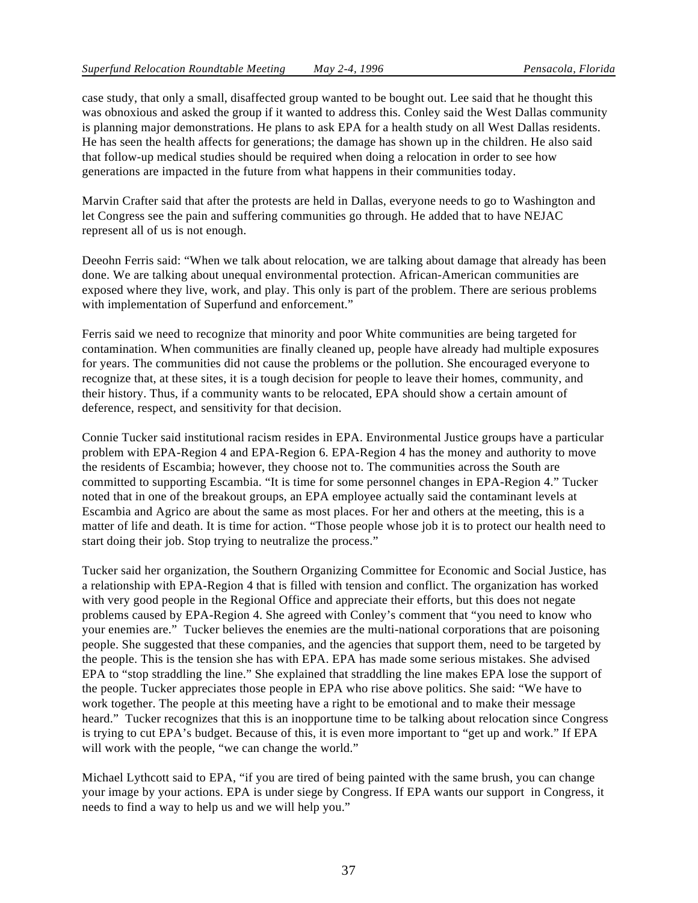case study, that only a small, disaffected group wanted to be bought out. Lee said that he thought this was obnoxious and asked the group if it wanted to address this. Conley said the West Dallas community is planning major demonstrations. He plans to ask EPA for a health study on all West Dallas residents. He has seen the health affects for generations; the damage has shown up in the children. He also said that follow-up medical studies should be required when doing a relocation in order to see how generations are impacted in the future from what happens in their communities today.

Marvin Crafter said that after the protests are held in Dallas, everyone needs to go to Washington and let Congress see the pain and suffering communities go through. He added that to have NEJAC represent all of us is not enough.

Deeohn Ferris said: "When we talk about relocation, we are talking about damage that already has been done. We are talking about unequal environmental protection. African-American communities are exposed where they live, work, and play. This only is part of the problem. There are serious problems with implementation of Superfund and enforcement."

Ferris said we need to recognize that minority and poor White communities are being targeted for contamination. When communities are finally cleaned up, people have already had multiple exposures for years. The communities did not cause the problems or the pollution. She encouraged everyone to recognize that, at these sites, it is a tough decision for people to leave their homes, community, and their history. Thus, if a community wants to be relocated, EPA should show a certain amount of deference, respect, and sensitivity for that decision.

Connie Tucker said institutional racism resides in EPA. Environmental Justice groups have a particular problem with EPA-Region 4 and EPA-Region 6. EPA-Region 4 has the money and authority to move the residents of Escambia; however, they choose not to. The communities across the South are committed to supporting Escambia. "It is time for some personnel changes in EPA-Region 4." Tucker noted that in one of the breakout groups, an EPA employee actually said the contaminant levels at Escambia and Agrico are about the same as most places. For her and others at the meeting, this is a matter of life and death. It is time for action. "Those people whose job it is to protect our health need to start doing their job. Stop trying to neutralize the process."

Tucker said her organization, the Southern Organizing Committee for Economic and Social Justice, has a relationship with EPA-Region 4 that is filled with tension and conflict. The organization has worked with very good people in the Regional Office and appreciate their efforts, but this does not negate problems caused by EPA-Region 4. She agreed with Conley's comment that "you need to know who your enemies are." Tucker believes the enemies are the multi-national corporations that are poisoning people. She suggested that these companies, and the agencies that support them, need to be targeted by the people. This is the tension she has with EPA. EPA has made some serious mistakes. She advised EPA to "stop straddling the line." She explained that straddling the line makes EPA lose the support of the people. Tucker appreciates those people in EPA who rise above politics. She said: "We have to work together. The people at this meeting have a right to be emotional and to make their message heard." Tucker recognizes that this is an inopportune time to be talking about relocation since Congress is trying to cut EPA's budget. Because of this, it is even more important to "get up and work." If EPA will work with the people, "we can change the world."

Michael Lythcott said to EPA, "if you are tired of being painted with the same brush, you can change your image by your actions. EPA is under siege by Congress. If EPA wants our support in Congress, it needs to find a way to help us and we will help you."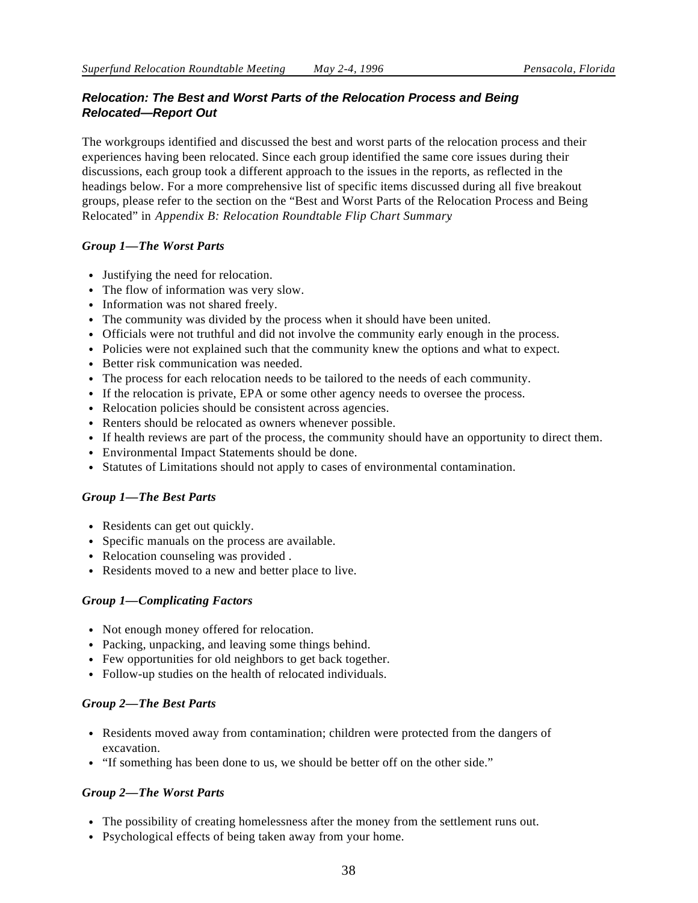#### **Relocation: The Best and Worst Parts of the Relocation Process and Being Relocated—Report Out**

The workgroups identified and discussed the best and worst parts of the relocation process and their experiences having been relocated. Since each group identified the same core issues during their discussions, each group took a different approach to the issues in the reports, as reflected in the headings below. For a more comprehensive list of specific items discussed during all five breakout groups, please refer to the section on the "Best and Worst Parts of the Relocation Process and Being Relocated" in *Appendix B: Relocation Roundtable Flip Chart Summary*.

#### *Group 1—The Worst Parts*

- Justifying the need for relocation.
- The flow of information was very slow.
- Information was not shared freely.
- The community was divided by the process when it should have been united.
- Officials were not truthful and did not involve the community early enough in the process.
- Policies were not explained such that the community knew the options and what to expect.
- Better risk communication was needed.
- The process for each relocation needs to be tailored to the needs of each community.
- If the relocation is private, EPA or some other agency needs to oversee the process.
- Relocation policies should be consistent across agencies.
- Renters should be relocated as owners whenever possible.
- If health reviews are part of the process, the community should have an opportunity to direct them.
- Environmental Impact Statements should be done.
- Statutes of Limitations should not apply to cases of environmental contamination.

#### *Group 1—The Best Parts*

- Residents can get out quickly.
- Specific manuals on the process are available.
- Relocation counseling was provided.
- Residents moved to a new and better place to live.

#### *Group 1—Complicating Factors*

- Not enough money offered for relocation.
- Packing, unpacking, and leaving some things behind.
- Few opportunities for old neighbors to get back together.
- Follow-up studies on the health of relocated individuals.

#### *Group 2—The Best Parts*

- Residents moved away from contamination; children were protected from the dangers of excavation.
- "If something has been done to us, we should be better off on the other side."

#### *Group 2—The Worst Parts*

- The possibility of creating homelessness after the money from the settlement runs out.
- Psychological effects of being taken away from your home.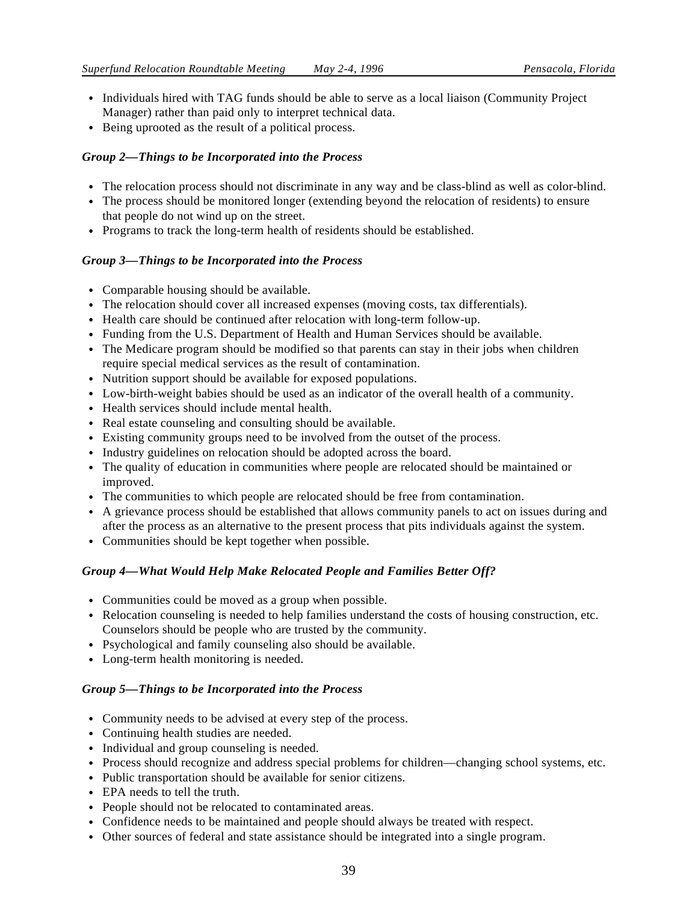- Individuals hired with TAG funds should be able to serve as a local liaison (Community Project Manager) rather than paid only to interpret technical data.
- Being uprooted as the result of a political process.

#### *Group 2—Things to be Incorporated into the Process*

- The relocation process should not discriminate in any way and be class-blind as well as color-blind.
- The process should be monitored longer (extending beyond the relocation of residents) to ensure that people do not wind up on the street.
- Programs to track the long-term health of residents should be established.

#### *Group 3—Things to be Incorporated into the Process*

- Comparable housing should be available.
- The relocation should cover all increased expenses (moving costs, tax differentials).
- Health care should be continued after relocation with long-term follow-up.
- Funding from the U.S. Department of Health and Human Services should be available.
- The Medicare program should be modified so that parents can stay in their jobs when children require special medical services as the result of contamination.
- Nutrition support should be available for exposed populations.
- Low-birth-weight babies should be used as an indicator of the overall health of a community.
- Health services should include mental health.
- Real estate counseling and consulting should be available.
- Existing community groups need to be involved from the outset of the process.
- Industry guidelines on relocation should be adopted across the board.
- The quality of education in communities where people are relocated should be maintained or improved.
- The communities to which people are relocated should be free from contamination.
- A grievance process should be established that allows community panels to act on issues during and after the process as an alternative to the present process that pits individuals against the system.
- Communities should be kept together when possible.

#### *Group 4—What Would Help Make Relocated People and Families Better Off?*

- Communities could be moved as a group when possible.
- Relocation counseling is needed to help families understand the costs of housing construction, etc. Counselors should be people who are trusted by the community.
- Psychological and family counseling also should be available.
- Long-term health monitoring is needed.

#### *Group 5—Things to be Incorporated into the Process*

- Community needs to be advised at every step of the process.
- Continuing health studies are needed.
- Individual and group counseling is needed.
- Process should recognize and address special problems for children—changing school systems, etc.
- Public transportation should be available for senior citizens.
- EPA needs to tell the truth.
- People should not be relocated to contaminated areas.
- Confidence needs to be maintained and people should always be treated with respect.
- Other sources of federal and state assistance should be integrated into a single program.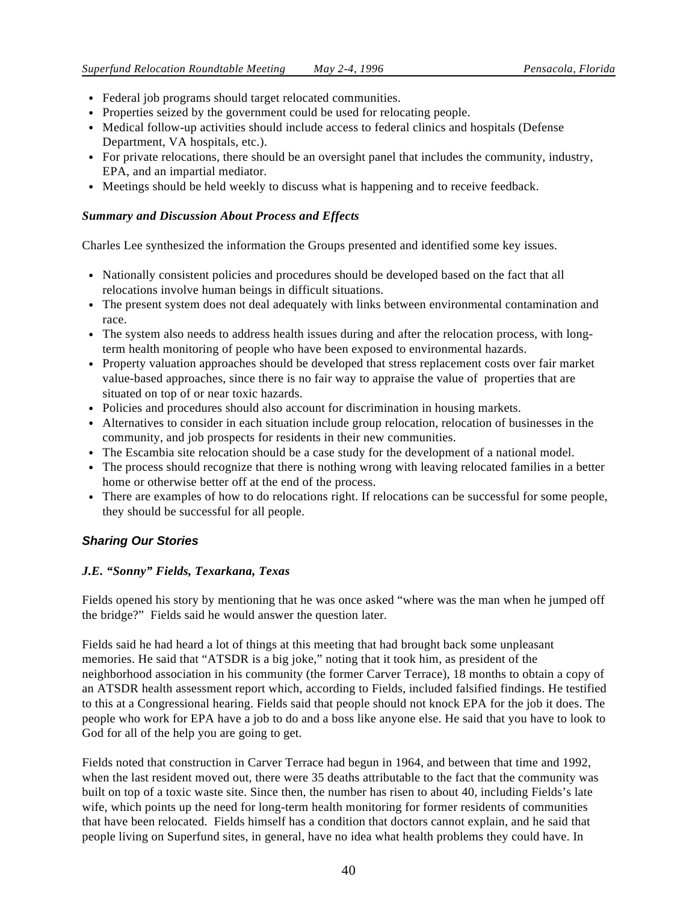- Federal job programs should target relocated communities.
- Properties seized by the government could be used for relocating people.
- Medical follow-up activities should include access to federal clinics and hospitals (Defense Department, VA hospitals, etc.).
- For private relocations, there should be an oversight panel that includes the community, industry, EPA, and an impartial mediator.
- Meetings should be held weekly to discuss what is happening and to receive feedback.

#### *Summary and Discussion About Process and Effects*

Charles Lee synthesized the information the Groups presented and identified some key issues.

- Nationally consistent policies and procedures should be developed based on the fact that all relocations involve human beings in difficult situations.
- The present system does not deal adequately with links between environmental contamination and race.
- The system also needs to address health issues during and after the relocation process, with longterm health monitoring of people who have been exposed to environmental hazards.
- Property valuation approaches should be developed that stress replacement costs over fair market value-based approaches, since there is no fair way to appraise the value of properties that are situated on top of or near toxic hazards.
- Policies and procedures should also account for discrimination in housing markets.
- Alternatives to consider in each situation include group relocation, relocation of businesses in the community, and job prospects for residents in their new communities.
- The Escambia site relocation should be a case study for the development of a national model.
- The process should recognize that there is nothing wrong with leaving relocated families in a better home or otherwise better off at the end of the process.
- There are examples of how to do relocations right. If relocations can be successful for some people, they should be successful for all people.

#### **Sharing Our Stories**

#### *J.E. "Sonny" Fields, Texarkana, Texas*

Fields opened his story by mentioning that he was once asked "where was the man when he jumped off the bridge?" Fields said he would answer the question later.

Fields said he had heard a lot of things at this meeting that had brought back some unpleasant memories. He said that "ATSDR is a big joke," noting that it took him, as president of the neighborhood association in his community (the former Carver Terrace), 18 months to obtain a copy of an ATSDR health assessment report which, according to Fields, included falsified findings. He testified to this at a Congressional hearing. Fields said that people should not knock EPA for the job it does. The people who work for EPA have a job to do and a boss like anyone else. He said that you have to look to God for all of the help you are going to get.

Fields noted that construction in Carver Terrace had begun in 1964, and between that time and 1992, when the last resident moved out, there were 35 deaths attributable to the fact that the community was built on top of a toxic waste site. Since then, the number has risen to about 40, including Fields's late wife, which points up the need for long-term health monitoring for former residents of communities that have been relocated. Fields himself has a condition that doctors cannot explain, and he said that people living on Superfund sites, in general, have no idea what health problems they could have. In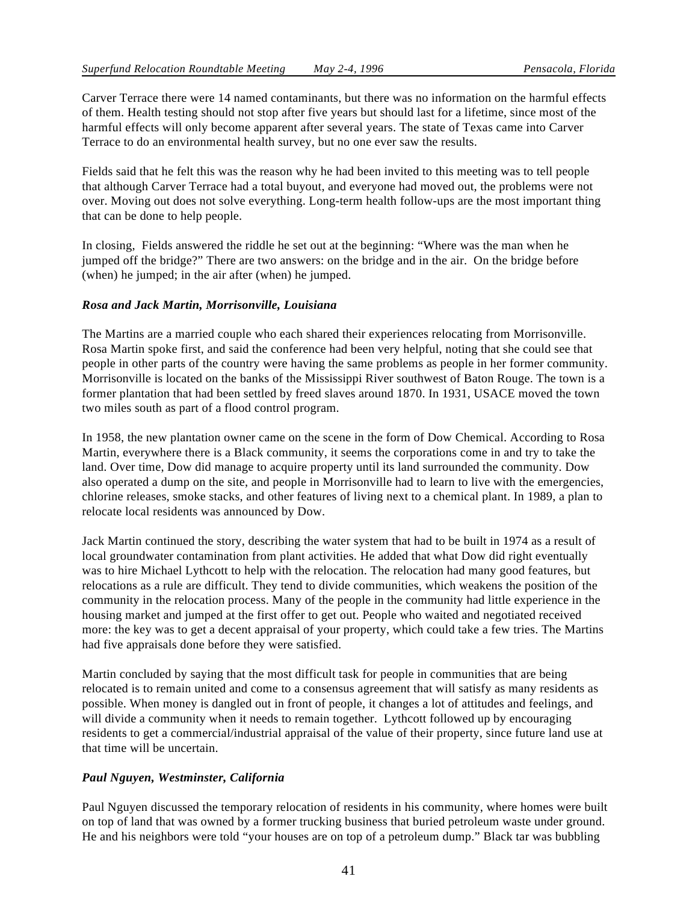Carver Terrace there were 14 named contaminants, but there was no information on the harmful effects of them. Health testing should not stop after five years but should last for a lifetime, since most of the harmful effects will only become apparent after several years. The state of Texas came into Carver Terrace to do an environmental health survey, but no one ever saw the results.

Fields said that he felt this was the reason why he had been invited to this meeting was to tell people that although Carver Terrace had a total buyout, and everyone had moved out, the problems were not over. Moving out does not solve everything. Long-term health follow-ups are the most important thing that can be done to help people.

In closing, Fields answered the riddle he set out at the beginning: "Where was the man when he jumped off the bridge?" There are two answers: on the bridge and in the air. On the bridge before (when) he jumped; in the air after (when) he jumped.

#### *Rosa and Jack Martin, Morrisonville, Louisiana*

The Martins are a married couple who each shared their experiences relocating from Morrisonville. Rosa Martin spoke first, and said the conference had been very helpful, noting that she could see that people in other parts of the country were having the same problems as people in her former community. Morrisonville is located on the banks of the Mississippi River southwest of Baton Rouge. The town is a former plantation that had been settled by freed slaves around 1870. In 1931, USACE moved the town two miles south as part of a flood control program.

In 1958, the new plantation owner came on the scene in the form of Dow Chemical. According to Rosa Martin, everywhere there is a Black community, it seems the corporations come in and try to take the land. Over time, Dow did manage to acquire property until its land surrounded the community. Dow also operated a dump on the site, and people in Morrisonville had to learn to live with the emergencies, chlorine releases, smoke stacks, and other features of living next to a chemical plant. In 1989, a plan to relocate local residents was announced by Dow.

Jack Martin continued the story, describing the water system that had to be built in 1974 as a result of local groundwater contamination from plant activities. He added that what Dow did right eventually was to hire Michael Lythcott to help with the relocation. The relocation had many good features, but relocations as a rule are difficult. They tend to divide communities, which weakens the position of the community in the relocation process. Many of the people in the community had little experience in the housing market and jumped at the first offer to get out. People who waited and negotiated received more: the key was to get a decent appraisal of your property, which could take a few tries. The Martins had five appraisals done before they were satisfied.

Martin concluded by saying that the most difficult task for people in communities that are being relocated is to remain united and come to a consensus agreement that will satisfy as many residents as possible. When money is dangled out in front of people, it changes a lot of attitudes and feelings, and will divide a community when it needs to remain together. Lythcott followed up by encouraging residents to get a commercial/industrial appraisal of the value of their property, since future land use at that time will be uncertain.

#### *Paul Nguyen, Westminster, California*

Paul Nguyen discussed the temporary relocation of residents in his community, where homes were built on top of land that was owned by a former trucking business that buried petroleum waste under ground. He and his neighbors were told "your houses are on top of a petroleum dump." Black tar was bubbling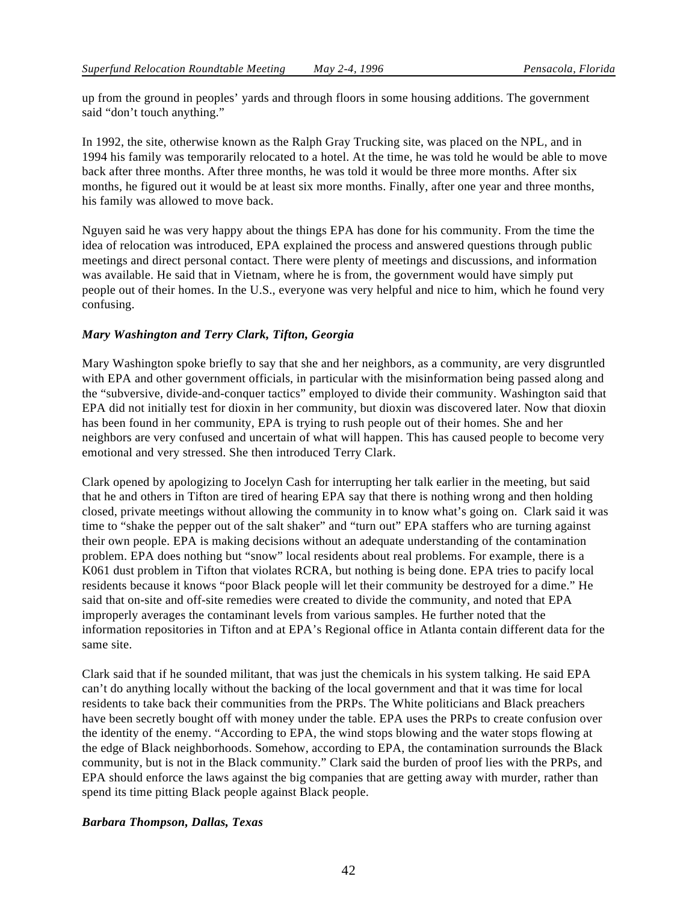up from the ground in peoples' yards and through floors in some housing additions. The government said "don't touch anything."

In 1992, the site, otherwise known as the Ralph Gray Trucking site, was placed on the NPL, and in 1994 his family was temporarily relocated to a hotel. At the time, he was told he would be able to move back after three months. After three months, he was told it would be three more months. After six months, he figured out it would be at least six more months. Finally, after one year and three months, his family was allowed to move back.

Nguyen said he was very happy about the things EPA has done for his community. From the time the idea of relocation was introduced, EPA explained the process and answered questions through public meetings and direct personal contact. There were plenty of meetings and discussions, and information was available. He said that in Vietnam, where he is from, the government would have simply put people out of their homes. In the U.S., everyone was very helpful and nice to him, which he found very confusing.

#### *Mary Washington and Terry Clark, Tifton, Georgia*

Mary Washington spoke briefly to say that she and her neighbors, as a community, are very disgruntled with EPA and other government officials, in particular with the misinformation being passed along and the "subversive, divide-and-conquer tactics" employed to divide their community. Washington said that EPA did not initially test for dioxin in her community, but dioxin was discovered later. Now that dioxin has been found in her community, EPA is trying to rush people out of their homes. She and her neighbors are very confused and uncertain of what will happen. This has caused people to become very emotional and very stressed. She then introduced Terry Clark.

Clark opened by apologizing to Jocelyn Cash for interrupting her talk earlier in the meeting, but said that he and others in Tifton are tired of hearing EPA say that there is nothing wrong and then holding closed, private meetings without allowing the community in to know what's going on. Clark said it was time to "shake the pepper out of the salt shaker" and "turn out" EPA staffers who are turning against their own people. EPA is making decisions without an adequate understanding of the contamination problem. EPA does nothing but "snow" local residents about real problems. For example, there is a K061 dust problem in Tifton that violates RCRA, but nothing is being done. EPA tries to pacify local residents because it knows "poor Black people will let their community be destroyed for a dime." He said that on-site and off-site remedies were created to divide the community, and noted that EPA improperly averages the contaminant levels from various samples. He further noted that the information repositories in Tifton and at EPA's Regional office in Atlanta contain different data for the same site.

Clark said that if he sounded militant, that was just the chemicals in his system talking. He said EPA can't do anything locally without the backing of the local government and that it was time for local residents to take back their communities from the PRPs. The White politicians and Black preachers have been secretly bought off with money under the table. EPA uses the PRPs to create confusion over the identity of the enemy. "According to EPA, the wind stops blowing and the water stops flowing at the edge of Black neighborhoods. Somehow, according to EPA, the contamination surrounds the Black community, but is not in the Black community." Clark said the burden of proof lies with the PRPs, and EPA should enforce the laws against the big companies that are getting away with murder, rather than spend its time pitting Black people against Black people.

#### *Barbara Thompson, Dallas, Texas*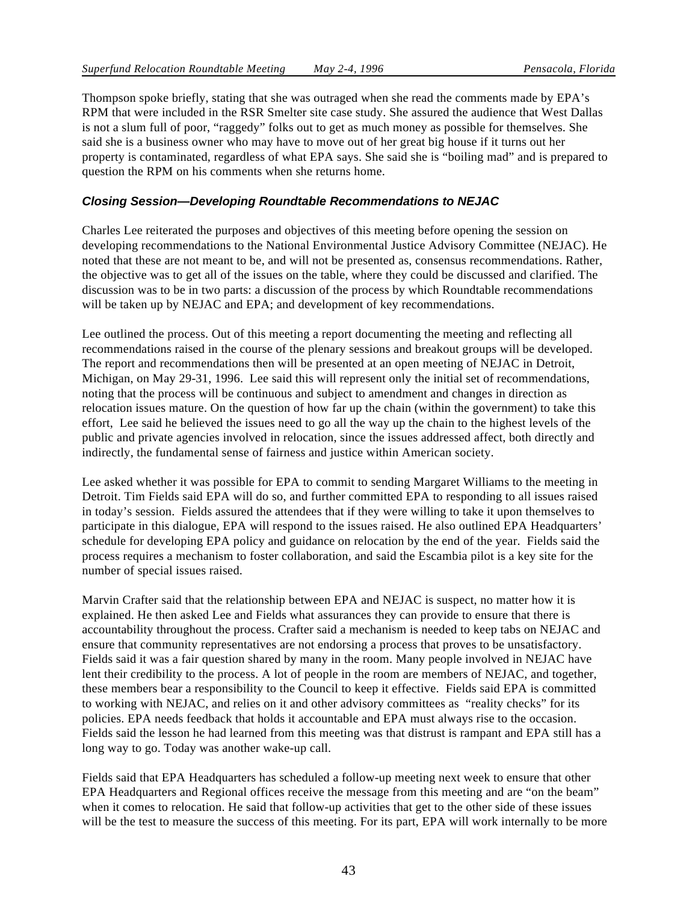Thompson spoke briefly, stating that she was outraged when she read the comments made by EPA's RPM that were included in the RSR Smelter site case study. She assured the audience that West Dallas is not a slum full of poor, "raggedy" folks out to get as much money as possible for themselves. She said she is a business owner who may have to move out of her great big house if it turns out her property is contaminated, regardless of what EPA says. She said she is "boiling mad" and is prepared to question the RPM on his comments when she returns home.

#### **Closing Session—Developing Roundtable Recommendations to NEJAC**

Charles Lee reiterated the purposes and objectives of this meeting before opening the session on developing recommendations to the National Environmental Justice Advisory Committee (NEJAC). He noted that these are not meant to be, and will not be presented as, consensus recommendations. Rather, the objective was to get all of the issues on the table, where they could be discussed and clarified. The discussion was to be in two parts: a discussion of the process by which Roundtable recommendations will be taken up by NEJAC and EPA; and development of key recommendations.

Lee outlined the process. Out of this meeting a report documenting the meeting and reflecting all recommendations raised in the course of the plenary sessions and breakout groups will be developed. The report and recommendations then will be presented at an open meeting of NEJAC in Detroit, Michigan, on May 29-31, 1996. Lee said this will represent only the initial set of recommendations, noting that the process will be continuous and subject to amendment and changes in direction as relocation issues mature. On the question of how far up the chain (within the government) to take this effort, Lee said he believed the issues need to go all the way up the chain to the highest levels of the public and private agencies involved in relocation, since the issues addressed affect, both directly and indirectly, the fundamental sense of fairness and justice within American society.

Lee asked whether it was possible for EPA to commit to sending Margaret Williams to the meeting in Detroit. Tim Fields said EPA will do so, and further committed EPA to responding to all issues raised in today's session. Fields assured the attendees that if they were willing to take it upon themselves to participate in this dialogue, EPA will respond to the issues raised. He also outlined EPA Headquarters' schedule for developing EPA policy and guidance on relocation by the end of the year. Fields said the process requires a mechanism to foster collaboration, and said the Escambia pilot is a key site for the number of special issues raised.

Marvin Crafter said that the relationship between EPA and NEJAC is suspect, no matter how it is explained. He then asked Lee and Fields what assurances they can provide to ensure that there is accountability throughout the process. Crafter said a mechanism is needed to keep tabs on NEJAC and ensure that community representatives are not endorsing a process that proves to be unsatisfactory. Fields said it was a fair question shared by many in the room. Many people involved in NEJAC have lent their credibility to the process. A lot of people in the room are members of NEJAC, and together, these members bear a responsibility to the Council to keep it effective. Fields said EPA is committed to working with NEJAC, and relies on it and other advisory committees as "reality checks" for its policies. EPA needs feedback that holds it accountable and EPA must always rise to the occasion. Fields said the lesson he had learned from this meeting was that distrust is rampant and EPA still has a long way to go. Today was another wake-up call.

Fields said that EPA Headquarters has scheduled a follow-up meeting next week to ensure that other EPA Headquarters and Regional offices receive the message from this meeting and are "on the beam" when it comes to relocation. He said that follow-up activities that get to the other side of these issues will be the test to measure the success of this meeting. For its part, EPA will work internally to be more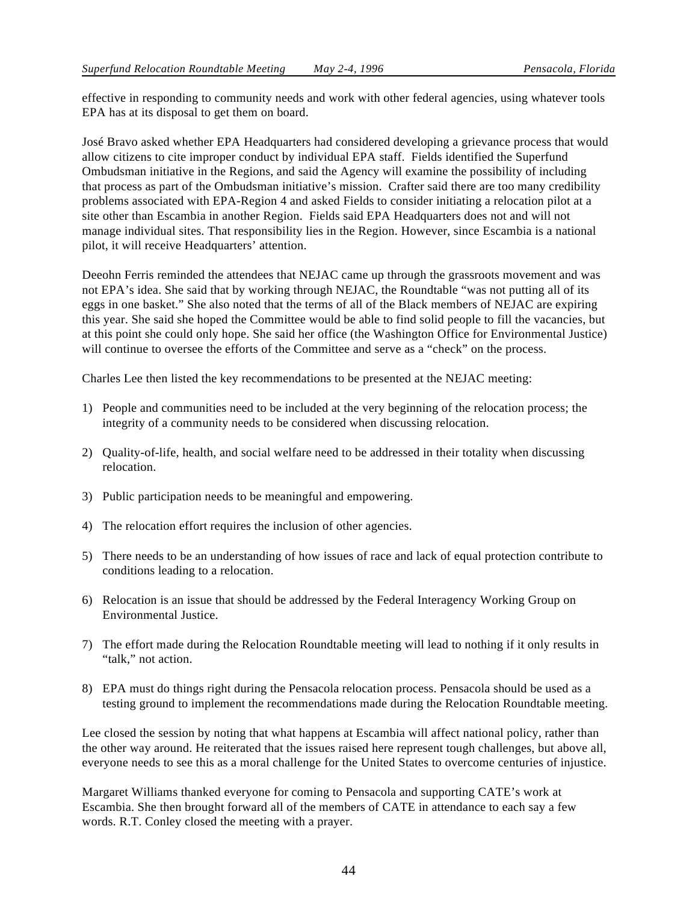effective in responding to community needs and work with other federal agencies, using whatever tools EPA has at its disposal to get them on board.

José Bravo asked whether EPA Headquarters had considered developing a grievance process that would allow citizens to cite improper conduct by individual EPA staff. Fields identified the Superfund Ombudsman initiative in the Regions, and said the Agency will examine the possibility of including that process as part of the Ombudsman initiative's mission. Crafter said there are too many credibility problems associated with EPA-Region 4 and asked Fields to consider initiating a relocation pilot at a site other than Escambia in another Region. Fields said EPA Headquarters does not and will not manage individual sites. That responsibility lies in the Region. However, since Escambia is a national pilot, it will receive Headquarters' attention.

Deeohn Ferris reminded the attendees that NEJAC came up through the grassroots movement and was not EPA's idea. She said that by working through NEJAC, the Roundtable "was not putting all of its eggs in one basket." She also noted that the terms of all of the Black members of NEJAC are expiring this year. She said she hoped the Committee would be able to find solid people to fill the vacancies, but at this point she could only hope. She said her office (the Washington Office for Environmental Justice) will continue to oversee the efforts of the Committee and serve as a "check" on the process.

Charles Lee then listed the key recommendations to be presented at the NEJAC meeting:

- 1) People and communities need to be included at the very beginning of the relocation process; the integrity of a community needs to be considered when discussing relocation.
- 2) Quality-of-life, health, and social welfare need to be addressed in their totality when discussing relocation.
- 3) Public participation needs to be meaningful and empowering.
- 4) The relocation effort requires the inclusion of other agencies.
- 5) There needs to be an understanding of how issues of race and lack of equal protection contribute to conditions leading to a relocation.
- 6) Relocation is an issue that should be addressed by the Federal Interagency Working Group on Environmental Justice.
- 7) The effort made during the Relocation Roundtable meeting will lead to nothing if it only results in "talk," not action.
- 8) EPA must do things right during the Pensacola relocation process. Pensacola should be used as a testing ground to implement the recommendations made during the Relocation Roundtable meeting.

Lee closed the session by noting that what happens at Escambia will affect national policy, rather than the other way around. He reiterated that the issues raised here represent tough challenges, but above all, everyone needs to see this as a moral challenge for the United States to overcome centuries of injustice.

Margaret Williams thanked everyone for coming to Pensacola and supporting CATE's work at Escambia. She then brought forward all of the members of CATE in attendance to each say a few words. R.T. Conley closed the meeting with a prayer.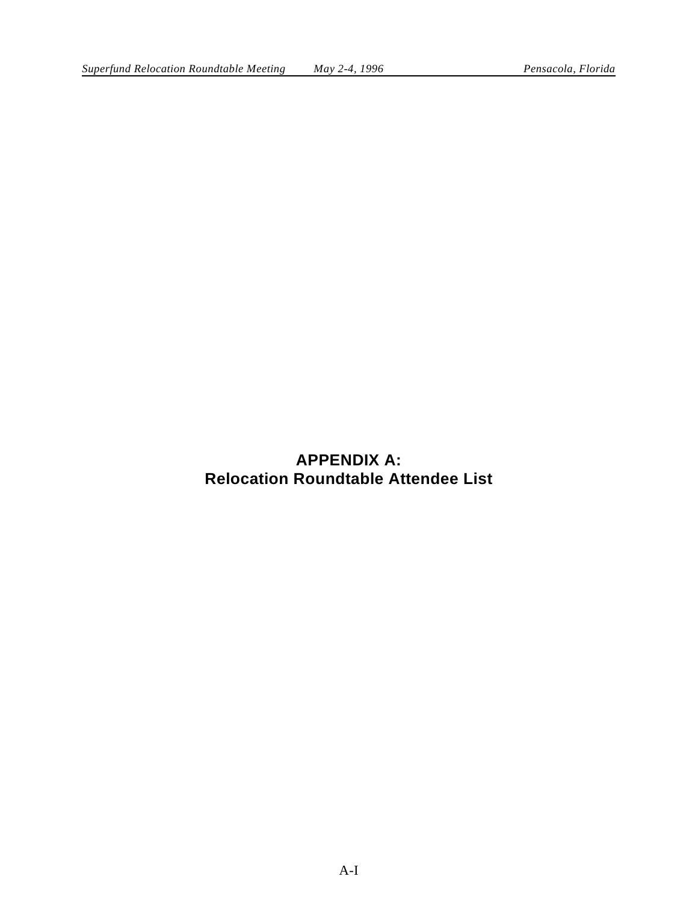**APPENDIX A: Relocation Roundtable Attendee List**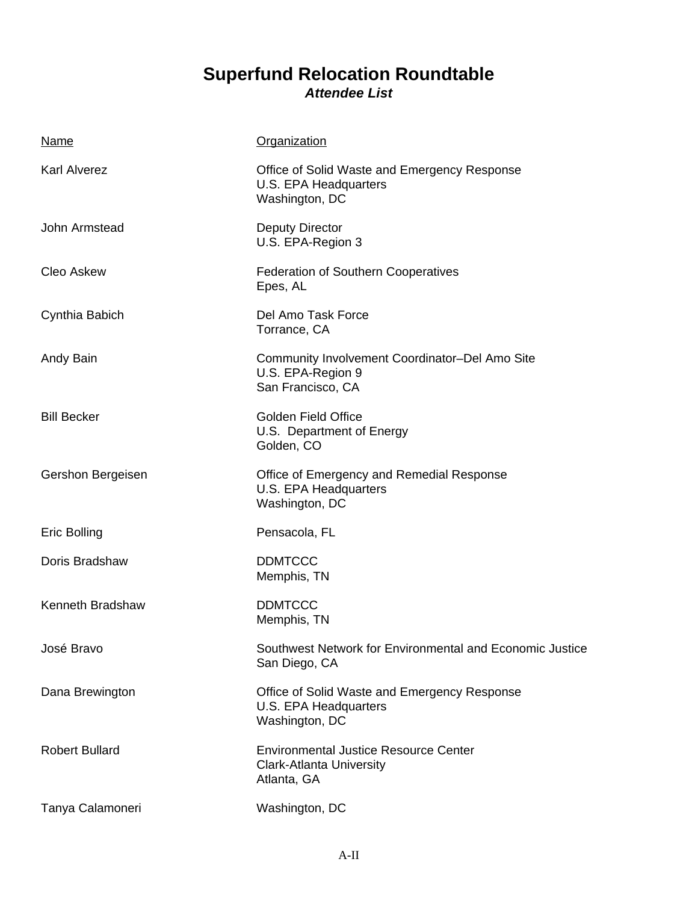# **Superfund Relocation Roundtable Attendee List**

| <u>Name</u>           | Organization                                                                                   |
|-----------------------|------------------------------------------------------------------------------------------------|
| <b>Karl Alverez</b>   | Office of Solid Waste and Emergency Response<br>U.S. EPA Headquarters<br>Washington, DC        |
| John Armstead         | Deputy Director<br>U.S. EPA-Region 3                                                           |
| <b>Cleo Askew</b>     | Federation of Southern Cooperatives<br>Epes, AL                                                |
| Cynthia Babich        | Del Amo Task Force<br>Torrance, CA                                                             |
| Andy Bain             | Community Involvement Coordinator-Del Amo Site<br>U.S. EPA-Region 9<br>San Francisco, CA       |
| <b>Bill Becker</b>    | <b>Golden Field Office</b><br>U.S. Department of Energy<br>Golden, CO                          |
| Gershon Bergeisen     | Office of Emergency and Remedial Response<br>U.S. EPA Headquarters<br>Washington, DC           |
| Eric Bolling          | Pensacola, FL                                                                                  |
| Doris Bradshaw        | <b>DDMTCCC</b><br>Memphis, TN                                                                  |
| Kenneth Bradshaw      | <b>DDMTCCC</b><br>Memphis, TN                                                                  |
| José Bravo            | Southwest Network for Environmental and Economic Justice<br>San Diego, CA                      |
| Dana Brewington       | Office of Solid Waste and Emergency Response<br>U.S. EPA Headquarters<br>Washington, DC        |
| <b>Robert Bullard</b> | <b>Environmental Justice Resource Center</b><br><b>Clark-Atlanta University</b><br>Atlanta, GA |
| Tanya Calamoneri      | Washington, DC                                                                                 |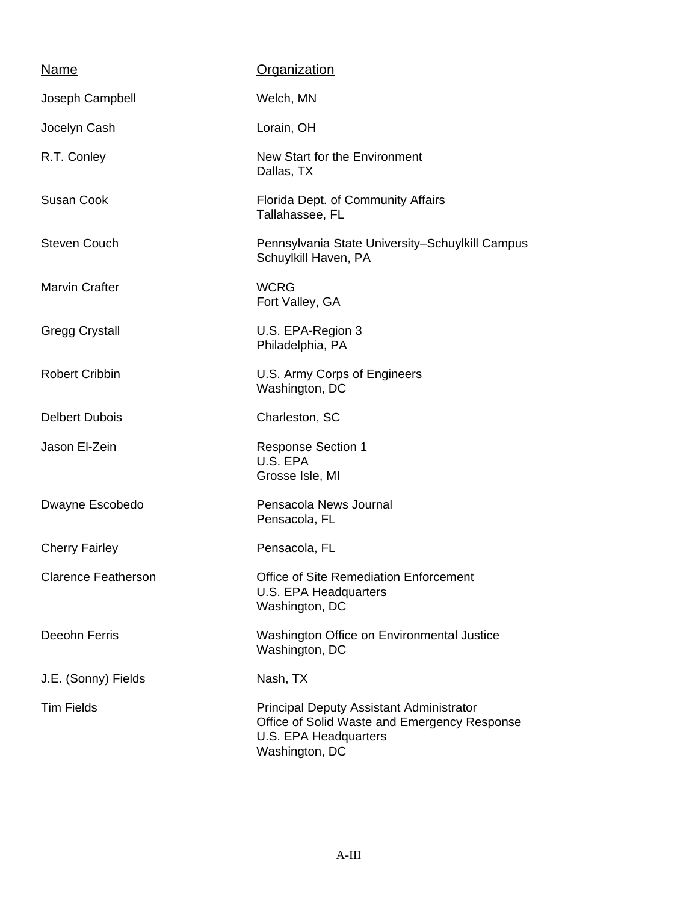| Name                       | <b>Organization</b>                                                                                                                 |
|----------------------------|-------------------------------------------------------------------------------------------------------------------------------------|
| Joseph Campbell            | Welch, MN                                                                                                                           |
| Jocelyn Cash               | Lorain, OH                                                                                                                          |
| R.T. Conley                | New Start for the Environment<br>Dallas, TX                                                                                         |
| <b>Susan Cook</b>          | Florida Dept. of Community Affairs<br>Tallahassee, FL                                                                               |
| <b>Steven Couch</b>        | Pennsylvania State University-Schuylkill Campus<br>Schuylkill Haven, PA                                                             |
| Marvin Crafter             | <b>WCRG</b><br>Fort Valley, GA                                                                                                      |
| <b>Gregg Crystall</b>      | U.S. EPA-Region 3<br>Philadelphia, PA                                                                                               |
| <b>Robert Cribbin</b>      | U.S. Army Corps of Engineers<br>Washington, DC                                                                                      |
| <b>Delbert Dubois</b>      | Charleston, SC                                                                                                                      |
| Jason El-Zein              | <b>Response Section 1</b><br>U.S. EPA<br>Grosse Isle, MI                                                                            |
| Dwayne Escobedo            | Pensacola News Journal<br>Pensacola, FL                                                                                             |
| <b>Cherry Fairley</b>      | Pensacola, FL                                                                                                                       |
| <b>Clarence Featherson</b> | Office of Site Remediation Enforcement<br>U.S. EPA Headquarters<br>Washington, DC                                                   |
| Deeohn Ferris              | Washington Office on Environmental Justice<br>Washington, DC                                                                        |
| J.E. (Sonny) Fields        | Nash, TX                                                                                                                            |
| <b>Tim Fields</b>          | Principal Deputy Assistant Administrator<br>Office of Solid Waste and Emergency Response<br>U.S. EPA Headquarters<br>Washington, DC |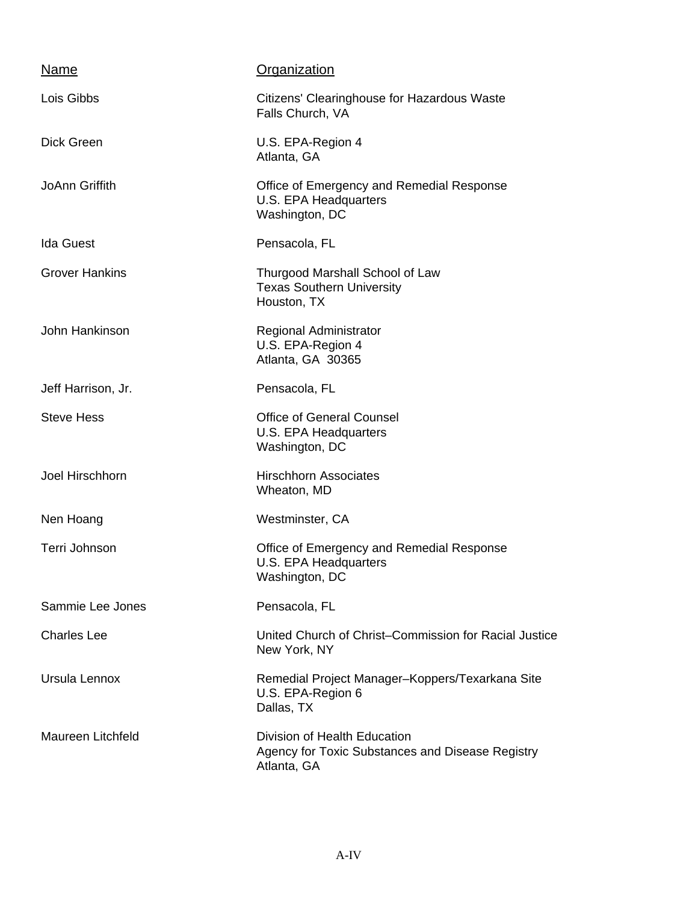| Name                     | <b>Organization</b>                                                                             |
|--------------------------|-------------------------------------------------------------------------------------------------|
| Lois Gibbs               | Citizens' Clearinghouse for Hazardous Waste<br>Falls Church, VA                                 |
| Dick Green               | U.S. EPA-Region 4<br>Atlanta, GA                                                                |
| <b>JoAnn Griffith</b>    | Office of Emergency and Remedial Response<br>U.S. EPA Headquarters<br>Washington, DC            |
| <b>Ida Guest</b>         | Pensacola, FL                                                                                   |
| <b>Grover Hankins</b>    | Thurgood Marshall School of Law<br><b>Texas Southern University</b><br>Houston, TX              |
| John Hankinson           | <b>Regional Administrator</b><br>U.S. EPA-Region 4<br>Atlanta, GA 30365                         |
| Jeff Harrison, Jr.       | Pensacola, FL                                                                                   |
| <b>Steve Hess</b>        | <b>Office of General Counsel</b><br>U.S. EPA Headquarters<br>Washington, DC                     |
| Joel Hirschhorn          | <b>Hirschhorn Associates</b><br>Wheaton, MD                                                     |
| Nen Hoang                | Westminster, CA                                                                                 |
| Terri Johnson            | Office of Emergency and Remedial Response<br>U.S. EPA Headquarters<br>Washington, DC            |
| Sammie Lee Jones         | Pensacola, FL                                                                                   |
| <b>Charles Lee</b>       | United Church of Christ-Commission for Racial Justice<br>New York, NY                           |
| Ursula Lennox            | Remedial Project Manager-Koppers/Texarkana Site<br>U.S. EPA-Region 6<br>Dallas, TX              |
| <b>Maureen Litchfeld</b> | Division of Health Education<br>Agency for Toxic Substances and Disease Registry<br>Atlanta, GA |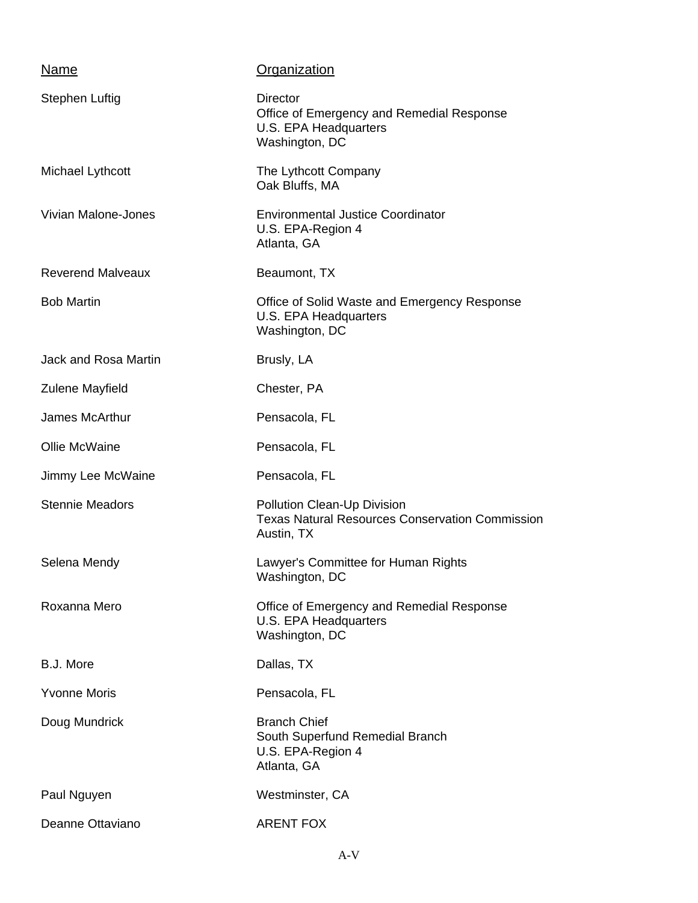| Name                        | <b>Organization</b>                                                                                     |
|-----------------------------|---------------------------------------------------------------------------------------------------------|
| Stephen Luftig              | <b>Director</b><br>Office of Emergency and Remedial Response<br>U.S. EPA Headquarters<br>Washington, DC |
| Michael Lythcott            | The Lythcott Company<br>Oak Bluffs, MA                                                                  |
| Vivian Malone-Jones         | <b>Environmental Justice Coordinator</b><br>U.S. EPA-Region 4<br>Atlanta, GA                            |
| <b>Reverend Malveaux</b>    | Beaumont, TX                                                                                            |
| <b>Bob Martin</b>           | Office of Solid Waste and Emergency Response<br><b>U.S. EPA Headquarters</b><br>Washington, DC          |
| <b>Jack and Rosa Martin</b> | Brusly, LA                                                                                              |
| Zulene Mayfield             | Chester, PA                                                                                             |
| James McArthur              | Pensacola, FL                                                                                           |
| Ollie McWaine               | Pensacola, FL                                                                                           |
| Jimmy Lee McWaine           | Pensacola, FL                                                                                           |
| <b>Stennie Meadors</b>      | Pollution Clean-Up Division<br><b>Texas Natural Resources Conservation Commission</b><br>Austin, TX     |
| Selena Mendy                | Lawyer's Committee for Human Rights<br>Washington, DC                                                   |
| Roxanna Mero                | Office of Emergency and Remedial Response<br>U.S. EPA Headquarters<br>Washington, DC                    |
| B.J. More                   | Dallas, TX                                                                                              |
| <b>Yvonne Moris</b>         | Pensacola, FL                                                                                           |
| Doug Mundrick               | <b>Branch Chief</b><br>South Superfund Remedial Branch<br>U.S. EPA-Region 4<br>Atlanta, GA              |
| Paul Nguyen                 | Westminster, CA                                                                                         |
| Deanne Ottaviano            | <b>ARENT FOX</b>                                                                                        |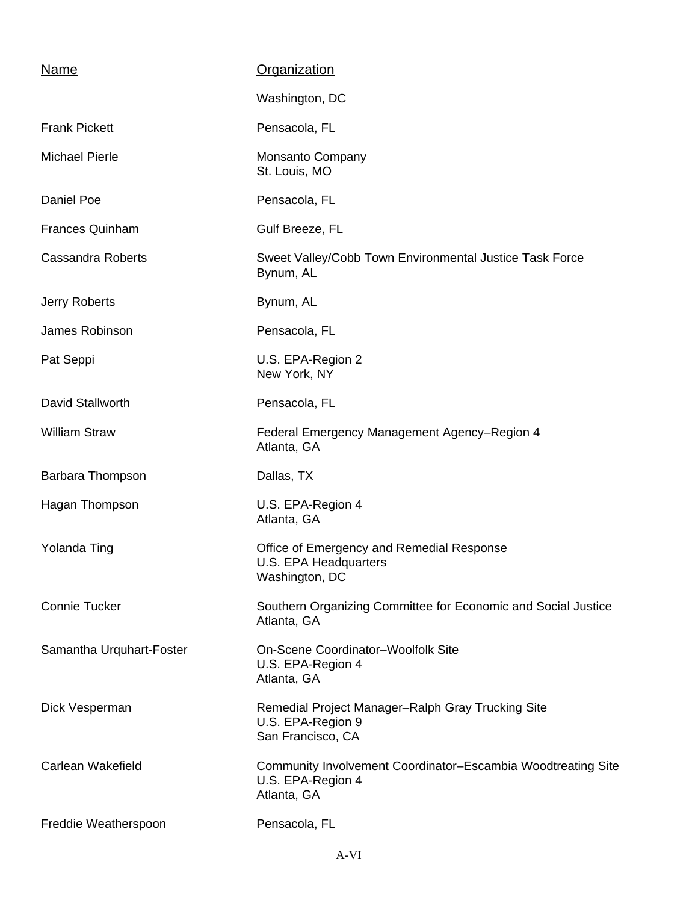| <b>Name</b>              | Organization                                                                                     |
|--------------------------|--------------------------------------------------------------------------------------------------|
|                          | Washington, DC                                                                                   |
| <b>Frank Pickett</b>     | Pensacola, FL                                                                                    |
| <b>Michael Pierle</b>    | <b>Monsanto Company</b><br>St. Louis, MO                                                         |
| Daniel Poe               | Pensacola, FL                                                                                    |
| <b>Frances Quinham</b>   | Gulf Breeze, FL                                                                                  |
| <b>Cassandra Roberts</b> | Sweet Valley/Cobb Town Environmental Justice Task Force<br>Bynum, AL                             |
| Jerry Roberts            | Bynum, AL                                                                                        |
| James Robinson           | Pensacola, FL                                                                                    |
| Pat Seppi                | U.S. EPA-Region 2<br>New York, NY                                                                |
| David Stallworth         | Pensacola, FL                                                                                    |
| <b>William Straw</b>     | Federal Emergency Management Agency-Region 4<br>Atlanta, GA                                      |
| Barbara Thompson         | Dallas, TX                                                                                       |
| Hagan Thompson           | U.S. EPA-Region 4<br>Atlanta, GA                                                                 |
| Yolanda Ting             | Office of Emergency and Remedial Response<br>U.S. EPA Headquarters<br>Washington, DC             |
| <b>Connie Tucker</b>     | Southern Organizing Committee for Economic and Social Justice<br>Atlanta, GA                     |
| Samantha Urquhart-Foster | On-Scene Coordinator-Woolfolk Site<br>U.S. EPA-Region 4<br>Atlanta, GA                           |
| Dick Vesperman           | Remedial Project Manager-Ralph Gray Trucking Site<br>U.S. EPA-Region 9<br>San Francisco, CA      |
| Carlean Wakefield        | Community Involvement Coordinator-Escambia Woodtreating Site<br>U.S. EPA-Region 4<br>Atlanta, GA |
| Freddie Weatherspoon     | Pensacola, FL                                                                                    |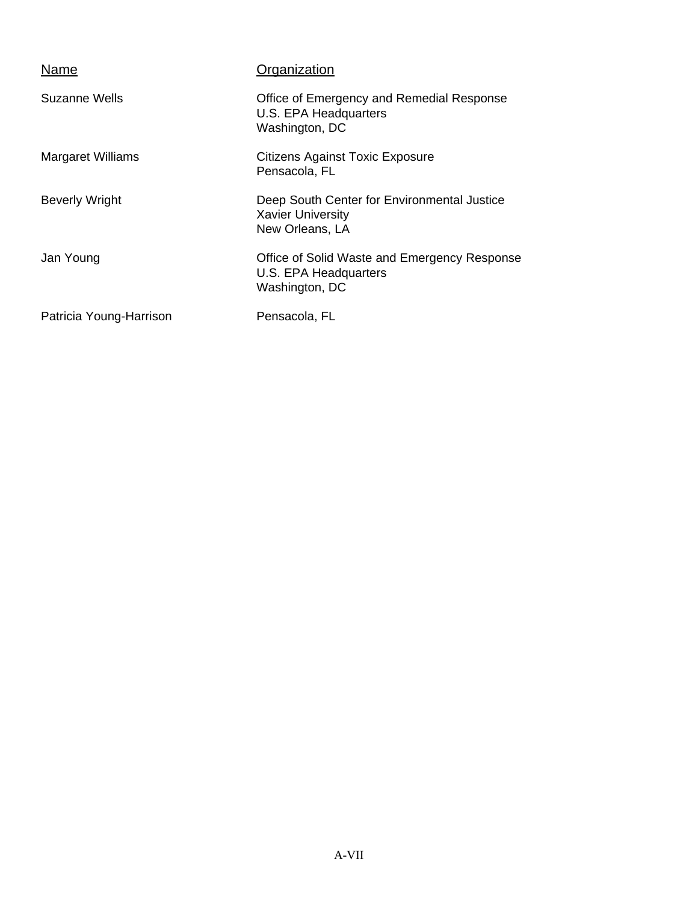| Name                     | Organization                                                                               |
|--------------------------|--------------------------------------------------------------------------------------------|
| Suzanne Wells            | Office of Emergency and Remedial Response<br>U.S. EPA Headquarters<br>Washington, DC       |
| <b>Margaret Williams</b> | <b>Citizens Against Toxic Exposure</b><br>Pensacola, FL                                    |
| <b>Beverly Wright</b>    | Deep South Center for Environmental Justice<br><b>Xavier University</b><br>New Orleans, LA |
| Jan Young                | Office of Solid Waste and Emergency Response<br>U.S. EPA Headquarters<br>Washington, DC    |
| Patricia Young-Harrison  | Pensacola, FL                                                                              |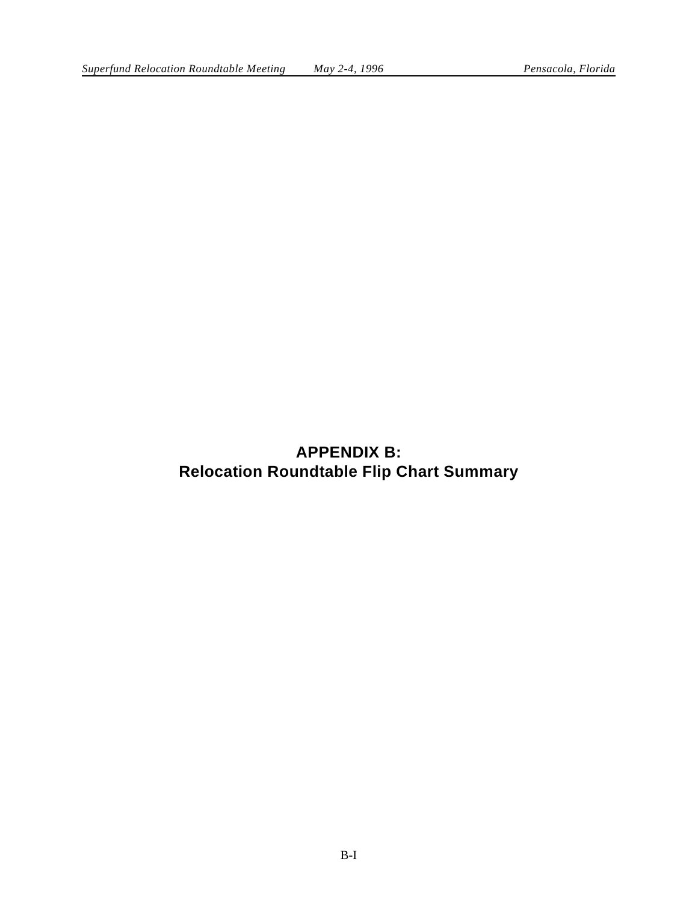# **APPENDIX B: Relocation Roundtable Flip Chart Summary**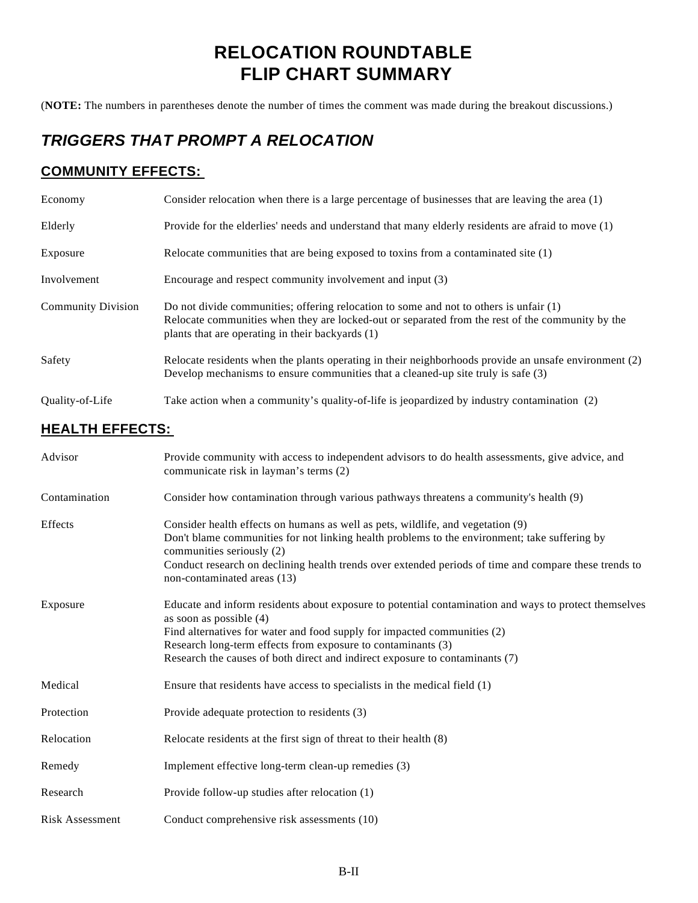# **RELOCATION ROUNDTABLE FLIP CHART SUMMARY**

(**NOTE:** The numbers in parentheses denote the number of times the comment was made during the breakout discussions.)

# *TRIGGERS THAT PROMPT A RELOCATION*

### **COMMUNITY EFFECTS:**

| Economy                   | Consider relocation when there is a large percentage of businesses that are leaving the area (1)                                                                                                                                                 |
|---------------------------|--------------------------------------------------------------------------------------------------------------------------------------------------------------------------------------------------------------------------------------------------|
| Elderly                   | Provide for the elderlies' needs and understand that many elderly residents are afraid to move (1)                                                                                                                                               |
| Exposure                  | Relocate communities that are being exposed to toxins from a contaminated site (1)                                                                                                                                                               |
| Involvement               | Encourage and respect community involvement and input (3)                                                                                                                                                                                        |
| <b>Community Division</b> | Do not divide communities; offering relocation to some and not to others is unfair $(1)$<br>Relocate communities when they are locked-out or separated from the rest of the community by the<br>plants that are operating in their backyards (1) |
| Safety                    | Relocate residents when the plants operating in their neighborhoods provide an unsafe environment (2)<br>Develop mechanisms to ensure communities that a cleaned-up site truly is safe (3)                                                       |
| Quality-of-Life           | Take action when a community's quality-of-life is jeopardized by industry contamination (2)                                                                                                                                                      |
| <b>HEALTH EFFECTS:</b>    |                                                                                                                                                                                                                                                  |
| Advisor                   | Provide community with access to independent advisors to do health assessments, give advice, and                                                                                                                                                 |

|                        | communicate risk in layman's terms (2)                                                                                                                                                                                                                                                                                                                         |
|------------------------|----------------------------------------------------------------------------------------------------------------------------------------------------------------------------------------------------------------------------------------------------------------------------------------------------------------------------------------------------------------|
| Contamination          | Consider how contamination through various pathways threatens a community's health (9)                                                                                                                                                                                                                                                                         |
| Effects                | Consider health effects on humans as well as pets, wildlife, and vegetation (9)<br>Don't blame communities for not linking health problems to the environment; take suffering by<br>communities seriously (2)<br>Conduct research on declining health trends over extended periods of time and compare these trends to<br>non-contaminated areas (13)          |
| Exposure               | Educate and inform residents about exposure to potential contamination and ways to protect themselves<br>as soon as possible $(4)$<br>Find alternatives for water and food supply for impacted communities (2)<br>Research long-term effects from exposure to contaminants (3)<br>Research the causes of both direct and indirect exposure to contaminants (7) |
| Medical                | Ensure that residents have access to specialists in the medical field $(1)$                                                                                                                                                                                                                                                                                    |
| Protection             | Provide adequate protection to residents (3)                                                                                                                                                                                                                                                                                                                   |
| Relocation             | Relocate residents at the first sign of threat to their health (8)                                                                                                                                                                                                                                                                                             |
| Remedy                 | Implement effective long-term clean-up remedies (3)                                                                                                                                                                                                                                                                                                            |
| Research               | Provide follow-up studies after relocation (1)                                                                                                                                                                                                                                                                                                                 |
| <b>Risk Assessment</b> | Conduct comprehensive risk assessments (10)                                                                                                                                                                                                                                                                                                                    |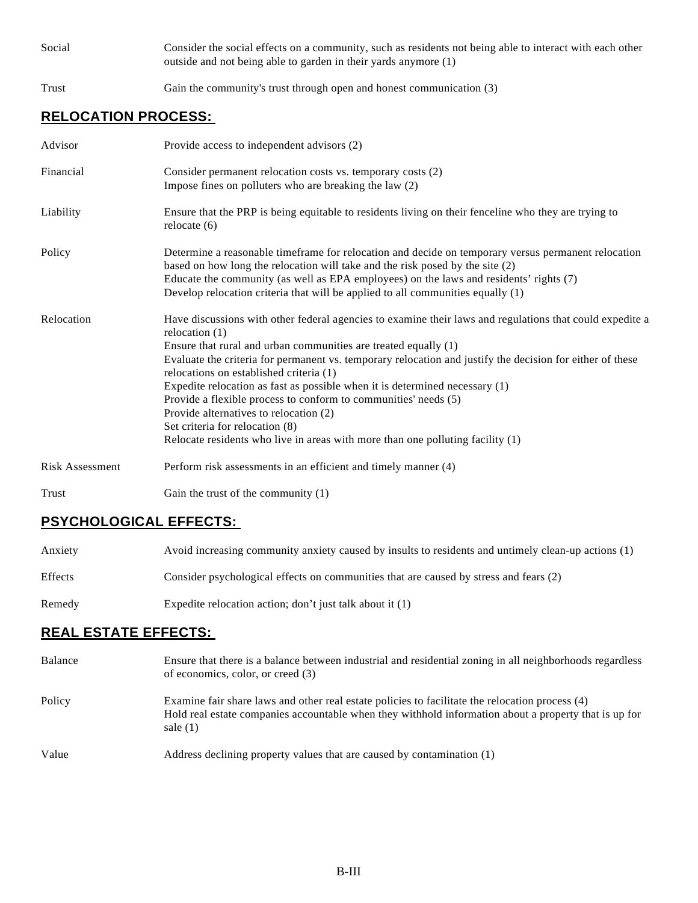Social Consider the social effects on a community, such as residents not being able to interact with each other outside and not being able to garden in their yards anymore (1)

Trust Gain the community's trust through open and honest communication (3)

# **RELOCATION PROCESS:**

| Advisor                | Provide access to independent advisors (2)                                                                                                                                                                                                                                                                                                                                                                                                                                                                                                                                                                                                                                   |
|------------------------|------------------------------------------------------------------------------------------------------------------------------------------------------------------------------------------------------------------------------------------------------------------------------------------------------------------------------------------------------------------------------------------------------------------------------------------------------------------------------------------------------------------------------------------------------------------------------------------------------------------------------------------------------------------------------|
| Financial              | Consider permanent relocation costs vs. temporary costs (2)<br>Impose fines on polluters who are breaking the law (2)                                                                                                                                                                                                                                                                                                                                                                                                                                                                                                                                                        |
| Liability              | Ensure that the PRP is being equitable to residents living on their fenceline who they are trying to<br>relocate $(6)$                                                                                                                                                                                                                                                                                                                                                                                                                                                                                                                                                       |
| Policy                 | Determine a reasonable timeframe for relocation and decide on temporary versus permanent relocation<br>based on how long the relocation will take and the risk posed by the site (2)<br>Educate the community (as well as EPA employees) on the laws and residents' rights (7)<br>Develop relocation criteria that will be applied to all communities equally (1)                                                                                                                                                                                                                                                                                                            |
| Relocation             | Have discussions with other federal agencies to examine their laws and regulations that could expedite a<br>relocation $(1)$<br>Ensure that rural and urban communities are treated equally (1)<br>Evaluate the criteria for permanent vs. temporary relocation and justify the decision for either of these<br>relocations on established criteria (1)<br>Expedite relocation as fast as possible when it is determined necessary $(1)$<br>Provide a flexible process to conform to communities' needs (5)<br>Provide alternatives to relocation (2)<br>Set criteria for relocation (8)<br>Relocate residents who live in areas with more than one polluting facility $(1)$ |
| <b>Risk Assessment</b> | Perform risk assessments in an efficient and timely manner (4)                                                                                                                                                                                                                                                                                                                                                                                                                                                                                                                                                                                                               |
| Trust                  | Gain the trust of the community (1)                                                                                                                                                                                                                                                                                                                                                                                                                                                                                                                                                                                                                                          |

### **PSYCHOLOGICAL EFFECTS:**

| Anxiety | Avoid increasing community anxiety caused by insults to residents and untimely clean-up actions (1) |
|---------|-----------------------------------------------------------------------------------------------------|
| Effects | Consider psychological effects on communities that are caused by stress and fears (2)               |
| Remedy  | Expedite relocation action; don't just talk about it $(1)$                                          |

# **REAL ESTATE EFFECTS:**

| Balance | Ensure that there is a balance between industrial and residential zoning in all neighborhoods regardless<br>of economics, color, or creed (3)                                                                          |
|---------|------------------------------------------------------------------------------------------------------------------------------------------------------------------------------------------------------------------------|
| Policy  | Examine fair share laws and other real estate policies to facilitate the relocation process (4)<br>Hold real estate companies accountable when they withhold information about a property that is up for<br>sale $(1)$ |
| Value   | Address declining property values that are caused by contamination (1)                                                                                                                                                 |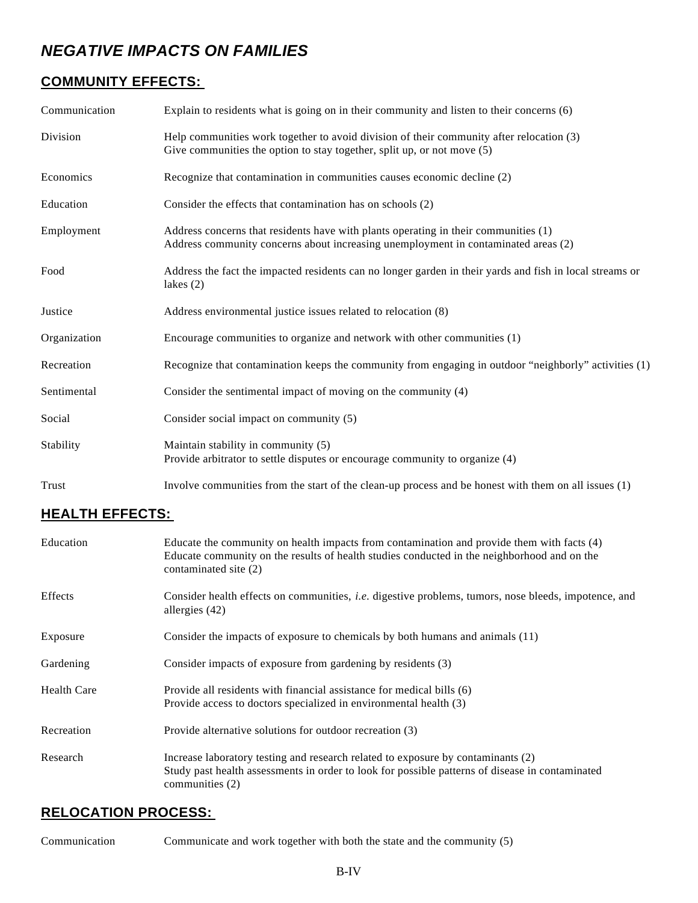# *NEGATIVE IMPACTS ON FAMILIES*

## **COMMUNITY EFFECTS:**

| Communication | Explain to residents what is going on in their community and listen to their concerns (6)                                                                                 |
|---------------|---------------------------------------------------------------------------------------------------------------------------------------------------------------------------|
| Division      | Help communities work together to avoid division of their community after relocation (3)<br>Give communities the option to stay together, split up, or not move (5)       |
| Economics     | Recognize that contamination in communities causes economic decline (2)                                                                                                   |
| Education     | Consider the effects that contamination has on schools (2)                                                                                                                |
| Employment    | Address concerns that residents have with plants operating in their communities (1)<br>Address community concerns about increasing unemployment in contaminated areas (2) |
| Food          | Address the fact the impacted residents can no longer garden in their yards and fish in local streams or<br>lakes $(2)$                                                   |
| Justice       | Address environmental justice issues related to relocation (8)                                                                                                            |
| Organization  | Encourage communities to organize and network with other communities (1)                                                                                                  |
| Recreation    | Recognize that contamination keeps the community from engaging in outdoor "neighborly" activities (1)                                                                     |
| Sentimental   | Consider the sentimental impact of moving on the community (4)                                                                                                            |
| Social        | Consider social impact on community (5)                                                                                                                                   |
| Stability     | Maintain stability in community (5)<br>Provide arbitrator to settle disputes or encourage community to organize (4)                                                       |
| Trust         | Involve communities from the start of the clean-up process and be honest with them on all issues (1)                                                                      |

### **HEALTH EFFECTS:**

| Education   | Educate the community on health impacts from contamination and provide them with facts (4)<br>Educate community on the results of health studies conducted in the neighborhood and on the<br>contaminated site (2) |
|-------------|--------------------------------------------------------------------------------------------------------------------------------------------------------------------------------------------------------------------|
| Effects     | Consider health effects on communities, <i>i.e.</i> digestive problems, tumors, nose bleeds, impotence, and<br>allergies $(42)$                                                                                    |
| Exposure    | Consider the impacts of exposure to chemicals by both humans and animals (11)                                                                                                                                      |
| Gardening   | Consider impacts of exposure from gardening by residents (3)                                                                                                                                                       |
| Health Care | Provide all residents with financial assistance for medical bills (6)<br>Provide access to doctors specialized in environmental health (3)                                                                         |
| Recreation  | Provide alternative solutions for outdoor recreation (3)                                                                                                                                                           |
| Research    | Increase laboratory testing and research related to exposure by contaminants (2)<br>Study past health assessments in order to look for possible patterns of disease in contaminated<br>communities (2)             |

# **RELOCATION PROCESS:**

Communication Communicate and work together with both the state and the community (5)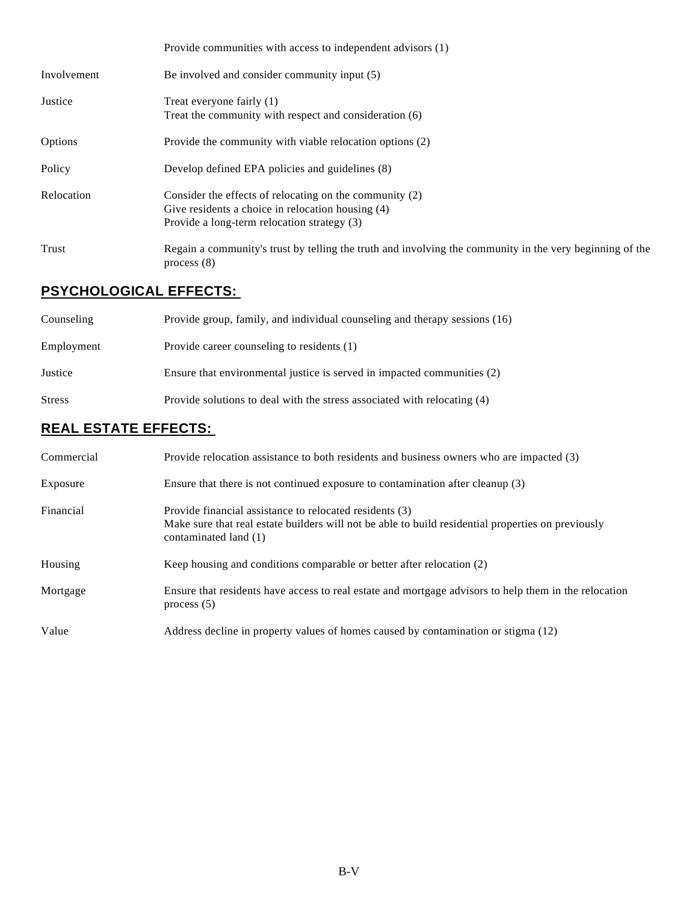|             | Provide communities with access to independent advisors (1)                                                                                                 |
|-------------|-------------------------------------------------------------------------------------------------------------------------------------------------------------|
| Involvement | Be involved and consider community input (5)                                                                                                                |
| Justice     | Treat everyone fairly (1)<br>Treat the community with respect and consideration (6)                                                                         |
| Options     | Provide the community with viable relocation options (2)                                                                                                    |
| Policy      | Develop defined EPA policies and guidelines (8)                                                                                                             |
| Relocation  | Consider the effects of relocating on the community (2)<br>Give residents a choice in relocation housing (4)<br>Provide a long-term relocation strategy (3) |
| Trust       | Regain a community's trust by telling the truth and involving the community in the very beginning of the<br>process(8)                                      |

# **PSYCHOLOGICAL EFFECTS:**

| Counseling    | Provide group, family, and individual counseling and therapy sessions (16) |
|---------------|----------------------------------------------------------------------------|
| Employment    | Provide career counseling to residents (1)                                 |
| Justice       | Ensure that environmental justice is served in impacted communities (2)    |
| <b>Stress</b> | Provide solutions to deal with the stress associated with relocating (4)   |

# **REAL ESTATE EFFECTS:**

| Commercial | Provide relocation assistance to both residents and business owners who are impacted (3)                                                                                               |
|------------|----------------------------------------------------------------------------------------------------------------------------------------------------------------------------------------|
| Exposure   | Ensure that there is not continued exposure to contamination after cleanup (3)                                                                                                         |
| Financial  | Provide financial assistance to relocated residents (3)<br>Make sure that real estate builders will not be able to build residential properties on previously<br>contaminated land (1) |
| Housing    | Keep housing and conditions comparable or better after relocation (2)                                                                                                                  |
| Mortgage   | Ensure that residents have access to real estate and mortgage advisors to help them in the relocation<br>process $(5)$                                                                 |
| Value      | Address decline in property values of homes caused by contamination or stigma (12)                                                                                                     |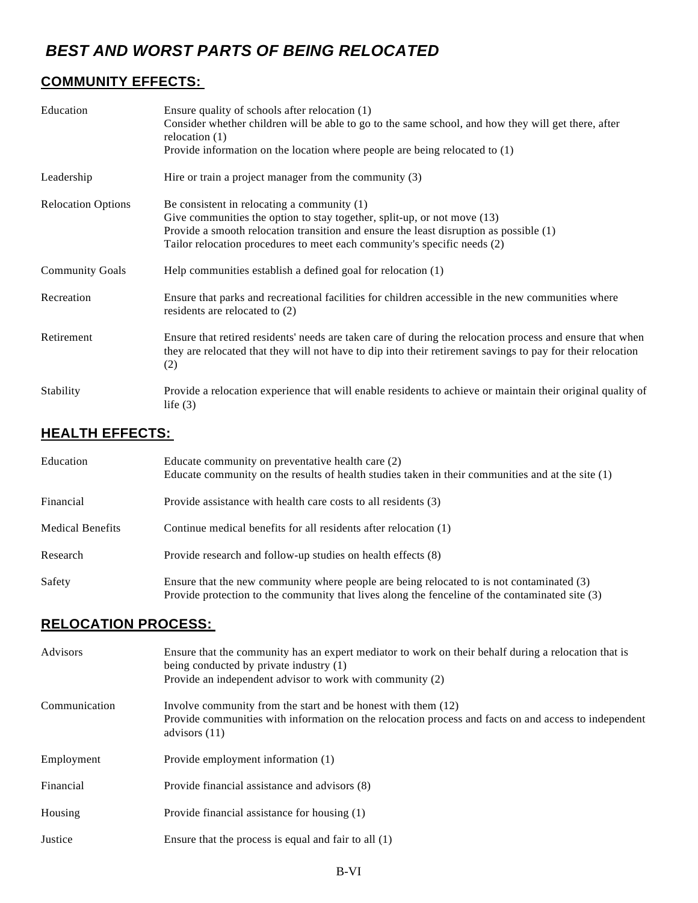# *BEST AND WORST PARTS OF BEING RELOCATED*

# **COMMUNITY EFFECTS:**

| Education                 | Ensure quality of schools after relocation (1)<br>Consider whether children will be able to go to the same school, and how they will get there, after<br>relocation $(1)$<br>Provide information on the location where people are being relocated to $(1)$                                      |
|---------------------------|-------------------------------------------------------------------------------------------------------------------------------------------------------------------------------------------------------------------------------------------------------------------------------------------------|
| Leadership                | Hire or train a project manager from the community $(3)$                                                                                                                                                                                                                                        |
| <b>Relocation Options</b> | Be consistent in relocating a community $(1)$<br>Give communities the option to stay together, split-up, or not move (13)<br>Provide a smooth relocation transition and ensure the least disruption as possible (1)<br>Tailor relocation procedures to meet each community's specific needs (2) |
| <b>Community Goals</b>    | Help communities establish a defined goal for relocation (1)                                                                                                                                                                                                                                    |
| Recreation                | Ensure that parks and recreational facilities for children accessible in the new communities where<br>residents are relocated to $(2)$                                                                                                                                                          |
| Retirement                | Ensure that retired residents' needs are taken care of during the relocation process and ensure that when<br>they are relocated that they will not have to dip into their retirement savings to pay for their relocation<br>(2)                                                                 |
| Stability                 | Provide a relocation experience that will enable residents to achieve or maintain their original quality of<br>life $(3)$                                                                                                                                                                       |

### **HEALTH EFFECTS:**

| Education               | Educate community on preventative health care (2)<br>Educate community on the results of health studies taken in their communities and at the site $(1)$                                     |
|-------------------------|----------------------------------------------------------------------------------------------------------------------------------------------------------------------------------------------|
| Financial               | Provide assistance with health care costs to all residents (3)                                                                                                                               |
| <b>Medical Benefits</b> | Continue medical benefits for all residents after relocation (1)                                                                                                                             |
| Research                | Provide research and follow-up studies on health effects (8)                                                                                                                                 |
| Safety                  | Ensure that the new community where people are being relocated to is not contaminated (3)<br>Provide protection to the community that lives along the fenceline of the contaminated site (3) |

### **RELOCATION PROCESS:**

| Advisors      | Ensure that the community has an expert mediator to work on their behalf during a relocation that is<br>being conducted by private industry (1)<br>Provide an independent advisor to work with community (2) |
|---------------|--------------------------------------------------------------------------------------------------------------------------------------------------------------------------------------------------------------|
| Communication | Involve community from the start and be honest with them (12)<br>Provide communities with information on the relocation process and facts on and access to independent<br>advisors $(11)$                    |
| Employment    | Provide employment information (1)                                                                                                                                                                           |
| Financial     | Provide financial assistance and advisors (8)                                                                                                                                                                |
| Housing       | Provide financial assistance for housing (1)                                                                                                                                                                 |
| Justice       | Ensure that the process is equal and fair to all $(1)$                                                                                                                                                       |